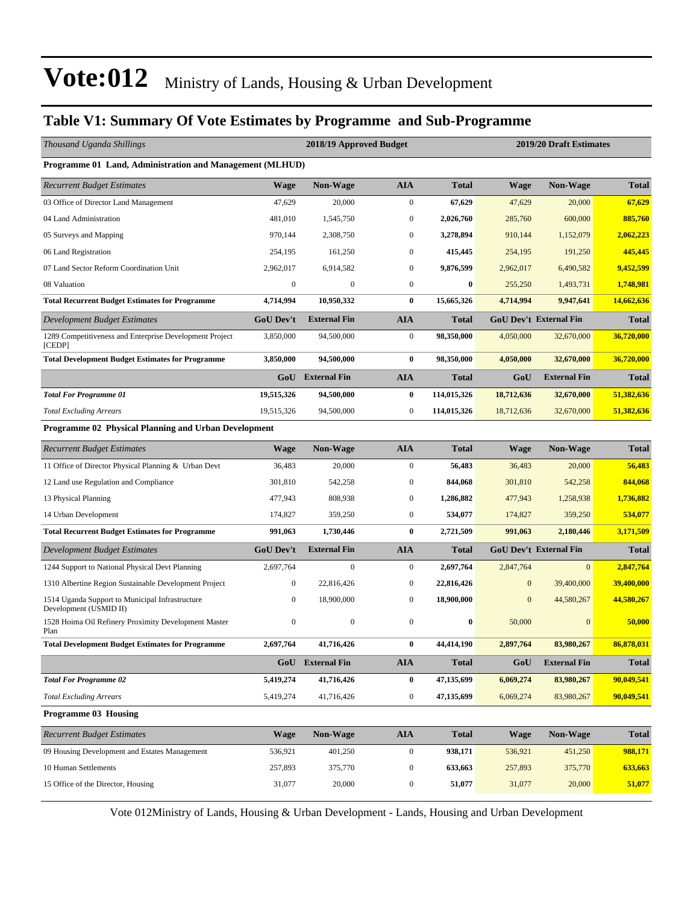### **Table V1: Summary Of Vote Estimates by Programme and Sub-Programme**

| Thousand Uganda Shillings                                                 |                  | 2018/19 Approved Budget |                  |              | 2019/20 Draft Estimates |                               |              |  |  |
|---------------------------------------------------------------------------|------------------|-------------------------|------------------|--------------|-------------------------|-------------------------------|--------------|--|--|
| Programme 01 Land, Administration and Management (MLHUD)                  |                  |                         |                  |              |                         |                               |              |  |  |
| <b>Recurrent Budget Estimates</b>                                         | Wage             | Non-Wage                | <b>AIA</b>       | <b>Total</b> | <b>Wage</b>             | Non-Wage                      | <b>Total</b> |  |  |
| 03 Office of Director Land Management                                     | 47,629           | 20,000                  | $\mathbf{0}$     | 67,629       | 47,629                  | 20,000                        | 67,629       |  |  |
| 04 Land Administration                                                    | 481,010          | 1,545,750               | $\mathbf{0}$     | 2,026,760    | 285,760                 | 600,000                       | 885,760      |  |  |
| 05 Surveys and Mapping                                                    | 970,144          | 2,308,750               | $\mathbf{0}$     | 3,278,894    | 910,144                 | 1,152,079                     | 2,062,223    |  |  |
| 06 Land Registration                                                      | 254,195          | 161,250                 | $\mathbf{0}$     | 415,445      | 254,195                 | 191,250                       | 445,445      |  |  |
| 07 Land Sector Reform Coordination Unit                                   | 2,962,017        | 6,914,582               | $\mathbf{0}$     | 9,876,599    | 2,962,017               | 6,490,582                     | 9,452,599    |  |  |
| 08 Valuation                                                              | $\boldsymbol{0}$ | $\boldsymbol{0}$        | $\mathbf{0}$     | $\bf{0}$     | 255,250                 | 1,493,731                     | 1,748,981    |  |  |
| <b>Total Recurrent Budget Estimates for Programme</b>                     | 4,714,994        | 10,950,332              | $\bf{0}$         | 15,665,326   | 4,714,994               | 9,947,641                     | 14,662,636   |  |  |
| Development Budget Estimates                                              | <b>GoU Dev't</b> | <b>External Fin</b>     | <b>AIA</b>       | <b>Total</b> |                         | <b>GoU Dev't External Fin</b> | <b>Total</b> |  |  |
| 1289 Competitiveness and Enterprise Development Project<br>[CEDP]         | 3,850,000        | 94,500,000              | $\boldsymbol{0}$ | 98,350,000   | 4,050,000               | 32,670,000                    | 36,720,000   |  |  |
| <b>Total Development Budget Estimates for Programme</b>                   | 3,850,000        | 94,500,000              | $\bf{0}$         | 98,350,000   | 4,050,000               | 32,670,000                    | 36,720,000   |  |  |
|                                                                           |                  | GoU External Fin        | <b>AIA</b>       | <b>Total</b> | GoU                     | <b>External Fin</b>           | <b>Total</b> |  |  |
| <b>Total For Programme 01</b>                                             | 19,515,326       | 94,500,000              | $\bf{0}$         | 114,015,326  | 18,712,636              | 32,670,000                    | 51,382,636   |  |  |
| <b>Total Excluding Arrears</b>                                            | 19,515,326       | 94,500,000              | $\mathbf{0}$     | 114,015,326  | 18,712,636              | 32,670,000                    | 51,382,636   |  |  |
| Programme 02 Physical Planning and Urban Development                      |                  |                         |                  |              |                         |                               |              |  |  |
| <b>Recurrent Budget Estimates</b>                                         | <b>Wage</b>      | Non-Wage                | <b>AIA</b>       | <b>Total</b> | <b>Wage</b>             | <b>Non-Wage</b>               | <b>Total</b> |  |  |
| 11 Office of Director Physical Planning & Urban Devt                      | 36,483           | 20,000                  | $\mathbf{0}$     | 56,483       | 36,483                  | 20,000                        | 56,483       |  |  |
| 12 Land use Regulation and Compliance                                     | 301,810          | 542,258                 | $\mathbf{0}$     | 844,068      | 301,810                 | 542,258                       | 844,068      |  |  |
| 13 Physical Planning                                                      | 477,943          | 808,938                 | $\mathbf{0}$     | 1,286,882    | 477,943                 | 1,258,938                     | 1,736,882    |  |  |
| 14 Urban Development                                                      | 174,827          | 359,250                 | $\mathbf{0}$     | 534,077      | 174,827                 | 359,250                       | 534,077      |  |  |
| <b>Total Recurrent Budget Estimates for Programme</b>                     | 991,063          | 1,730,446               | $\bf{0}$         | 2,721,509    | 991,063                 | 2,180,446                     | 3,171,509    |  |  |
| Development Budget Estimates                                              | <b>GoU</b> Dev't | <b>External Fin</b>     | <b>AIA</b>       | <b>Total</b> |                         | <b>GoU Dev't External Fin</b> | Total        |  |  |
| 1244 Support to National Physical Devt Planning                           | 2,697,764        | $\boldsymbol{0}$        | $\boldsymbol{0}$ | 2,697,764    | 2,847,764               | $\mathbf{0}$                  | 2,847,764    |  |  |
| 1310 Albertine Region Sustainable Development Project                     | 0                | 22,816,426              | $\mathbf{0}$     | 22,816,426   | $\boldsymbol{0}$        | 39,400,000                    | 39,400,000   |  |  |
| 1514 Uganda Support to Municipal Infrastructure<br>Development (USMID II) | $\boldsymbol{0}$ | 18,900,000              | $\mathbf{0}$     | 18,900,000   | $\mathbf{0}$            | 44,580,267                    | 44,580,267   |  |  |
| 1528 Hoima Oil Refinery Proximity Development Master<br>Plan              | $\mathbf{0}$     | $\boldsymbol{0}$        | $\mathbf{0}$     | $\bf{0}$     | 50,000                  | $\Omega$                      | 50,000       |  |  |
| <b>Total Development Budget Estimates for Programme</b>                   | 2,697,764        | 41,716,426              | 0                | 44,414,190   | 2,897,764               | 83,980,267                    | 86,878,031   |  |  |
|                                                                           |                  | <b>GoU</b> External Fin | <b>AIA</b>       | <b>Total</b> | GoU                     | <b>External Fin</b>           | <b>Total</b> |  |  |
| <b>Total For Programme 02</b>                                             | 5,419,274        | 41,716,426              | $\bf{0}$         | 47,135,699   | 6,069,274               | 83,980,267                    | 90,049,541   |  |  |
| <b>Total Excluding Arrears</b>                                            | 5,419,274        | 41,716,426              | $\boldsymbol{0}$ | 47,135,699   | 6,069,274               | 83,980,267                    | 90,049,541   |  |  |
| <b>Programme 03 Housing</b>                                               |                  |                         |                  |              |                         |                               |              |  |  |
| <b>Recurrent Budget Estimates</b>                                         | <b>Wage</b>      | Non-Wage                | ${\bf A I A}$    | <b>Total</b> | Wage                    | Non-Wage                      | <b>Total</b> |  |  |
| 09 Housing Development and Estates Management                             | 536,921          | 401,250                 | $\boldsymbol{0}$ | 938,171      | 536,921                 | 451,250                       | 988,171      |  |  |
| 10 Human Settlements                                                      | 257,893          | 375,770                 | $\boldsymbol{0}$ | 633,663      | 257,893                 | 375,770                       | 633,663      |  |  |
| 15 Office of the Director, Housing                                        | 31,077           | 20,000                  | $\boldsymbol{0}$ | 51,077       | 31,077                  | 20,000                        | 51,077       |  |  |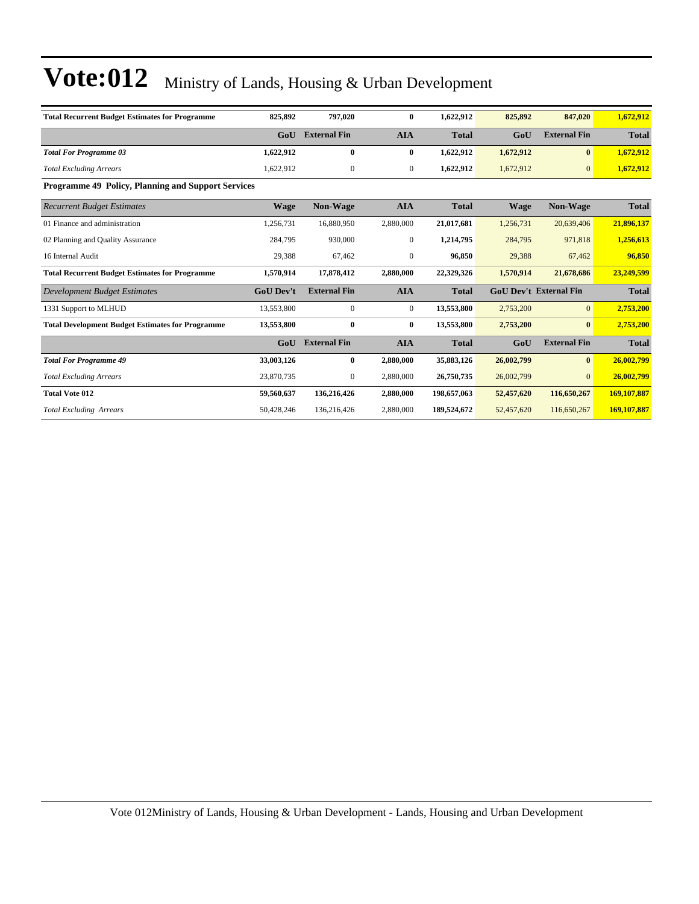| <b>Total Recurrent Budget Estimates for Programme</b>     | 825,892          | 797,020             | $\bf{0}$       | 1,622,912    | 825,892                       | 847,020             | 1,672,912    |
|-----------------------------------------------------------|------------------|---------------------|----------------|--------------|-------------------------------|---------------------|--------------|
|                                                           | GoU              | <b>External Fin</b> | <b>AIA</b>     | <b>Total</b> | GoU                           | <b>External Fin</b> | <b>Total</b> |
| <b>Total For Programme 03</b>                             | 1,622,912        | $\bf{0}$            | $\bf{0}$       | 1,622,912    | 1,672,912                     | $\mathbf{0}$        | 1,672,912    |
| <b>Total Excluding Arrears</b>                            | 1,622,912        | $\mathbf{0}$        | $\mathbf{0}$   | 1,622,912    | 1,672,912                     | $\mathbf{0}$        | 1,672,912    |
| <b>Programme 49 Policy, Planning and Support Services</b> |                  |                     |                |              |                               |                     |              |
| <b>Recurrent Budget Estimates</b>                         | <b>Wage</b>      | Non-Wage            | <b>AIA</b>     | <b>Total</b> | <b>Wage</b>                   | Non-Wage            | <b>Total</b> |
| 01 Finance and administration                             | 1,256,731        | 16,880,950          | 2,880,000      | 21,017,681   | 1,256,731                     | 20,639,406          | 21,896,137   |
| 02 Planning and Quality Assurance                         | 284,795          | 930,000             | $\overline{0}$ | 1,214,795    | 284,795                       | 971,818             | 1,256,613    |
| 16 Internal Audit                                         | 29,388           | 67,462              | $\mathbf{0}$   | 96,850       | 29,388                        | 67,462              | 96,850       |
| <b>Total Recurrent Budget Estimates for Programme</b>     | 1,570,914        | 17,878,412          | 2,880,000      | 22,329,326   | 1,570,914                     | 21,678,686          | 23,249,599   |
| Development Budget Estimates                              | <b>GoU Dev't</b> | <b>External Fin</b> | <b>AIA</b>     | <b>Total</b> | <b>GoU Dev't External Fin</b> |                     | <b>Total</b> |
| 1331 Support to MLHUD                                     | 13,553,800       | $\boldsymbol{0}$    | $\overline{0}$ | 13,553,800   | 2,753,200                     | $\overline{0}$      | 2,753,200    |
| <b>Total Development Budget Estimates for Programme</b>   | 13,553,800       | $\bf{0}$            | $\bf{0}$       | 13,553,800   | 2,753,200                     | $\mathbf{0}$        | 2,753,200    |
|                                                           | GoU              | <b>External Fin</b> | <b>AIA</b>     | <b>Total</b> | GoU                           | <b>External Fin</b> | <b>Total</b> |
| <b>Total For Programme 49</b>                             | 33,003,126       | $\bf{0}$            | 2,880,000      | 35,883,126   | 26,002,799                    | $\bf{0}$            | 26,002,799   |
| <b>Total Excluding Arrears</b>                            | 23,870,735       | $\mathbf{0}$        | 2,880,000      | 26,750,735   | 26,002,799                    | $\Omega$            | 26,002,799   |
| <b>Total Vote 012</b>                                     | 59,560,637       | 136,216,426         | 2,880,000      | 198,657,063  | 52,457,620                    | 116,650,267         | 169,107,887  |
| <b>Total Excluding Arrears</b>                            | 50,428,246       | 136,216,426         | 2,880,000      | 189,524,672  | 52,457,620                    | 116,650,267         | 169,107,887  |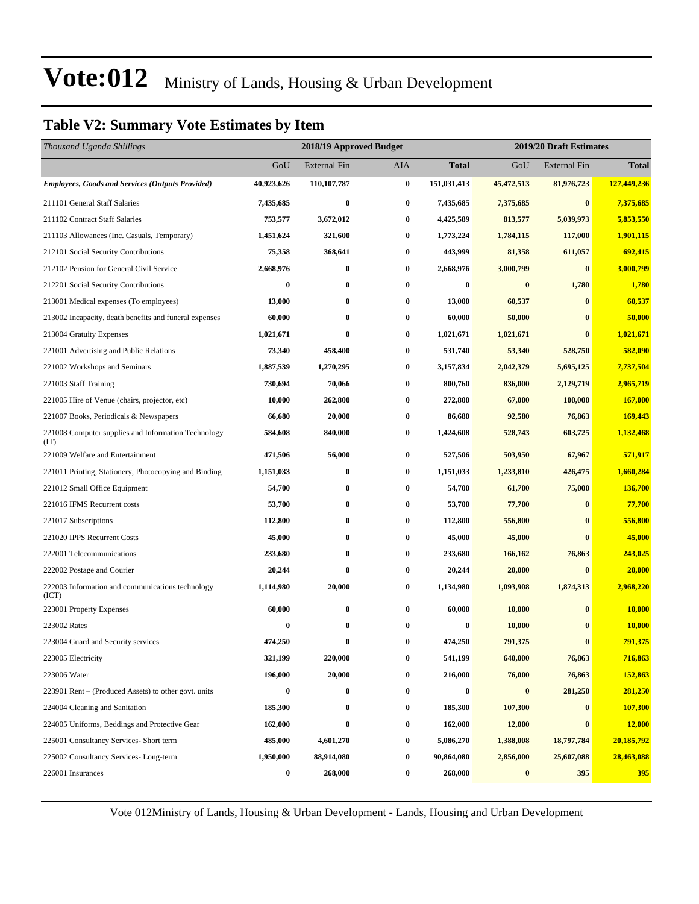### **Table V2: Summary Vote Estimates by Item**

| Thousand Uganda Shillings                                   |            | 2018/19 Approved Budget |          | 2019/20 Draft Estimates |            |                     |               |
|-------------------------------------------------------------|------------|-------------------------|----------|-------------------------|------------|---------------------|---------------|
|                                                             | GoU        | <b>External Fin</b>     | AIA      | <b>Total</b>            | GoU        | <b>External Fin</b> | <b>Total</b>  |
| <b>Employees, Goods and Services (Outputs Provided)</b>     | 40,923,626 | 110,107,787             | $\bf{0}$ | 151,031,413             | 45,472,513 | 81,976,723          | 127,449,236   |
| 211101 General Staff Salaries                               | 7,435,685  | $\bf{0}$                | $\bf{0}$ | 7,435,685               | 7,375,685  | $\bf{0}$            | 7,375,685     |
| 211102 Contract Staff Salaries                              | 753,577    | 3,672,012               | 0        | 4,425,589               | 813,577    | 5,039,973           | 5,853,550     |
| 211103 Allowances (Inc. Casuals, Temporary)                 | 1,451,624  | 321,600                 | 0        | 1,773,224               | 1,784,115  | 117,000             | 1,901,115     |
| 212101 Social Security Contributions                        | 75,358     | 368,641                 | 0        | 443,999                 | 81,358     | 611,057             | 692,415       |
| 212102 Pension for General Civil Service                    | 2,668,976  | $\bf{0}$                | 0        | 2,668,976               | 3,000,799  | $\mathbf{0}$        | 3,000,799     |
| 212201 Social Security Contributions                        | $\bf{0}$   | $\bf{0}$                | 0        | $\bf{0}$                | $\bf{0}$   | 1,780               | 1,780         |
| 213001 Medical expenses (To employees)                      | 13,000     | $\bf{0}$                | 0        | 13,000                  | 60,537     | $\bf{0}$            | 60,537        |
| 213002 Incapacity, death benefits and funeral expenses      | 60,000     | $\bf{0}$                | 0        | 60,000                  | 50,000     | $\bf{0}$            | 50,000        |
| 213004 Gratuity Expenses                                    | 1,021,671  | $\bf{0}$                | 0        | 1,021,671               | 1,021,671  | $\bf{0}$            | 1,021,671     |
| 221001 Advertising and Public Relations                     | 73,340     | 458,400                 | 0        | 531,740                 | 53,340     | 528,750             | 582,090       |
| 221002 Workshops and Seminars                               | 1,887,539  | 1,270,295               | $\bf{0}$ | 3,157,834               | 2,042,379  | 5,695,125           | 7,737,504     |
| 221003 Staff Training                                       | 730,694    | 70,066                  | 0        | 800,760                 | 836,000    | 2,129,719           | 2,965,719     |
| 221005 Hire of Venue (chairs, projector, etc)               | 10,000     | 262,800                 | 0        | 272,800                 | 67,000     | 100,000             | 167,000       |
| 221007 Books, Periodicals & Newspapers                      | 66,680     | 20,000                  | 0        | 86,680                  | 92,580     | 76,863              | 169,443       |
| 221008 Computer supplies and Information Technology<br>(TT) | 584,608    | 840,000                 | 0        | 1,424,608               | 528,743    | 603,725             | 1,132,468     |
| 221009 Welfare and Entertainment                            | 471,506    | 56,000                  | 0        | 527,506                 | 503,950    | 67,967              | 571,917       |
| 221011 Printing, Stationery, Photocopying and Binding       | 1,151,033  | $\bf{0}$                | $\bf{0}$ | 1,151,033               | 1,233,810  | 426,475             | 1,660,284     |
| 221012 Small Office Equipment                               | 54,700     | $\bf{0}$                | 0        | 54,700                  | 61,700     | 75,000              | 136,700       |
| 221016 IFMS Recurrent costs                                 | 53,700     | $\bf{0}$                | $\bf{0}$ | 53,700                  | 77,700     | $\bf{0}$            | 77,700        |
| 221017 Subscriptions                                        | 112,800    | $\bf{0}$                | 0        | 112,800                 | 556,800    | 0                   | 556,800       |
| 221020 IPPS Recurrent Costs                                 | 45,000     | $\bf{0}$                | 0        | 45,000                  | 45,000     | $\bf{0}$            | 45,000        |
| 222001 Telecommunications                                   | 233,680    | $\bf{0}$                | 0        | 233,680                 | 166,162    | 76,863              | 243,025       |
| 222002 Postage and Courier                                  | 20,244     | $\bf{0}$                | 0        | 20,244                  | 20,000     | $\bf{0}$            | 20,000        |
| 222003 Information and communications technology<br>(ICT)   | 1,114,980  | 20,000                  | 0        | 1,134,980               | 1,093,908  | 1,874,313           | 2,968,220     |
| 223001 Property Expenses                                    | 60,000     | $\bf{0}$                | 0        | 60,000                  | 10,000     | $\bf{0}$            | <b>10,000</b> |
| 223002 Rates                                                | $\bf{0}$   | $\bf{0}$                | 0        | $\bf{0}$                | 10,000     | $\bf{0}$            | 10,000        |
| 223004 Guard and Security services                          | 474,250    | $\bf{0}$                | 0        | 474,250                 | 791,375    | $\bf{0}$            | 791,375       |
| 223005 Electricity                                          | 321,199    | 220,000                 | $\bf{0}$ | 541,199                 | 640,000    | 76,863              | 716,863       |
| 223006 Water                                                | 196,000    | 20,000                  | 0        | 216,000                 | 76,000     | 76,863              | 152,863       |
| 223901 Rent – (Produced Assets) to other govt. units        | 0          | $\bf{0}$                | $\bf{0}$ | $\bf{0}$                | $\bf{0}$   | 281,250             | 281,250       |
| 224004 Cleaning and Sanitation                              | 185,300    | $\bf{0}$                | $\bf{0}$ | 185,300                 | 107,300    | $\bf{0}$            | 107,300       |
| 224005 Uniforms, Beddings and Protective Gear               | 162,000    | $\bf{0}$                | 0        | 162,000                 | 12,000     | $\bf{0}$            | 12,000        |
| 225001 Consultancy Services- Short term                     | 485,000    | 4,601,270               | 0        | 5,086,270               | 1,388,008  | 18,797,784          | 20,185,792    |
| 225002 Consultancy Services-Long-term                       | 1,950,000  | 88,914,080              | 0        | 90,864,080              | 2,856,000  | 25,607,088          | 28,463,088    |
| 226001 Insurances                                           | 0          | 268,000                 | 0        | 268,000                 | $\bf{0}$   | 395                 | <b>395</b>    |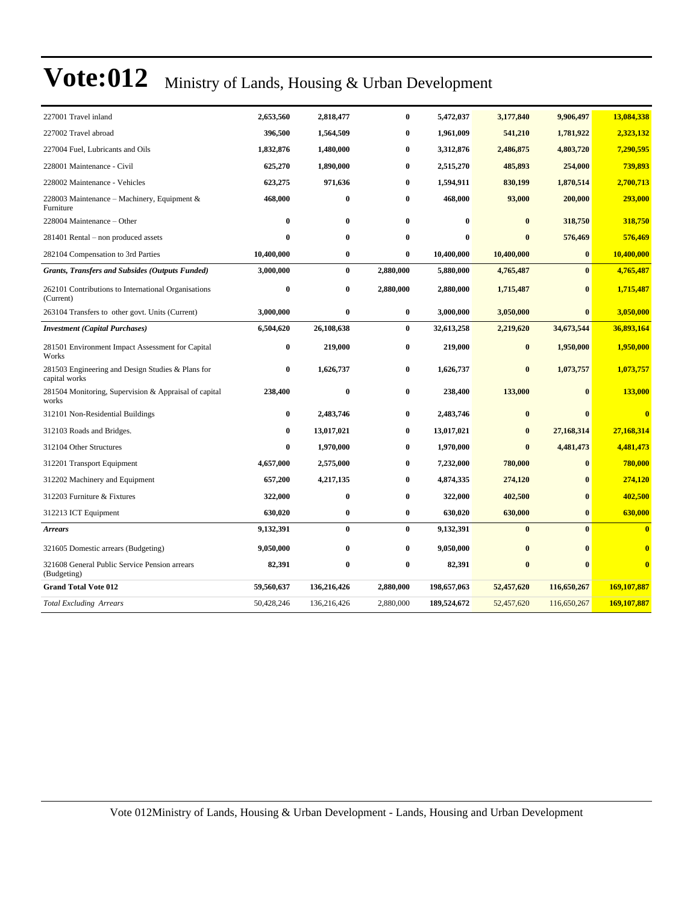| 227001 Travel inland                                               | 2,653,560  | 2,818,477   | 0         | 5,472,037   | 3,177,840    | 9,906,497    | 13,084,338              |
|--------------------------------------------------------------------|------------|-------------|-----------|-------------|--------------|--------------|-------------------------|
| 227002 Travel abroad                                               | 396,500    | 1,564,509   | 0         | 1,961,009   | 541,210      | 1,781,922    | 2,323,132               |
| 227004 Fuel. Lubricants and Oils                                   | 1,832,876  | 1,480,000   | 0         | 3,312,876   | 2,486,875    | 4,803,720    | 7,290,595               |
| 228001 Maintenance - Civil                                         | 625,270    | 1,890,000   | $\bf{0}$  | 2,515,270   | 485,893      | 254,000      | 739,893                 |
| 228002 Maintenance - Vehicles                                      | 623,275    | 971,636     | 0         | 1,594,911   | 830,199      | 1,870,514    | 2,700,713               |
| 228003 Maintenance – Machinery, Equipment &<br>Furniture           | 468,000    | $\bf{0}$    | 0         | 468,000     | 93,000       | 200,000      | 293,000                 |
| 228004 Maintenance - Other                                         | $\bf{0}$   | $\bf{0}$    | 0         | $\bf{0}$    | $\bf{0}$     | 318,750      | 318,750                 |
| 281401 Rental – non produced assets                                | $\bf{0}$   | $\bf{0}$    | 0         | $\bf{0}$    | $\bf{0}$     | 576,469      | 576,469                 |
| 282104 Compensation to 3rd Parties                                 | 10,400,000 | $\bf{0}$    | 0         | 10,400,000  | 10,400,000   | $\bf{0}$     | 10,400,000              |
| <b>Grants, Transfers and Subsides (Outputs Funded)</b>             | 3,000,000  | $\bf{0}$    | 2,880,000 | 5,880,000   | 4,765,487    | $\bf{0}$     | 4,765,487               |
| 262101 Contributions to International Organisations<br>(Current)   | $\bf{0}$   | $\bf{0}$    | 2,880,000 | 2,880,000   | 1,715,487    | $\bf{0}$     | 1,715,487               |
| 263104 Transfers to other govt. Units (Current)                    | 3,000,000  | $\bf{0}$    | $\bf{0}$  | 3,000,000   | 3,050,000    | $\bf{0}$     | 3,050,000               |
| <b>Investment</b> (Capital Purchases)                              | 6,504,620  | 26,108,638  | $\bf{0}$  | 32,613,258  | 2,219,620    | 34,673,544   | 36,893,164              |
| 281501 Environment Impact Assessment for Capital<br>Works          | $\bf{0}$   | 219,000     | 0         | 219,000     | $\bf{0}$     | 1,950,000    | 1,950,000               |
| 281503 Engineering and Design Studies & Plans for<br>capital works | $\bf{0}$   | 1,626,737   | 0         | 1,626,737   | $\bf{0}$     | 1,073,757    | 1,073,757               |
| 281504 Monitoring, Supervision & Appraisal of capital<br>works     | 238,400    | $\bf{0}$    | 0         | 238,400     | 133,000      | $\mathbf{0}$ | 133,000                 |
| 312101 Non-Residential Buildings                                   | $\bf{0}$   | 2,483,746   | 0         | 2,483,746   | $\bf{0}$     | $\bf{0}$     | $\overline{\mathbf{0}}$ |
| 312103 Roads and Bridges.                                          | $\bf{0}$   | 13,017,021  | 0         | 13,017,021  | $\bf{0}$     | 27,168,314   | 27,168,314              |
| 312104 Other Structures                                            | $\bf{0}$   | 1,970,000   | 0         | 1,970,000   | $\mathbf{0}$ | 4,481,473    | 4,481,473               |
| 312201 Transport Equipment                                         | 4,657,000  | 2,575,000   | 0         | 7,232,000   | 780,000      | $\bf{0}$     | 780,000                 |
| 312202 Machinery and Equipment                                     | 657,200    | 4,217,135   | $\bf{0}$  | 4,874,335   | 274,120      | $\mathbf{0}$ | 274,120                 |
| 312203 Furniture & Fixtures                                        | 322,000    | $\bf{0}$    | 0         | 322,000     | 402,500      | $\bf{0}$     | 402,500                 |
| 312213 ICT Equipment                                               | 630,020    | $\bf{0}$    | 0         | 630,020     | 630,000      | $\bf{0}$     | 630,000                 |
| <b>Arrears</b>                                                     | 9,132,391  | $\bf{0}$    | $\bf{0}$  | 9,132,391   | $\bf{0}$     | $\mathbf{0}$ | $\mathbf{0}$            |
| 321605 Domestic arrears (Budgeting)                                | 9,050,000  | $\bf{0}$    | $\bf{0}$  | 9,050,000   | $\bf{0}$     | $\mathbf{0}$ | $\bf{0}$                |
| 321608 General Public Service Pension arrears<br>(Budgeting)       | 82,391     | $\bf{0}$    | 0         | 82,391      | $\bf{0}$     | $\mathbf{0}$ | $\mathbf{0}$            |
| <b>Grand Total Vote 012</b>                                        | 59,560,637 | 136,216,426 | 2,880,000 | 198,657,063 | 52,457,620   | 116,650,267  | 169,107,887             |
| <b>Total Excluding Arrears</b>                                     | 50,428,246 | 136,216,426 | 2,880,000 | 189,524,672 | 52,457,620   | 116,650,267  | 169,107,887             |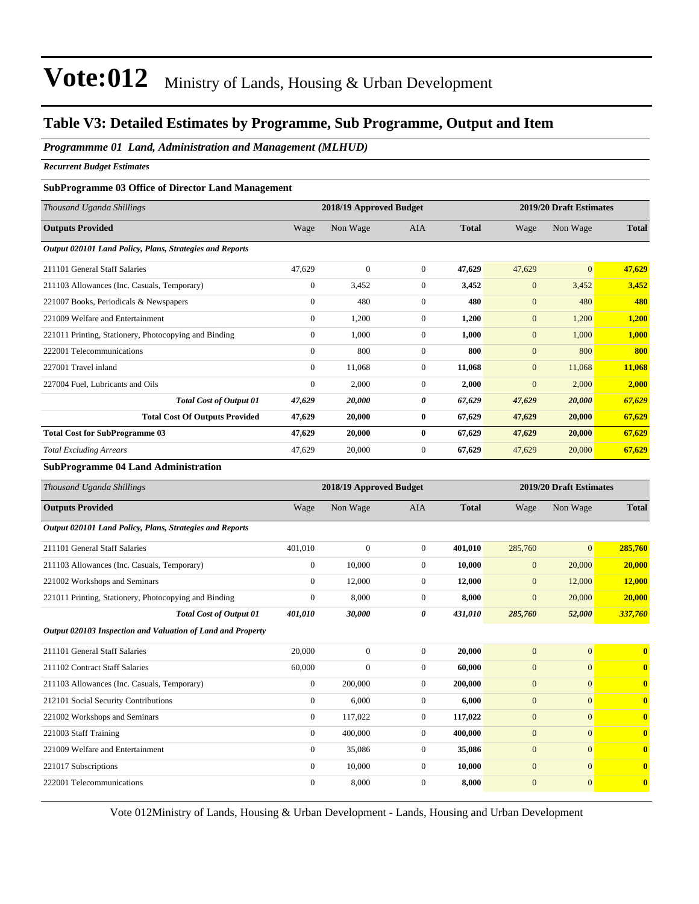#### **Table V3: Detailed Estimates by Programme, Sub Programme, Output and Item**

*Programmme 01 Land, Administration and Management (MLHUD)*

*Recurrent Budget Estimates*

#### **SubProgramme 03 Office of Director Land Management**

| Thousand Uganda Shillings                                |                | 2018/19 Approved Budget |                |              |                  | 2019/20 Draft Estimates |              |  |
|----------------------------------------------------------|----------------|-------------------------|----------------|--------------|------------------|-------------------------|--------------|--|
| <b>Outputs Provided</b>                                  | Wage           | Non Wage                | AIA            | <b>Total</b> | Wage             | Non Wage                | <b>Total</b> |  |
| Output 020101 Land Policy, Plans, Strategies and Reports |                |                         |                |              |                  |                         |              |  |
| 211101 General Staff Salaries                            | 47,629         | $\mathbf{0}$            | $\overline{0}$ | 47,629       | 47,629           | $\overline{0}$          | 47,629       |  |
| 211103 Allowances (Inc. Casuals, Temporary)              | $\overline{0}$ | 3,452                   | $\overline{0}$ | 3,452        | $\mathbf{0}$     | 3,452                   | 3,452        |  |
| 221007 Books, Periodicals & Newspapers                   | $\overline{0}$ | 480                     | $\mathbf{0}$   | 480          | $\mathbf{0}$     | 480                     | 480          |  |
| 221009 Welfare and Entertainment                         | $\overline{0}$ | 1,200                   | $\overline{0}$ | 1,200        | $\mathbf{0}$     | 1,200                   | 1,200        |  |
| 221011 Printing, Stationery, Photocopying and Binding    | $\overline{0}$ | 1,000                   | $\overline{0}$ | 1,000        | $\mathbf{0}$     | 1,000                   | 1,000        |  |
| 222001 Telecommunications                                | $\Omega$       | 800                     | $\Omega$       | 800          | $\overline{0}$   | 800                     | 800          |  |
| 227001 Travel inland                                     | $\overline{0}$ | 11,068                  | $\overline{0}$ | 11,068       | $\mathbf{0}$     | 11,068                  | 11,068       |  |
| 227004 Fuel, Lubricants and Oils                         | $\mathbf{0}$   | 2,000                   | $\overline{0}$ | 2,000        | $\boldsymbol{0}$ | 2,000                   | 2,000        |  |
| <b>Total Cost of Output 01</b>                           | 47,629         | 20,000                  | 0              | 67,629       | 47,629           | 20,000                  | 67,629       |  |
| <b>Total Cost Of Outputs Provided</b>                    | 47,629         | 20,000                  | $\bf{0}$       | 67,629       | 47,629           | 20,000                  | 67,629       |  |
| <b>Total Cost for SubProgramme 03</b>                    | 47,629         | 20,000                  | $\bf{0}$       | 67,629       | 47,629           | 20,000                  | 67,629       |  |
| <b>Total Excluding Arrears</b>                           | 47,629         | 20,000                  | $\overline{0}$ | 67,629       | 47,629           | 20,000                  | 67,629       |  |
| $\alpha$ in<br>$\mathbf{A}$<br>.                         |                |                         |                |              |                  |                         |              |  |

#### **SubProgramme 04 Land Administration**

| Thousand Uganda Shillings                                   |                | 2018/19 Approved Budget |                |              |                | 2019/20 Draft Estimates |                         |  |  |
|-------------------------------------------------------------|----------------|-------------------------|----------------|--------------|----------------|-------------------------|-------------------------|--|--|
| <b>Outputs Provided</b>                                     | Wage           | Non Wage                | <b>AIA</b>     | <b>Total</b> | Wage           | Non Wage                | <b>Total</b>            |  |  |
| Output 020101 Land Policy, Plans, Strategies and Reports    |                |                         |                |              |                |                         |                         |  |  |
| 211101 General Staff Salaries                               | 401,010        | $\mathbf{0}$            | $\overline{0}$ | 401,010      | 285,760        | $\mathbf{0}$            | 285,760                 |  |  |
| 211103 Allowances (Inc. Casuals, Temporary)                 | 0              | 10,000                  | $\overline{0}$ | 10,000       | $\mathbf{0}$   | 20,000                  | 20,000                  |  |  |
| 221002 Workshops and Seminars                               | $\Omega$       | 12,000                  | $\Omega$       | 12,000       | $\mathbf{0}$   | 12,000                  | 12,000                  |  |  |
| 221011 Printing, Stationery, Photocopying and Binding       | $\mathbf{0}$   | 8,000                   | $\overline{0}$ | 8,000        | $\mathbf{0}$   | 20,000                  | 20,000                  |  |  |
| <b>Total Cost of Output 01</b>                              | 401,010        | 30,000                  | 0              | 431,010      | 285,760        | 52,000                  | 337,760                 |  |  |
| Output 020103 Inspection and Valuation of Land and Property |                |                         |                |              |                |                         |                         |  |  |
| 211101 General Staff Salaries                               | 20,000         | $\mathbf{0}$            | $\overline{0}$ | 20,000       | $\mathbf{0}$   | $\overline{0}$          | $\bf{0}$                |  |  |
| 211102 Contract Staff Salaries                              | 60,000         | $\mathbf{0}$            | $\Omega$       | 60,000       | $\mathbf{0}$   | $\mathbf{0}$            | $\bf{0}$                |  |  |
| 211103 Allowances (Inc. Casuals, Temporary)                 | $\bf{0}$       | 200,000                 | $\Omega$       | 200,000      | $\mathbf{0}$   | $\mathbf{0}$            | $\bf{0}$                |  |  |
| 212101 Social Security Contributions                        | $\overline{0}$ | 6,000                   | $\overline{0}$ | 6,000        | $\overline{0}$ | $\overline{0}$          | $\bf{0}$                |  |  |
| 221002 Workshops and Seminars                               | $\overline{0}$ | 117,022                 | $\overline{0}$ | 117,022      | $\overline{0}$ | $\overline{0}$          | $\bf{0}$                |  |  |
| 221003 Staff Training                                       | $\Omega$       | 400,000                 | $\Omega$       | 400,000      | $\mathbf{0}$   | $\mathbf{0}$            | $\overline{\mathbf{0}}$ |  |  |
| 221009 Welfare and Entertainment                            | $\overline{0}$ | 35,086                  | $\Omega$       | 35,086       | $\mathbf{0}$   | $\mathbf{0}$            | $\overline{\mathbf{0}}$ |  |  |
| 221017 Subscriptions                                        | $\overline{0}$ | 10,000                  | $\Omega$       | 10,000       | $\mathbf{0}$   | $\mathbf{0}$            | $\mathbf{0}$            |  |  |
| 222001 Telecommunications                                   | $\overline{0}$ | 8,000                   | $\Omega$       | 8,000        | $\mathbf{0}$   | $\mathbf{0}$            | $\mathbf{0}$            |  |  |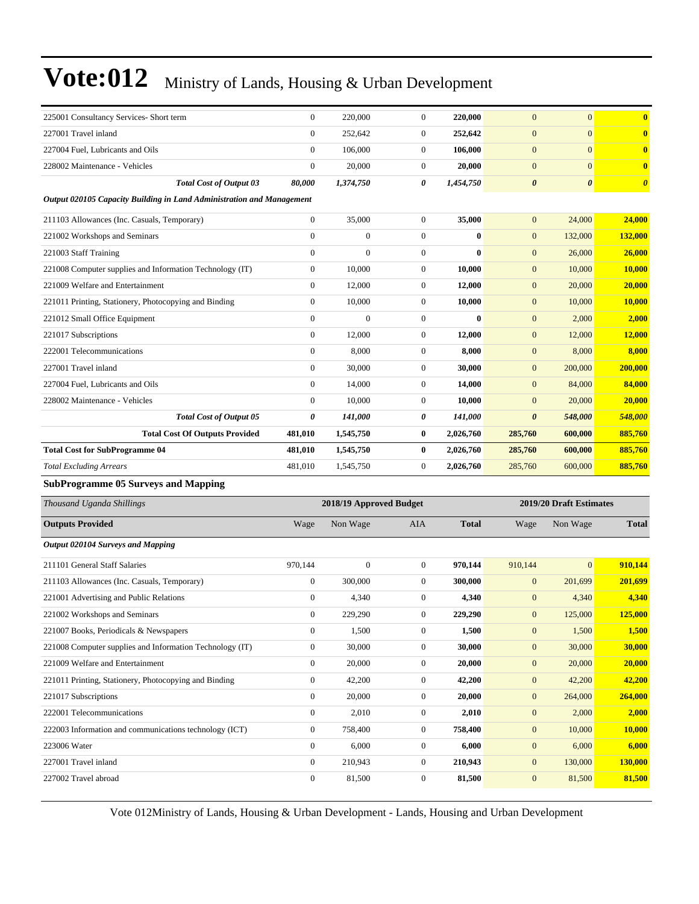| 225001 Consultancy Services- Short term                               | $\overline{0}$   | 220,000                 | $\boldsymbol{0}$ | 220,000      | $\mathbf{0}$          | $\boldsymbol{0}$        | $\bf{0}$              |
|-----------------------------------------------------------------------|------------------|-------------------------|------------------|--------------|-----------------------|-------------------------|-----------------------|
| 227001 Travel inland                                                  | $\boldsymbol{0}$ | 252,642                 | $\boldsymbol{0}$ | 252,642      | $\mathbf{0}$          | $\mathbf{0}$            | $\bf{0}$              |
| 227004 Fuel, Lubricants and Oils                                      | $\boldsymbol{0}$ | 106,000                 | $\boldsymbol{0}$ | 106,000      | $\mathbf{0}$          | $\mathbf{0}$            | $\bf{0}$              |
| 228002 Maintenance - Vehicles                                         | $\mathbf{0}$     | 20,000                  | $\boldsymbol{0}$ | 20,000       | $\boldsymbol{0}$      | $\mathbf{0}$            | $\bf{0}$              |
| <b>Total Cost of Output 03</b>                                        | 80,000           | 1,374,750               | 0                | 1,454,750    | $\boldsymbol{\theta}$ | $\boldsymbol{\theta}$   | $\boldsymbol{\theta}$ |
| Output 020105 Capacity Building in Land Administration and Management |                  |                         |                  |              |                       |                         |                       |
| 211103 Allowances (Inc. Casuals, Temporary)                           | $\mathbf{0}$     | 35,000                  | $\boldsymbol{0}$ | 35,000       | $\mathbf{0}$          | 24,000                  | 24,000                |
| 221002 Workshops and Seminars                                         | $\overline{0}$   | $\overline{0}$          | $\boldsymbol{0}$ | $\mathbf{0}$ | $\mathbf{0}$          | 132,000                 | 132,000               |
| 221003 Staff Training                                                 | $\mathbf{0}$     | $\overline{0}$          | $\boldsymbol{0}$ | $\bf{0}$     | $\mathbf{0}$          | 26,000                  | 26,000                |
| 221008 Computer supplies and Information Technology (IT)              | $\mathbf{0}$     | 10,000                  | $\boldsymbol{0}$ | 10,000       | $\mathbf{0}$          | 10,000                  | <b>10,000</b>         |
| 221009 Welfare and Entertainment                                      | $\mathbf{0}$     | 12,000                  | $\boldsymbol{0}$ | 12,000       | $\boldsymbol{0}$      | 20,000                  | 20,000                |
| 221011 Printing, Stationery, Photocopying and Binding                 | $\mathbf{0}$     | 10,000                  | $\boldsymbol{0}$ | 10,000       | $\mathbf{0}$          | 10,000                  | <b>10,000</b>         |
| 221012 Small Office Equipment                                         | $\boldsymbol{0}$ | $\overline{0}$          | $\boldsymbol{0}$ | $\mathbf{0}$ | $\mathbf{0}$          | 2,000                   | 2,000                 |
| 221017 Subscriptions                                                  | $\mathbf{0}$     | 12,000                  | $\boldsymbol{0}$ | 12,000       | $\mathbf{0}$          | 12,000                  | 12,000                |
| 222001 Telecommunications                                             | $\boldsymbol{0}$ | 8,000                   | $\boldsymbol{0}$ | 8,000        | $\mathbf{0}$          | 8,000                   | 8,000                 |
| 227001 Travel inland                                                  | $\mathbf{0}$     | 30,000                  | $\boldsymbol{0}$ | 30,000       | $\mathbf{0}$          | 200,000                 | 200,000               |
| 227004 Fuel, Lubricants and Oils                                      | $\mathbf{0}$     | 14,000                  | $\boldsymbol{0}$ | 14,000       | $\mathbf{0}$          | 84,000                  | 84,000                |
| 228002 Maintenance - Vehicles                                         | $\mathbf{0}$     | 10,000                  | $\boldsymbol{0}$ | 10,000       | $\mathbf{0}$          | 20,000                  | 20,000                |
| <b>Total Cost of Output 05</b>                                        | 0                | 141,000                 | 0                | 141,000      | $\boldsymbol{\theta}$ | 548,000                 | 548,000               |
| <b>Total Cost Of Outputs Provided</b>                                 | 481,010          | 1,545,750               | $\bf{0}$         | 2,026,760    | 285,760               | 600,000                 | 885,760               |
| <b>Total Cost for SubProgramme 04</b>                                 | 481,010          | 1,545,750               | $\bf{0}$         | 2,026,760    | 285,760               | 600,000                 | 885,760               |
| <b>Total Excluding Arrears</b>                                        | 481,010          | 1,545,750               | $\boldsymbol{0}$ | 2,026,760    | 285,760               | 600,000                 | 885,760               |
| <b>SubProgramme 05 Surveys and Mapping</b>                            |                  |                         |                  |              |                       |                         |                       |
| Thousand Uganda Shillings                                             |                  | 2018/19 Approved Budget |                  |              |                       | 2019/20 Draft Estimates |                       |
| <b>Outputs Provided</b>                                               | Wage             | Non Wage                | AIA              | <b>Total</b> | Wage                  | Non Wage                | <b>Total</b>          |
| <b>Output 020104 Surveys and Mapping</b>                              |                  |                         |                  |              |                       |                         |                       |
| 211101 General Staff Salaries                                         | 970,144          | $\boldsymbol{0}$        | $\boldsymbol{0}$ | 970,144      | 910,144               | $\mathbf{0}$            | 910,144               |
| 211103 Allowances (Inc. Casuals, Temporary)                           | $\boldsymbol{0}$ | 300,000                 | $\boldsymbol{0}$ | 300,000      | $\mathbf{0}$          | 201,699                 | 201,699               |
| 221001 Advertising and Public Relations                               | $\boldsymbol{0}$ | 4,340                   | $\boldsymbol{0}$ | 4,340        | $\mathbf{0}$          | 4,340                   | 4,340                 |
| 221002 Workshops and Seminars                                         | $\mathbf{0}$     | 229,290                 | $\boldsymbol{0}$ | 229,290      | $\mathbf{0}$          | 125,000                 | <b>125,000</b>        |
| 221007 Books, Periodicals & Newspapers                                | $\boldsymbol{0}$ | 1,500                   | $\boldsymbol{0}$ | 1,500        | $\mathbf{0}$          | 1,500                   | 1,500                 |
| 221008 Computer supplies and Information Technology (IT)              | $\boldsymbol{0}$ | 30,000                  | $\boldsymbol{0}$ | 30,000       | $\mathbf{0}$          | 30,000                  | 30,000                |
| 221009 Welfare and Entertainment                                      | $\boldsymbol{0}$ | 20,000                  | $\boldsymbol{0}$ | 20,000       | $\mathbf{0}$          | 20,000                  | 20,000                |
| 221011 Printing, Stationery, Photocopying and Binding                 | $\boldsymbol{0}$ | 42,200                  | $\boldsymbol{0}$ | 42,200       | $\mathbf{0}$          | 42,200                  | 42,200                |
| 221017 Subscriptions                                                  | 0                | 20,000                  | $\boldsymbol{0}$ | 20,000       | $\mathbf{0}$          | 264,000                 | 264,000               |
| 222001 Telecommunications                                             | $\boldsymbol{0}$ | 2,010                   | $\boldsymbol{0}$ | 2,010        | $\boldsymbol{0}$      | 2,000                   | 2,000                 |
| 222003 Information and communications technology (ICT)                | $\boldsymbol{0}$ | 758,400                 | $\boldsymbol{0}$ | 758,400      | $\mathbf{0}$          | 10,000                  | 10,000                |
| 223006 Water                                                          | $\boldsymbol{0}$ | 6,000                   | $\boldsymbol{0}$ | 6,000        | $\mathbf{0}$          | 6,000                   | 6,000                 |
| 227001 Travel inland                                                  | $\boldsymbol{0}$ | 210,943                 | $\boldsymbol{0}$ | 210,943      | $\boldsymbol{0}$      | 130,000                 | 130,000               |
| 227002 Travel abroad                                                  |                  | 81,500                  | $\boldsymbol{0}$ | 81,500       | $\mathbf{0}$          | 81,500                  | 81,500                |
|                                                                       | $\boldsymbol{0}$ |                         |                  |              |                       |                         |                       |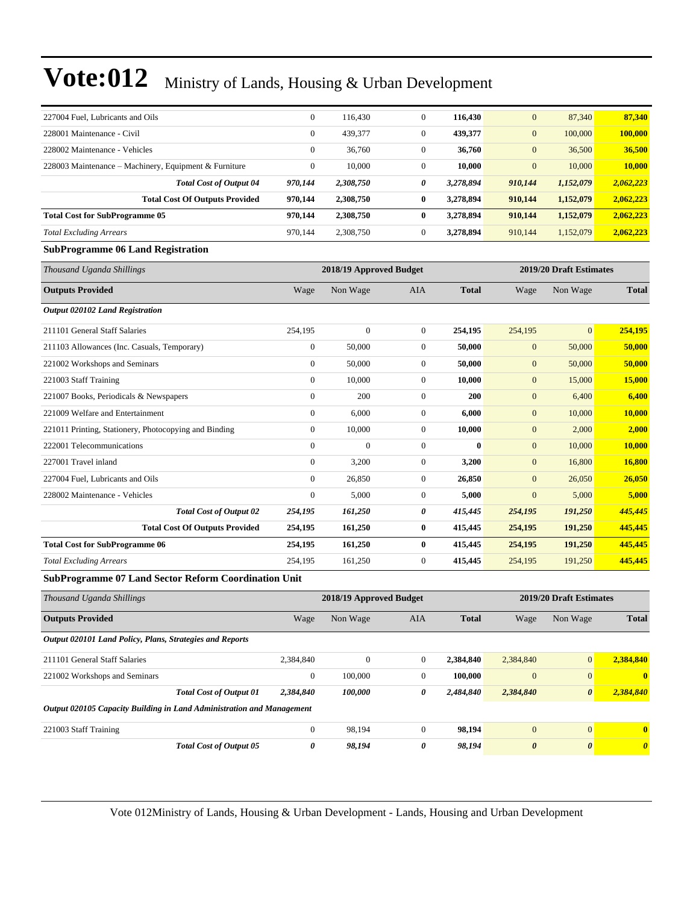| 227004 Fuel, Lubricants and Oils                                      | $\mathbf{0}$     | 116,430                 | 0                | 116,430      | $\mathbf{0}$     | 87,340                  | 87,340        |
|-----------------------------------------------------------------------|------------------|-------------------------|------------------|--------------|------------------|-------------------------|---------------|
| 228001 Maintenance - Civil                                            | $\mathbf{0}$     | 439,377                 | $\boldsymbol{0}$ | 439,377      | $\mathbf{0}$     | 100,000                 | 100,000       |
| 228002 Maintenance - Vehicles                                         | $\boldsymbol{0}$ | 36,760                  | $\boldsymbol{0}$ | 36,760       | $\mathbf{0}$     | 36,500                  | 36,500        |
| 228003 Maintenance – Machinery, Equipment & Furniture                 | $\boldsymbol{0}$ | 10.000                  | $\boldsymbol{0}$ | 10,000       | $\mathbf{0}$     | 10,000                  | 10.000        |
| <b>Total Cost of Output 04</b>                                        | 970,144          | 2,308,750               | 0                | 3,278,894    | 910,144          | 1,152,079               | 2,062,223     |
| <b>Total Cost Of Outputs Provided</b>                                 | 970,144          | 2,308,750               | $\bf{0}$         | 3,278,894    | 910,144          | 1,152,079               | 2,062,223     |
| <b>Total Cost for SubProgramme 05</b>                                 | 970,144          | 2,308,750               | $\bf{0}$         | 3,278,894    | 910,144          | 1,152,079               | 2,062,223     |
| <b>Total Excluding Arrears</b>                                        | 970,144          | 2,308,750               | $\boldsymbol{0}$ | 3,278,894    | 910,144          | 1,152,079               | 2,062,223     |
| <b>SubProgramme 06 Land Registration</b>                              |                  |                         |                  |              |                  |                         |               |
| Thousand Uganda Shillings                                             |                  | 2018/19 Approved Budget |                  |              |                  | 2019/20 Draft Estimates |               |
| <b>Outputs Provided</b>                                               | Wage             | Non Wage                | AIA              | <b>Total</b> | Wage             | Non Wage                | <b>Total</b>  |
| <b>Output 020102 Land Registration</b>                                |                  |                         |                  |              |                  |                         |               |
| 211101 General Staff Salaries                                         | 254,195          | $\boldsymbol{0}$        | $\mathbf{0}$     | 254,195      | 254,195          | $\overline{0}$          | 254,195       |
| 211103 Allowances (Inc. Casuals, Temporary)                           | $\boldsymbol{0}$ | 50,000                  | $\boldsymbol{0}$ | 50,000       | $\mathbf{0}$     | 50,000                  | 50,000        |
| 221002 Workshops and Seminars                                         | $\boldsymbol{0}$ | 50,000                  | $\boldsymbol{0}$ | 50,000       | $\mathbf{0}$     | 50,000                  | 50,000        |
| 221003 Staff Training                                                 | $\boldsymbol{0}$ | 10,000                  | $\boldsymbol{0}$ | 10,000       | $\mathbf{0}$     | 15,000                  | 15,000        |
| 221007 Books, Periodicals & Newspapers                                | $\boldsymbol{0}$ | 200                     | $\boldsymbol{0}$ | 200          | $\mathbf{0}$     | 6,400                   | 6,400         |
| 221009 Welfare and Entertainment                                      | $\boldsymbol{0}$ | 6,000                   | $\boldsymbol{0}$ | 6,000        | $\mathbf{0}$     | 10,000                  | <b>10,000</b> |
| 221011 Printing, Stationery, Photocopying and Binding                 | $\boldsymbol{0}$ | 10,000                  | $\boldsymbol{0}$ | 10,000       | $\mathbf{0}$     | 2,000                   | 2,000         |
| 222001 Telecommunications                                             | $\mathbf{0}$     | $\mathbf{0}$            | $\boldsymbol{0}$ | $\bf{0}$     | $\mathbf{0}$     | 10,000                  | 10,000        |
| 227001 Travel inland                                                  | $\boldsymbol{0}$ | 3,200                   | 0                | 3,200        | $\mathbf{0}$     | 16,800                  | <b>16,800</b> |
| 227004 Fuel, Lubricants and Oils                                      | $\boldsymbol{0}$ | 26,850                  | $\boldsymbol{0}$ | 26,850       | $\mathbf{0}$     | 26,050                  | 26,050        |
| 228002 Maintenance - Vehicles                                         | $\boldsymbol{0}$ | 5,000                   | $\boldsymbol{0}$ | 5,000        | $\mathbf{0}$     | 5,000                   | 5,000         |
| <b>Total Cost of Output 02</b>                                        | 254,195          | 161,250                 | 0                | 415,445      | 254,195          | 191,250                 | 445,445       |
| <b>Total Cost Of Outputs Provided</b>                                 | 254,195          | 161,250                 | $\bf{0}$         | 415,445      | 254,195          | 191,250                 | 445,445       |
| <b>Total Cost for SubProgramme 06</b>                                 | 254,195          | 161,250                 | $\bf{0}$         | 415,445      | 254,195          | 191,250                 | 445,445       |
| <b>Total Excluding Arrears</b>                                        | 254,195          | 161,250                 | $\boldsymbol{0}$ | 415,445      | 254,195          | 191,250                 | 445,445       |
| SubProgramme 07 Land Sector Reform Coordination Unit                  |                  |                         |                  |              |                  |                         |               |
| Thousand Uganda Shillings                                             |                  | 2018/19 Approved Budget |                  |              |                  | 2019/20 Draft Estimates |               |
| <b>Outputs Provided</b>                                               | Wage             | Non Wage                | AIA              | <b>Total</b> | Wage             | Non Wage                | <b>Total</b>  |
| Output 020101 Land Policy, Plans, Strategies and Reports              |                  |                         |                  |              |                  |                         |               |
| 211101 General Staff Salaries                                         | 2,384,840        | $\boldsymbol{0}$        | $\mathbf{0}$     | 2,384,840    | 2,384,840        | $\mathbf{0}$            | 2,384,840     |
| 221002 Workshops and Seminars                                         | $\boldsymbol{0}$ | 100,000                 | $\boldsymbol{0}$ | 100,000      | $\mathbf{0}$     | $\boldsymbol{0}$        | $\bf{0}$      |
| <b>Total Cost of Output 01</b>                                        | 2,384,840        | 100,000                 | 0                | 2,484,840    | 2,384,840        | 0                       | 2,384,840     |
| Output 020105 Capacity Building in Land Administration and Management |                  |                         |                  |              |                  |                         |               |
| 221003 Staff Training                                                 | $\mathbf{0}$     | 98,194                  | $\boldsymbol{0}$ | 98,194       | $\boldsymbol{0}$ | 0                       | $\mathbf{0}$  |

*Total Cost of Output 05 0 98,194 0 98,194 0 0 0*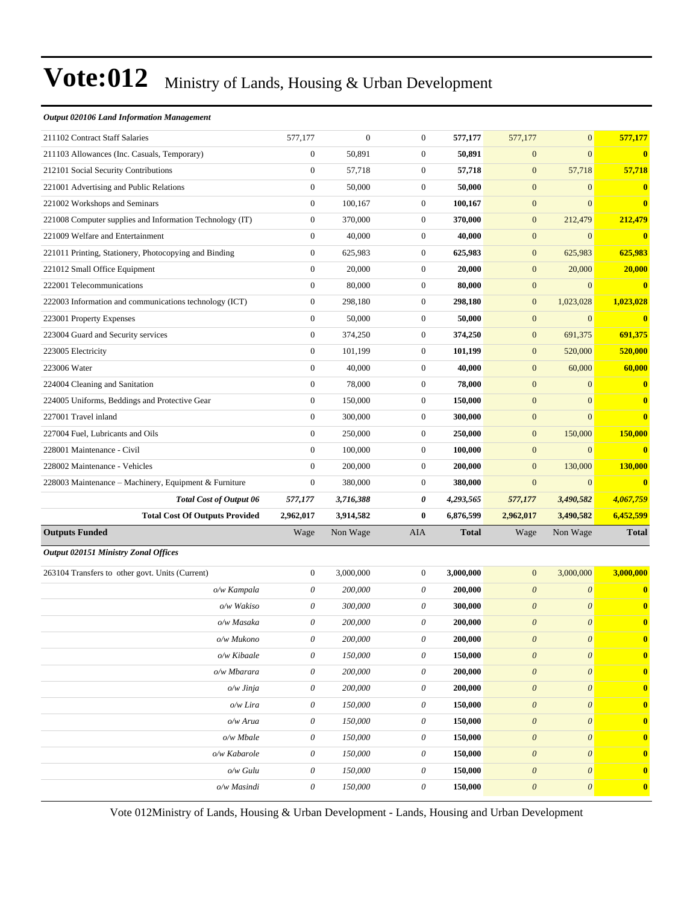#### *Output 020106 Land Information Management*

| 211102 Contract Staff Salaries                           | 577,177                   | $\overline{0}$ | $\boldsymbol{0}$      | 577,177      | 577,177                   | $\overline{0}$            | 577,177          |
|----------------------------------------------------------|---------------------------|----------------|-----------------------|--------------|---------------------------|---------------------------|------------------|
| 211103 Allowances (Inc. Casuals, Temporary)              | $\boldsymbol{0}$          | 50,891         | $\boldsymbol{0}$      | 50,891       | $\boldsymbol{0}$          | $\overline{0}$            | $\bf{0}$         |
| 212101 Social Security Contributions                     | $\boldsymbol{0}$          | 57,718         | $\mathbf{0}$          | 57,718       | $\boldsymbol{0}$          | 57,718                    | 57,718           |
| 221001 Advertising and Public Relations                  | $\boldsymbol{0}$          | 50,000         | $\mathbf{0}$          | 50,000       | $\boldsymbol{0}$          | $\overline{0}$            | $\bf{0}$         |
| 221002 Workshops and Seminars                            | $\boldsymbol{0}$          | 100,167        | $\mathbf{0}$          | 100,167      | $\mathbf{0}$              | $\overline{0}$            | $\bf{0}$         |
| 221008 Computer supplies and Information Technology (IT) | $\boldsymbol{0}$          | 370,000        | $\boldsymbol{0}$      | 370,000      | $\mathbf{0}$              | 212,479                   | 212,479          |
| 221009 Welfare and Entertainment                         | $\boldsymbol{0}$          | 40,000         | $\boldsymbol{0}$      | 40,000       | $\boldsymbol{0}$          | $\overline{0}$            | $\bf{0}$         |
| 221011 Printing, Stationery, Photocopying and Binding    | $\mathbf{0}$              | 625,983        | $\mathbf{0}$          | 625,983      | $\mathbf{0}$              | 625,983                   | 625,983          |
| 221012 Small Office Equipment                            | $\boldsymbol{0}$          | 20,000         | $\mathbf{0}$          | 20,000       | $\boldsymbol{0}$          | 20,000                    | 20,000           |
| 222001 Telecommunications                                | $\mathbf{0}$              | 80,000         | $\boldsymbol{0}$      | 80,000       | $\boldsymbol{0}$          | $\overline{0}$            | $\bf{0}$         |
| 222003 Information and communications technology (ICT)   | $\boldsymbol{0}$          | 298,180        | $\boldsymbol{0}$      | 298,180      | $\mathbf{0}$              | 1,023,028                 | 1,023,028        |
| 223001 Property Expenses                                 | $\boldsymbol{0}$          | 50,000         | $\boldsymbol{0}$      | 50,000       | $\boldsymbol{0}$          | $\mathbf{0}$              | $\bf{0}$         |
| 223004 Guard and Security services                       | $\mathbf{0}$              | 374,250        | $\mathbf{0}$          | 374,250      | $\boldsymbol{0}$          | 691,375                   | 691,375          |
| 223005 Electricity                                       | $\boldsymbol{0}$          | 101,199        | $\boldsymbol{0}$      | 101,199      | $\boldsymbol{0}$          | 520,000                   | 520,000          |
| 223006 Water                                             | $\overline{0}$            | 40,000         | $\boldsymbol{0}$      | 40,000       | $\mathbf{0}$              | 60,000                    | 60,000           |
| 224004 Cleaning and Sanitation                           | $\boldsymbol{0}$          | 78,000         | $\boldsymbol{0}$      | 78,000       | $\mathbf{0}$              | $\overline{0}$            | $\bf{0}$         |
| 224005 Uniforms, Beddings and Protective Gear            | $\boldsymbol{0}$          | 150,000        | $\boldsymbol{0}$      | 150,000      | $\boldsymbol{0}$          | $\mathbf{0}$              | $\bf{0}$         |
| 227001 Travel inland                                     | $\mathbf{0}$              | 300,000        | $\mathbf{0}$          | 300,000      | $\mathbf{0}$              | $\overline{0}$            | $\bf{0}$         |
| 227004 Fuel, Lubricants and Oils                         | $\boldsymbol{0}$          | 250,000        | $\mathbf{0}$          | 250,000      | $\boldsymbol{0}$          | 150,000                   | <b>150,000</b>   |
| 228001 Maintenance - Civil                               | $\overline{0}$            | 100,000        | $\mathbf{0}$          | 100,000      | $\mathbf{0}$              | $\overline{0}$            | $\bf{0}$         |
| 228002 Maintenance - Vehicles                            | $\boldsymbol{0}$          | 200,000        | $\boldsymbol{0}$      | 200,000      | $\mathbf{0}$              | 130,000                   | 130,000          |
| 228003 Maintenance – Machinery, Equipment & Furniture    | $\boldsymbol{0}$          | 380,000        | $\boldsymbol{0}$      | 380,000      | $\boldsymbol{0}$          | $\overline{0}$            | $\bf{0}$         |
| Total Cost of Output 06                                  | 577,177                   | 3,716,388      | 0                     | 4,293,565    | 577,177                   | 3,490,582                 | 4,067,759        |
| <b>Total Cost Of Outputs Provided</b>                    | 2,962,017                 | 3,914,582      | $\bf{0}$              | 6,876,599    | 2,962,017                 | 3,490,582                 | 6,452,599        |
| <b>Outputs Funded</b>                                    | Wage                      | Non Wage       | AIA                   | <b>Total</b> | Wage                      | Non Wage                  | <b>Total</b>     |
| <b>Output 020151 Ministry Zonal Offices</b>              |                           |                |                       |              |                           |                           |                  |
| 263104 Transfers to other govt. Units (Current)          | $\mathbf{0}$              | 3,000,000      | $\mathbf{0}$          | 3,000,000    | $\mathbf{0}$              | 3,000,000                 | 3,000,000        |
| o/w Kampala                                              | $\theta$                  | 200,000        | 0                     | 200,000      | $\boldsymbol{\theta}$     | $\boldsymbol{\theta}$     | $\bf{0}$         |
| o/w Wakiso                                               | $\theta$                  | 300,000        | 0                     | 300,000      | $\boldsymbol{\theta}$     | $\theta$                  | $\bf{0}$         |
| o/w Masaka                                               | 0                         | 200,000        | 0                     | 200,000      | $\boldsymbol{\theta}$     | $\boldsymbol{\theta}$     | $\bf{0}$         |
| o/w Mukono                                               | 0                         | 200,000        | $\theta$              | 200,000      | $\boldsymbol{\theta}$     | $\boldsymbol{\mathit{0}}$ | $\bf{0}$         |
| o/w Kibaale                                              | 0                         | 150,000        | 0                     | 150,000      | $\boldsymbol{\theta}$     | $\boldsymbol{\mathit{0}}$ | $\bf{0}$         |
| o/w Mbarara                                              | $\boldsymbol{\mathit{0}}$ | 200,000        | $\boldsymbol{\theta}$ | 200,000      | $\boldsymbol{\mathit{0}}$ | $\boldsymbol{\mathit{0}}$ | $\bf{0}$         |
| o/w Jinja                                                | $\boldsymbol{\theta}$     | 200,000        | $\theta$              | 200,000      | $\boldsymbol{\theta}$     | $\boldsymbol{\mathit{0}}$ | $\bf{0}$         |
| o/w Lira                                                 | 0                         | 150,000        | $\theta$              | 150,000      | $\boldsymbol{\theta}$     | $\boldsymbol{\theta}$     | $\bf{0}$         |
| o/w Arua                                                 | $\boldsymbol{\mathit{0}}$ | 150,000        | $\theta$              | 150,000      | $\boldsymbol{\mathit{0}}$ | $\boldsymbol{\mathit{0}}$ | $\boldsymbol{0}$ |
| o/w Mbale                                                | 0                         | 150,000        | $\theta$              | 150,000      | $\boldsymbol{\theta}$     | $\boldsymbol{\theta}$     | $\bf{0}$         |
| o/w Kabarole                                             | $\boldsymbol{\mathit{0}}$ | 150,000        | $\theta$              | 150,000      | $\boldsymbol{\mathit{0}}$ | $\boldsymbol{\mathit{0}}$ | $\bf{0}$         |
| o/w Gulu                                                 | $\boldsymbol{\theta}$     | 150,000        | $\theta$              | 150,000      | $\boldsymbol{\theta}$     | $\boldsymbol{\mathit{0}}$ | $\bf{0}$         |
| o/w Masindi                                              | 0                         | 150,000        | 0                     | 150,000      | $\boldsymbol{\mathit{0}}$ | $\boldsymbol{\theta}$     | $\bf{0}$         |
|                                                          |                           |                |                       |              |                           |                           |                  |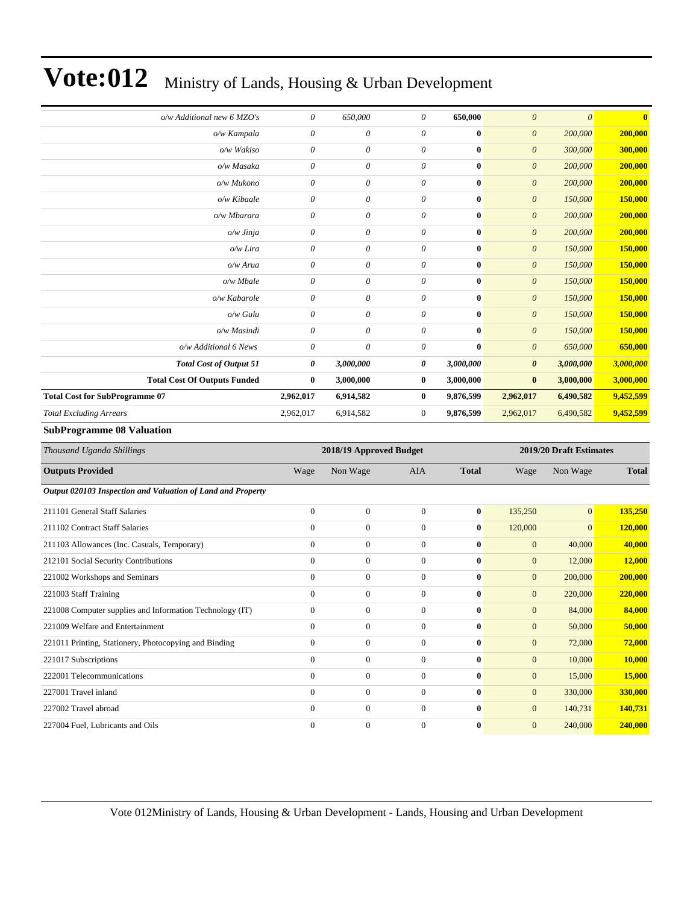| o/w Additional new 6 MZO's                                                          | 0                | 650,000                              | $\theta$                  | 650,000      | $\boldsymbol{\theta}$        | $\theta$                | $\bf{0}$         |
|-------------------------------------------------------------------------------------|------------------|--------------------------------------|---------------------------|--------------|------------------------------|-------------------------|------------------|
| o/w Kampala                                                                         | 0                | 0                                    | $\theta$                  | $\bf{0}$     | $\boldsymbol{\theta}$        | 200,000                 | 200,000          |
| o/w Wakiso                                                                          | 0                | 0                                    | $\boldsymbol{\mathit{0}}$ | $\bf{0}$     | $\boldsymbol{\theta}$        | 300,000                 | 300,000          |
| o/w Masaka                                                                          | 0                | $\boldsymbol{\mathit{0}}$            | $\theta$                  | $\bf{0}$     | $\boldsymbol{\theta}$        | 200,000                 | 200,000          |
| o/w Mukono                                                                          | 0                | $\boldsymbol{\mathit{0}}$            | $\boldsymbol{\mathit{0}}$ | $\bf{0}$     | $\boldsymbol{\theta}$        | 200,000                 | 200,000          |
| o/w Kibaale                                                                         | 0                | $\boldsymbol{\mathit{0}}$            | $\boldsymbol{\mathit{0}}$ | $\bf{0}$     | $\boldsymbol{\theta}$        | 150,000                 | 150,000          |
| o/w Mbarara                                                                         | 0                | $\boldsymbol{\mathit{0}}$            | $\boldsymbol{\mathit{0}}$ | $\bf{0}$     | $\boldsymbol{\theta}$        | 200,000                 | 200,000          |
| o/w Jinja                                                                           | 0                | 0                                    | $\boldsymbol{\mathit{0}}$ | $\bf{0}$     | $\boldsymbol{\theta}$        | 200,000                 | 200,000          |
| o/w Lira                                                                            | 0                | $\boldsymbol{\mathit{0}}$            | $\theta$                  | $\bf{0}$     | $\boldsymbol{\theta}$        | 150,000                 | 150,000          |
| o/w Arua                                                                            | 0                | $\boldsymbol{\mathit{0}}$            | $\theta$                  | $\bf{0}$     | $\boldsymbol{\theta}$        | 150,000                 | 150,000          |
| o/w Mbale                                                                           | 0                | $\boldsymbol{\mathit{0}}$            | $\boldsymbol{\mathit{0}}$ | $\bf{0}$     | $\boldsymbol{\theta}$        | 150,000                 | 150,000          |
| o/w Kabarole                                                                        | 0                | $\boldsymbol{\mathit{0}}$            | $\boldsymbol{\mathit{0}}$ | $\bf{0}$     | $\boldsymbol{\theta}$        | 150,000                 | 150,000          |
| o/w Gulu                                                                            | 0                | 0                                    | $\boldsymbol{\mathit{0}}$ | $\bf{0}$     | $\boldsymbol{\theta}$        | 150,000                 | 150,000          |
| o/w Masindi                                                                         | 0                | $\theta$                             | $\theta$                  | $\bf{0}$     | $\boldsymbol{\theta}$        | 150,000                 | 150,000          |
| o/w Additional 6 News                                                               | 0                | $\theta$                             | $\boldsymbol{\mathit{0}}$ | $\bf{0}$     | $\theta$                     | 650,000                 | 650,000          |
| <b>Total Cost of Output 51</b>                                                      | 0                | 3,000,000                            | 0                         | 3,000,000    | $\boldsymbol{\theta}$        | 3,000,000               | 3,000,000        |
| <b>Total Cost Of Outputs Funded</b>                                                 | $\bf{0}$         | 3,000,000                            | $\bf{0}$                  | 3,000,000    | $\bf{0}$                     | 3,000,000               | 3,000,000        |
| <b>Total Cost for SubProgramme 07</b>                                               | 2,962,017        | 6,914,582                            | $\bf{0}$                  | 9,876,599    | 2,962,017                    | 6,490,582               | 9,452,599        |
|                                                                                     |                  |                                      |                           |              |                              |                         |                  |
| <b>Total Excluding Arrears</b>                                                      | 2,962,017        | 6,914,582                            | $\boldsymbol{0}$          | 9,876,599    | 2,962,017                    | 6,490,582               | 9,452,599        |
| <b>SubProgramme 08 Valuation</b>                                                    |                  |                                      |                           |              |                              |                         |                  |
| Thousand Uganda Shillings                                                           |                  | 2018/19 Approved Budget              |                           |              |                              | 2019/20 Draft Estimates |                  |
| <b>Outputs Provided</b>                                                             | Wage             | Non Wage                             | AIA                       | <b>Total</b> | Wage                         | Non Wage                | <b>Total</b>     |
| Output 020103 Inspection and Valuation of Land and Property                         |                  |                                      |                           |              |                              |                         |                  |
| 211101 General Staff Salaries                                                       | $\boldsymbol{0}$ | $\boldsymbol{0}$                     | $\boldsymbol{0}$          | $\bf{0}$     |                              | $\mathbf{0}$            |                  |
| 211102 Contract Staff Salaries                                                      | $\boldsymbol{0}$ | $\boldsymbol{0}$                     | $\boldsymbol{0}$          | $\bf{0}$     | 135,250                      | $\mathbf{0}$            | 135,250          |
|                                                                                     | $\boldsymbol{0}$ |                                      | $\boldsymbol{0}$          | $\bf{0}$     | 120,000                      |                         | 120,000          |
| 211103 Allowances (Inc. Casuals, Temporary)<br>212101 Social Security Contributions | $\boldsymbol{0}$ | $\boldsymbol{0}$<br>$\boldsymbol{0}$ | $\boldsymbol{0}$          | $\bf{0}$     | $\mathbf{0}$<br>$\mathbf{0}$ | 40,000<br>12,000        | 40,000<br>12,000 |
|                                                                                     | $\overline{0}$   | $\boldsymbol{0}$                     | $\boldsymbol{0}$          | $\bf{0}$     | $\mathbf{0}$                 | 200,000                 | 200,000          |
| 221002 Workshops and Seminars<br>221003 Staff Training                              | $\boldsymbol{0}$ | $\mathbf{0}$                         | $\mathbf{0}$              | $\bf{0}$     | $\mathbf{0}$                 | 220,000                 | 220,000          |
| 221008 Computer supplies and Information Technology (IT)                            | $\boldsymbol{0}$ | $\boldsymbol{0}$                     | $\mathbf{0}$              | $\bf{0}$     | $\overline{0}$               | 84,000                  | 84,000           |
| 221009 Welfare and Entertainment                                                    | $\boldsymbol{0}$ | $\boldsymbol{0}$                     | $\boldsymbol{0}$          | $\bf{0}$     | $\mathbf{0}$                 |                         | 50,000           |
| 221011 Printing, Stationery, Photocopying and Binding                               | $\overline{0}$   | $\boldsymbol{0}$                     | $\boldsymbol{0}$          | 0            | $\mathbf{0}$                 | 50,000<br>72,000        | 72,000           |
| 221017 Subscriptions                                                                | $\overline{0}$   | $\boldsymbol{0}$                     | $\boldsymbol{0}$          | $\bf{0}$     | $\boldsymbol{0}$             | 10,000                  | 10,000           |
| 222001 Telecommunications                                                           | $\mathbf{0}$     | $\boldsymbol{0}$                     | $\boldsymbol{0}$          | 0            | $\mathbf{0}$                 | 15,000                  | 15,000           |
| 227001 Travel inland                                                                | $\mathbf{0}$     | $\boldsymbol{0}$                     | $\boldsymbol{0}$          | $\bf{0}$     | $\mathbf{0}$                 | 330,000                 | 330,000          |
| 227002 Travel abroad                                                                | $\boldsymbol{0}$ | $\boldsymbol{0}$                     | $\boldsymbol{0}$          | 0            | $\mathbf{0}$                 | 140,731                 | <b>140,731</b>   |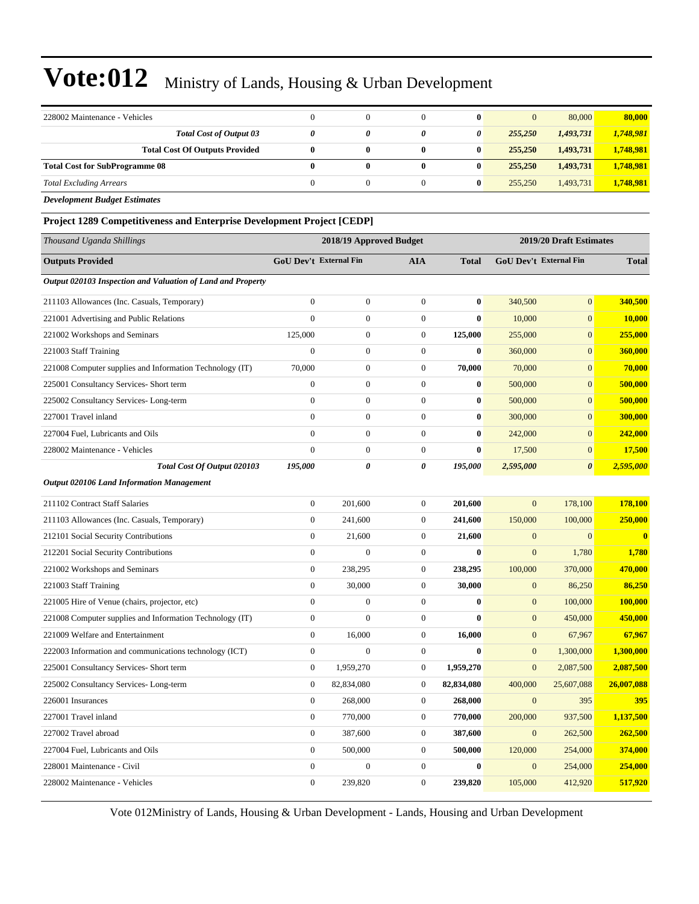| 228002 Maintenance - Vehicles                                          | $\overline{0}$                                     | $\boldsymbol{0}$ | $\mathbf{0}$     | $\bf{0}$         | $\mathbf{0}$ | 80,000                 | 80,000       |
|------------------------------------------------------------------------|----------------------------------------------------|------------------|------------------|------------------|--------------|------------------------|--------------|
| <b>Total Cost of Output 03</b>                                         | $\boldsymbol{\theta}$                              | 0                | 0                | 0                | 255,250      | 1,493,731              | 1,748,981    |
| <b>Total Cost Of Outputs Provided</b>                                  | $\bf{0}$                                           | 0                | $\bf{0}$         | $\bf{0}$         | 255,250      | 1,493,731              | 1,748,981    |
| <b>Total Cost for SubProgramme 08</b>                                  | $\bf{0}$                                           | 0                | $\bf{0}$         | $\bf{0}$         | 255,250      | 1,493,731              | 1,748,981    |
| <b>Total Excluding Arrears</b>                                         | $\mathbf{0}$                                       | $\mathbf{0}$     | $\mathbf{0}$     | $\bf{0}$         | 255,250      | 1,493,731              | 1,748,981    |
| <b>Development Budget Estimates</b>                                    |                                                    |                  |                  |                  |              |                        |              |
| Project 1289 Competitiveness and Enterprise Development Project [CEDP] |                                                    |                  |                  |                  |              |                        |              |
| Thousand Uganda Shillings                                              | 2019/20 Draft Estimates<br>2018/19 Approved Budget |                  |                  |                  |              |                        |              |
| <b>Outputs Provided</b>                                                | <b>GoU Dev't External Fin</b>                      |                  | AIA              | <b>Total</b>     |              | GoU Dev't External Fin | <b>Total</b> |
| Output 020103 Inspection and Valuation of Land and Property            |                                                    |                  |                  |                  |              |                        |              |
| 211103 Allowances (Inc. Casuals, Temporary)                            | $\mathbf{0}$                                       | $\boldsymbol{0}$ | $\boldsymbol{0}$ | $\bf{0}$         | 340,500      | $\overline{0}$         | 340,500      |
| 221001 Advertising and Public Relations                                | $\mathbf{0}$                                       | $\boldsymbol{0}$ | $\boldsymbol{0}$ | $\bf{0}$         | 10,000       | $\mathbf{0}$           | 10,000       |
| 221002 Workshops and Seminars                                          | 125,000                                            | $\boldsymbol{0}$ | $\boldsymbol{0}$ | 125,000          | 255,000      | $\mathbf{0}$           | 255,000      |
| 221003 Staff Training                                                  | $\mathbf{0}$                                       | $\boldsymbol{0}$ | $\overline{0}$   | $\bf{0}$         | 360,000      | $\mathbf{0}$           | 360,000      |
| 221008 Computer supplies and Information Technology (IT)               | 70,000                                             | $\boldsymbol{0}$ | $\boldsymbol{0}$ | 70,000           | 70,000       | $\mathbf{0}$           | 70,000       |
| 225001 Consultancy Services- Short term                                | $\boldsymbol{0}$                                   | $\boldsymbol{0}$ | $\boldsymbol{0}$ | $\bf{0}$         | 500,000      | $\mathbf{0}$           | 500,000      |
| 225002 Consultancy Services-Long-term                                  | $\boldsymbol{0}$                                   | $\boldsymbol{0}$ | $\boldsymbol{0}$ | $\bf{0}$         | 500,000      | $\mathbf{0}$           | 500,000      |
| 227001 Travel inland                                                   | $\mathbf{0}$                                       | $\boldsymbol{0}$ | $\boldsymbol{0}$ | $\bf{0}$         | 300,000      | $\mathbf{0}$           | 300,000      |
| 227004 Fuel, Lubricants and Oils                                       | $\mathbf{0}$                                       | $\boldsymbol{0}$ | $\boldsymbol{0}$ | $\bf{0}$         | 242,000      | $\mathbf{0}$           | 242,000      |
| 228002 Maintenance - Vehicles                                          | $\mathbf{0}$                                       | $\overline{0}$   | $\boldsymbol{0}$ | $\bf{0}$         | 17,500       | $\mathbf{0}$           | 17,500       |
| Total Cost Of Output 020103                                            | 195,000                                            | 0                | 0                | 195,000          | 2,595,000    | $\boldsymbol{\theta}$  | 2,595,000    |
| <b>Output 020106 Land Information Management</b>                       |                                                    |                  |                  |                  |              |                        |              |
| 211102 Contract Staff Salaries                                         | $\mathbf{0}$                                       | 201,600          | $\boldsymbol{0}$ | 201,600          | $\mathbf{0}$ | 178,100                | 178,100      |
| 211103 Allowances (Inc. Casuals, Temporary)                            | $\boldsymbol{0}$                                   | 241,600          | $\boldsymbol{0}$ | 241,600          | 150,000      | 100,000                | 250,000      |
| 212101 Social Security Contributions                                   | $\boldsymbol{0}$                                   | 21,600           | $\boldsymbol{0}$ | 21,600           | $\mathbf{0}$ | $\boldsymbol{0}$       | $\bf{0}$     |
| 212201 Social Security Contributions                                   | $\mathbf{0}$                                       | $\overline{0}$   | $\mathbf{0}$     | $\bf{0}$         | $\mathbf{0}$ | 1,780                  | 1,780        |
| 221002 Workshops and Seminars                                          | $\boldsymbol{0}$                                   | 238,295          | $\boldsymbol{0}$ | 238,295          | 100,000      | 370,000                | 470,000      |
| 221003 Staff Training                                                  | $\mathbf{0}$                                       | 30,000           | $\boldsymbol{0}$ | 30,000           | $\mathbf{0}$ | 86,250                 | 86,250       |
| 221005 Hire of Venue (chairs, projector, etc)                          | $\mathbf{0}$                                       | $\boldsymbol{0}$ | $\overline{0}$   | $\bf{0}$         | $\mathbf{0}$ | 100,000                | 100,000      |
| 221008 Computer supplies and Information Technology (IT)               | $\boldsymbol{0}$                                   | $\boldsymbol{0}$ | $\boldsymbol{0}$ | $\boldsymbol{0}$ | $\mathbf{0}$ | 450,000                | 450,000      |
| 221009 Welfare and Entertainment                                       | $\boldsymbol{0}$                                   | 16,000           | $\boldsymbol{0}$ | 16,000           | $\mathbf{0}$ | 67,967                 | 67,967       |
| 222003 Information and communications technology (ICT)                 | $\boldsymbol{0}$                                   | $\boldsymbol{0}$ | $\boldsymbol{0}$ | $\bf{0}$         | $\mathbf{0}$ | 1,300,000              | 1,300,000    |
| 225001 Consultancy Services- Short term                                | $\mathbf{0}$                                       | 1,959,270        | $\boldsymbol{0}$ | 1,959,270        | $\mathbf{0}$ | 2,087,500              | 2,087,500    |
| 225002 Consultancy Services-Long-term                                  | $\mathbf{0}$                                       | 82,834,080       | 0                | 82,834,080       | 400,000      | 25,607,088             | 26,007,088   |
| 226001 Insurances                                                      | $\overline{0}$                                     | 268,000          | $\boldsymbol{0}$ | 268,000          | $\mathbf{0}$ | 395                    | <b>395</b>   |
| 227001 Travel inland                                                   | $\mathbf{0}$                                       | 770,000          | $\boldsymbol{0}$ | 770,000          | 200,000      | 937,500                | 1,137,500    |
| 227002 Travel abroad                                                   | $\boldsymbol{0}$                                   | 387,600          | $\boldsymbol{0}$ | 387,600          | $\mathbf{0}$ | 262,500                | 262,500      |
| 227004 Fuel, Lubricants and Oils                                       | $\mathbf{0}$                                       | 500,000          | $\boldsymbol{0}$ | 500,000          | 120,000      | 254,000                | 374,000      |
| 228001 Maintenance - Civil                                             | $\boldsymbol{0}$                                   | $\boldsymbol{0}$ | $\boldsymbol{0}$ | $\bf{0}$         | $\mathbf{0}$ | 254,000                | 254,000      |
| 228002 Maintenance - Vehicles                                          | $\overline{0}$                                     | 239,820          | $\boldsymbol{0}$ | 239,820          | 105,000      | 412,920                | 517,920      |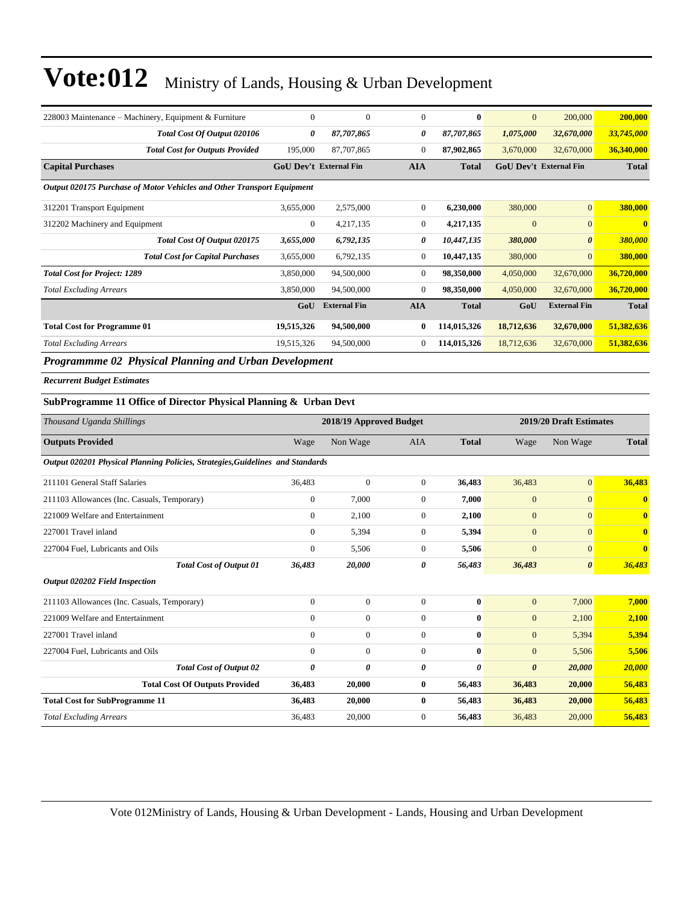| 228003 Maintenance – Machinery, Equipment & Furniture                  | $\overline{0}$ | $\mathbf{0}$                  | $\mathbf{0}$   | $\mathbf{0}$ | $\mathbf{0}$                  | 200,000               | 200,000      |
|------------------------------------------------------------------------|----------------|-------------------------------|----------------|--------------|-------------------------------|-----------------------|--------------|
| Total Cost Of Output 020106                                            | 0              | 87,707,865                    | 0              | 87,707,865   | 1,075,000                     | 32,670,000            | 33,745,000   |
| <b>Total Cost for Outputs Provided</b>                                 | 195,000        | 87,707,865                    | $\mathbf{0}$   | 87,902,865   | 3,670,000                     | 32,670,000            | 36,340,000   |
| <b>Capital Purchases</b>                                               |                | <b>GoU Dev't External Fin</b> | <b>AIA</b>     | <b>Total</b> | <b>GoU Dev't External Fin</b> |                       | <b>Total</b> |
| Output 020175 Purchase of Motor Vehicles and Other Transport Equipment |                |                               |                |              |                               |                       |              |
| 312201 Transport Equipment                                             | 3,655,000      | 2,575,000                     | $\theta$       | 6,230,000    | 380,000                       | $\mathbf{0}$          | 380,000      |
| 312202 Machinery and Equipment                                         | $\overline{0}$ | 4,217,135                     | $\overline{0}$ | 4,217,135    | $\overline{0}$                | $\mathbf{0}$          | $\mathbf{0}$ |
| Total Cost Of Output 020175                                            | 3,655,000      | 6,792,135                     | 0              | 10,447,135   | 380,000                       | $\boldsymbol{\theta}$ | 380,000      |
| <b>Total Cost for Capital Purchases</b>                                | 3,655,000      | 6,792,135                     | $\overline{0}$ | 10,447,135   | 380,000                       | $\overline{0}$        | 380,000      |
| <b>Total Cost for Project: 1289</b>                                    | 3,850,000      | 94,500,000                    | $\overline{0}$ | 98,350,000   | 4,050,000                     | 32,670,000            | 36,720,000   |
| <b>Total Excluding Arrears</b>                                         | 3,850,000      | 94,500,000                    | $\theta$       | 98,350,000   | 4,050,000                     | 32,670,000            | 36,720,000   |
|                                                                        | GoU            | <b>External Fin</b>           | <b>AIA</b>     | <b>Total</b> | GoU                           | <b>External Fin</b>   | <b>Total</b> |
| <b>Total Cost for Programme 01</b>                                     | 19,515,326     | 94,500,000                    | $\mathbf{0}$   | 114,015,326  | 18,712,636                    | 32,670,000            | 51,382,636   |
| <b>Total Excluding Arrears</b>                                         | 19,515,326     | 94,500,000                    | $\theta$       | 114,015,326  | 18,712,636                    | 32,670,000            | 51,382,636   |
| .<br>$- - - -$                                                         |                |                               |                |              |                               |                       |              |

*Programmme 02 Physical Planning and Urban Development*

*Recurrent Budget Estimates*

#### **SubProgramme 11 Office of Director Physical Planning & Urban Devt**

| Thousand Uganda Shillings                                                      |                | 2018/19 Approved Budget |                |              | 2019/20 Draft Estimates |                       |                         |
|--------------------------------------------------------------------------------|----------------|-------------------------|----------------|--------------|-------------------------|-----------------------|-------------------------|
| <b>Outputs Provided</b>                                                        | Wage           | Non Wage                | <b>AIA</b>     | <b>Total</b> | Wage                    | Non Wage              | <b>Total</b>            |
| Output 020201 Physical Planning Policies, Strategies, Guidelines and Standards |                |                         |                |              |                         |                       |                         |
| 211101 General Staff Salaries                                                  | 36,483         | $\mathbf{0}$            | $\overline{0}$ | 36.483       | 36,483                  | $\overline{0}$        | 36,483                  |
| 211103 Allowances (Inc. Casuals, Temporary)                                    | $\mathbf{0}$   | 7,000                   | $\Omega$       | 7,000        | $\overline{0}$          | $\overline{0}$        | $\mathbf{0}$            |
| 221009 Welfare and Entertainment                                               | $\mathbf{0}$   | 2,100                   | $\overline{0}$ | 2,100        | $\overline{0}$          | $\overline{0}$        | $\mathbf{0}$            |
| 227001 Travel inland                                                           | $\Omega$       | 5,394                   | $\overline{0}$ | 5,394        | $\overline{0}$          | $\overline{0}$        | $\overline{\mathbf{0}}$ |
| 227004 Fuel, Lubricants and Oils                                               | $\theta$       | 5,506                   | $\overline{0}$ | 5,506        | $\overline{0}$          | $\mathbf{0}$          | $\overline{\mathbf{0}}$ |
| <b>Total Cost of Output 01</b>                                                 | 36,483         | 20,000                  | 0              | 56,483       | 36,483                  | $\boldsymbol{\theta}$ | 36,483                  |
| <b>Output 020202 Field Inspection</b>                                          |                |                         |                |              |                         |                       |                         |
| 211103 Allowances (Inc. Casuals, Temporary)                                    | $\mathbf{0}$   | $\mathbf{0}$            | $\overline{0}$ | $\bf{0}$     | $\mathbf{0}$            | 7,000                 | 7,000                   |
| 221009 Welfare and Entertainment                                               | $\overline{0}$ | $\mathbf{0}$            | $\overline{0}$ | $\bf{0}$     | $\mathbf{0}$            | 2,100                 | 2,100                   |
| 227001 Travel inland                                                           | $\mathbf{0}$   | $\mathbf{0}$            | $\overline{0}$ | $\mathbf{0}$ | $\mathbf{0}$            | 5,394                 | 5,394                   |
| 227004 Fuel, Lubricants and Oils                                               | $\mathbf{0}$   | $\mathbf{0}$            | $\Omega$       | $\mathbf{0}$ | $\mathbf{0}$            | 5,506                 | 5,506                   |
| <b>Total Cost of Output 02</b>                                                 | 0              | 0                       | 0              | 0            | $\boldsymbol{\theta}$   | 20,000                | 20,000                  |
| <b>Total Cost Of Outputs Provided</b>                                          | 36,483         | 20,000                  | $\bf{0}$       | 56,483       | 36,483                  | 20,000                | 56,483                  |
| <b>Total Cost for SubProgramme 11</b>                                          | 36,483         | 20,000                  | $\mathbf{0}$   | 56,483       | 36,483                  | 20,000                | 56,483                  |
| <b>Total Excluding Arrears</b>                                                 | 36,483         | 20,000                  | $\mathbf{0}$   | 56,483       | 36,483                  | 20,000                | 56,483                  |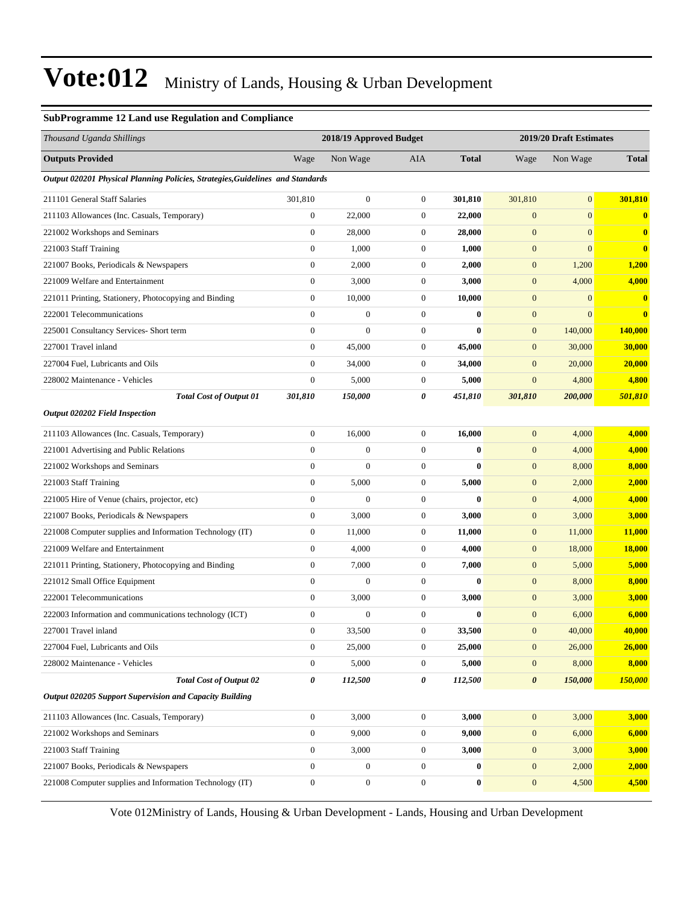#### **SubProgramme 12 Land use Regulation and Compliance**

| Thousand Uganda Shillings                                                      |                  | 2018/19 Approved Budget |                  |              | 2019/20 Draft Estimates |              |               |  |
|--------------------------------------------------------------------------------|------------------|-------------------------|------------------|--------------|-------------------------|--------------|---------------|--|
| <b>Outputs Provided</b>                                                        | Wage             | Non Wage                | AIA              | <b>Total</b> | Wage                    | Non Wage     | <b>Total</b>  |  |
| Output 020201 Physical Planning Policies, Strategies, Guidelines and Standards |                  |                         |                  |              |                         |              |               |  |
| 211101 General Staff Salaries                                                  | 301,810          | $\mathbf{0}$            | $\mathbf{0}$     | 301,810      | 301,810                 | $\mathbf{0}$ | 301,810       |  |
| 211103 Allowances (Inc. Casuals, Temporary)                                    | $\boldsymbol{0}$ | 22,000                  | $\boldsymbol{0}$ | 22,000       | $\mathbf{0}$            | $\mathbf{0}$ | $\mathbf{0}$  |  |
| 221002 Workshops and Seminars                                                  | $\mathbf{0}$     | 28,000                  | $\boldsymbol{0}$ | 28,000       | $\boldsymbol{0}$        | $\mathbf{0}$ | $\mathbf{0}$  |  |
| 221003 Staff Training                                                          | $\boldsymbol{0}$ | 1,000                   | $\mathbf{0}$     | 1,000        | $\mathbf{0}$            | $\mathbf{0}$ | $\bf{0}$      |  |
| 221007 Books, Periodicals & Newspapers                                         | $\boldsymbol{0}$ | 2,000                   | $\mathbf{0}$     | 2,000        | $\boldsymbol{0}$        | 1,200        | 1,200         |  |
| 221009 Welfare and Entertainment                                               | $\boldsymbol{0}$ | 3,000                   | $\boldsymbol{0}$ | 3,000        | $\mathbf{0}$            | 4,000        | 4,000         |  |
| 221011 Printing, Stationery, Photocopying and Binding                          | $\boldsymbol{0}$ | 10,000                  | $\boldsymbol{0}$ | 10,000       | $\mathbf{0}$            | $\mathbf{0}$ | $\bf{0}$      |  |
| 222001 Telecommunications                                                      | $\boldsymbol{0}$ | $\boldsymbol{0}$        | $\mathbf{0}$     | $\bf{0}$     | $\boldsymbol{0}$        | $\mathbf{0}$ | $\bf{0}$      |  |
| 225001 Consultancy Services- Short term                                        | $\boldsymbol{0}$ | $\boldsymbol{0}$        | $\mathbf{0}$     | $\bf{0}$     | $\mathbf{0}$            | 140,000      | 140,000       |  |
| 227001 Travel inland                                                           | $\overline{0}$   | 45,000                  | $\boldsymbol{0}$ | 45,000       | $\mathbf{0}$            | 30,000       | 30,000        |  |
| 227004 Fuel, Lubricants and Oils                                               | $\overline{0}$   | 34,000                  | $\mathbf{0}$     | 34,000       | $\mathbf{0}$            | 20,000       | 20,000        |  |
| 228002 Maintenance - Vehicles                                                  | $\boldsymbol{0}$ | 5,000                   | $\mathbf{0}$     | 5,000        | $\boldsymbol{0}$        | 4,800        | 4,800         |  |
| <b>Total Cost of Output 01</b>                                                 | 301,810          | 150,000                 | 0                | 451,810      | 301,810                 | 200,000      | 501,810       |  |
| <b>Output 020202 Field Inspection</b>                                          |                  |                         |                  |              |                         |              |               |  |
| 211103 Allowances (Inc. Casuals, Temporary)                                    | $\boldsymbol{0}$ | 16,000                  | $\mathbf{0}$     | 16,000       | $\mathbf{0}$            | 4,000        | 4,000         |  |
| 221001 Advertising and Public Relations                                        | $\overline{0}$   | $\boldsymbol{0}$        | $\boldsymbol{0}$ | $\bf{0}$     | $\boldsymbol{0}$        | 4,000        | 4,000         |  |
| 221002 Workshops and Seminars                                                  | $\boldsymbol{0}$ | $\overline{0}$          | $\mathbf{0}$     | $\bf{0}$     | $\mathbf{0}$            | 8,000        | 8,000         |  |
| 221003 Staff Training                                                          | $\boldsymbol{0}$ | 5,000                   | $\boldsymbol{0}$ | 5,000        | $\mathbf{0}$            | 2,000        | 2,000         |  |
| 221005 Hire of Venue (chairs, projector, etc)                                  | $\boldsymbol{0}$ | $\overline{0}$          | $\mathbf{0}$     | $\mathbf{0}$ | $\mathbf{0}$            | 4,000        | 4,000         |  |
| 221007 Books, Periodicals & Newspapers                                         | $\boldsymbol{0}$ | 3,000                   | $\mathbf{0}$     | 3,000        | $\mathbf{0}$            | 3,000        | 3,000         |  |
| 221008 Computer supplies and Information Technology (IT)                       | $\boldsymbol{0}$ | 11,000                  | $\boldsymbol{0}$ | 11,000       | $\boldsymbol{0}$        | 11,000       | <b>11,000</b> |  |
| 221009 Welfare and Entertainment                                               | $\boldsymbol{0}$ | 4,000                   | $\boldsymbol{0}$ | 4,000        | $\mathbf{0}$            | 18,000       | <b>18,000</b> |  |
| 221011 Printing, Stationery, Photocopying and Binding                          | $\boldsymbol{0}$ | 7,000                   | $\mathbf{0}$     | 7,000        | $\mathbf{0}$            | 5,000        | 5,000         |  |
| 221012 Small Office Equipment                                                  | $\overline{0}$   | $\mathbf{0}$            | $\mathbf{0}$     | $\mathbf{0}$ | $\mathbf{0}$            | 8,000        | 8,000         |  |
| 222001 Telecommunications                                                      | $\boldsymbol{0}$ | 3,000                   | $\mathbf{0}$     | 3,000        | $\mathbf{0}$            | 3,000        | 3,000         |  |
| 222003 Information and communications technology (ICT)                         | $\boldsymbol{0}$ | $\mathbf{0}$            | $\boldsymbol{0}$ | $\bf{0}$     | $\boldsymbol{0}$        | 6,000        | 6,000         |  |
| 227001 Travel inland                                                           | $\overline{0}$   | 33,500                  | $\mathbf{0}$     | 33,500       | $\overline{0}$          | 40,000       | 40,000        |  |
| 227004 Fuel, Lubricants and Oils                                               | $\boldsymbol{0}$ | 25,000                  | $\boldsymbol{0}$ | 25,000       | $\mathbf{0}$            | 26,000       | 26,000        |  |
| 228002 Maintenance - Vehicles                                                  | $\boldsymbol{0}$ | 5,000                   | $\boldsymbol{0}$ | 5,000        | $\mathbf{0}$            | 8,000        | 8,000         |  |
| <b>Total Cost of Output 02</b>                                                 | 0                | 112,500                 | 0                | 112,500      | $\boldsymbol{\theta}$   | 150,000      | 150,000       |  |
| Output 020205 Support Supervision and Capacity Building                        |                  |                         |                  |              |                         |              |               |  |
| 211103 Allowances (Inc. Casuals, Temporary)                                    | $\boldsymbol{0}$ | 3,000                   | $\boldsymbol{0}$ | 3,000        | $\boldsymbol{0}$        | 3,000        | 3,000         |  |
| 221002 Workshops and Seminars                                                  | $\boldsymbol{0}$ | 9,000                   | $\boldsymbol{0}$ | 9,000        | $\mathbf{0}$            | 6,000        | 6,000         |  |
| 221003 Staff Training                                                          | $\boldsymbol{0}$ | 3,000                   | $\boldsymbol{0}$ | 3,000        | $\mathbf{0}$            | 3,000        | 3,000         |  |
| 221007 Books, Periodicals & Newspapers                                         | $\boldsymbol{0}$ | $\boldsymbol{0}$        | $\boldsymbol{0}$ | $\bf{0}$     | $\mathbf{0}$            | 2,000        | 2,000         |  |
| 221008 Computer supplies and Information Technology (IT)                       | $\boldsymbol{0}$ | $\boldsymbol{0}$        | $\boldsymbol{0}$ | $\bf{0}$     | $\mathbf{0}$            | 4,500        | 4,500         |  |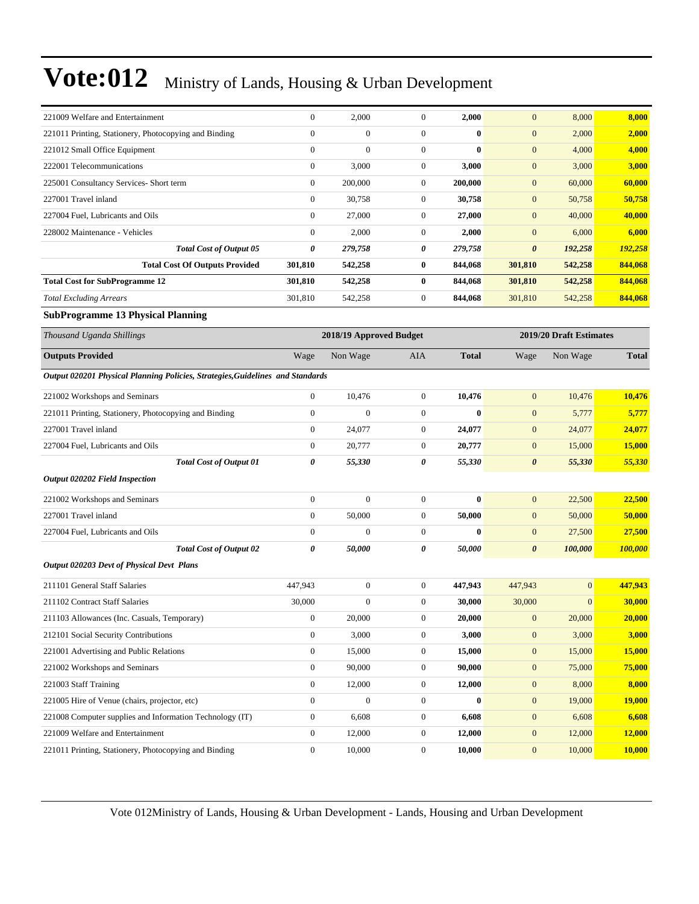| 221009 Welfare and Entertainment                                               | $\Omega$       | 2,000                   | $\theta$       | 2,000        | $\mathbf{0}$          | 8,000                   | 8,000        |
|--------------------------------------------------------------------------------|----------------|-------------------------|----------------|--------------|-----------------------|-------------------------|--------------|
| 221011 Printing, Stationery, Photocopying and Binding                          | $\mathbf{0}$   | $\mathbf{0}$            | $\mathbf{0}$   | $\mathbf{0}$ | $\mathbf{0}$          | 2,000                   | 2,000        |
| 221012 Small Office Equipment                                                  | $\overline{0}$ | $\mathbf{0}$            | $\mathbf{0}$   | $\mathbf{0}$ | $\mathbf{0}$          | 4,000                   | 4,000        |
| 222001 Telecommunications                                                      | $\overline{0}$ | 3,000                   | $\mathbf{0}$   | 3,000        | $\mathbf{0}$          | 3,000                   | 3,000        |
| 225001 Consultancy Services- Short term                                        | $\Omega$       | 200,000                 | $\mathbf{0}$   | 200,000      | $\mathbf{0}$          | 60,000                  | 60,000       |
| 227001 Travel inland                                                           | $\mathbf{0}$   | 30,758                  | $\overline{0}$ | 30.758       | $\mathbf{0}$          | 50,758                  | 50,758       |
| 227004 Fuel, Lubricants and Oils                                               | $\Omega$       | 27,000                  | $\Omega$       | 27,000       | $\mathbf{0}$          | 40,000                  | 40,000       |
| 228002 Maintenance - Vehicles                                                  | $\overline{0}$ | 2,000                   | $\mathbf{0}$   | 2,000        | $\mathbf{0}$          | 6,000                   | 6,000        |
| <b>Total Cost of Output 05</b>                                                 | 0              | 279,758                 | 0              | 279,758      | $\boldsymbol{\theta}$ | 192,258                 | 192,258      |
| <b>Total Cost Of Outputs Provided</b>                                          | 301,810        | 542,258                 | $\bf{0}$       | 844,068      | 301,810               | 542,258                 | 844,068      |
| <b>Total Cost for SubProgramme 12</b>                                          | 301,810        | 542,258                 | $\bf{0}$       | 844,068      | 301,810               | 542,258                 | 844,068      |
| <b>Total Excluding Arrears</b>                                                 | 301,810        | 542,258                 | $\overline{0}$ | 844,068      | 301,810               | 542,258                 | 844,068      |
| <b>SubProgramme 13 Physical Planning</b>                                       |                |                         |                |              |                       |                         |              |
| Thousand Uganda Shillings                                                      |                | 2018/19 Approved Budget |                |              |                       | 2019/20 Draft Estimates |              |
| <b>Outputs Provided</b>                                                        | Wage           | Non Wage                | <b>AIA</b>     | <b>Total</b> | Wage                  | Non Wage                | <b>Total</b> |
| Output 020201 Physical Planning Policies, Strategies, Guidelines and Standards |                |                         |                |              |                       |                         |              |
|                                                                                |                |                         |                |              |                       |                         |              |

| 221002 Workshops and Seminars                         |                                | $\mathbf{0}$ | 10,476       | $\theta$       | 10,476       | $\mathbf{0}$          | 10,476         | 10,476        |
|-------------------------------------------------------|--------------------------------|--------------|--------------|----------------|--------------|-----------------------|----------------|---------------|
| 221011 Printing, Stationery, Photocopying and Binding |                                | $\mathbf{0}$ | $\mathbf{0}$ | $\overline{0}$ | $\bf{0}$     | $\mathbf{0}$          | 5,777          | 5,777         |
| 227001 Travel inland                                  |                                | $\mathbf{0}$ | 24,077       | $\overline{0}$ | 24,077       | $\mathbf{0}$          | 24,077         | 24,077        |
| 227004 Fuel, Lubricants and Oils                      |                                | $\mathbf{0}$ | 20,777       | $\overline{0}$ | 20,777       | $\mathbf{0}$          | 15,000         | 15,000        |
|                                                       | <b>Total Cost of Output 01</b> | 0            | 55,330       | 0              | 55,330       | $\boldsymbol{\theta}$ | 55,330         | 55,330        |
| <b>Output 020202 Field Inspection</b>                 |                                |              |              |                |              |                       |                |               |
| 221002 Workshops and Seminars                         |                                | $\mathbf{0}$ | $\mathbf{0}$ | $\overline{0}$ | $\bf{0}$     | $\mathbf{0}$          | 22,500         | 22,500        |
| 227001 Travel inland                                  |                                | $\mathbf{0}$ | 50,000       | $\overline{0}$ | 50,000       | $\mathbf{0}$          | 50,000         | 50,000        |
| 227004 Fuel, Lubricants and Oils                      |                                | $\mathbf{0}$ | $\mathbf{0}$ | $\overline{0}$ | $\mathbf{0}$ | $\mathbf{0}$          | 27,500         | 27,500        |
|                                                       | <b>Total Cost of Output 02</b> | 0            | 50,000       | 0              | 50,000       | $\boldsymbol{\theta}$ | 100,000        | 100,000       |
| Output 020203 Devt of Physical Devt Plans             |                                |              |              |                |              |                       |                |               |
| 211101 General Staff Salaries                         |                                | 447.943      | $\mathbf{0}$ | $\overline{0}$ | 447,943      | 447,943               | $\overline{0}$ | 447,943       |
| 211102 Contract Staff Selerice                        |                                | 20.000       | $\Omega$     | $\Omega$       | 30.000       | 20,000                | $\Omega$       | <b>20.000</b> |

| 211101 Ochoral Dani Daharo                               | .            |          | $\cdot$        | .            | .              |                |               |
|----------------------------------------------------------|--------------|----------|----------------|--------------|----------------|----------------|---------------|
| 211102 Contract Staff Salaries                           | 30,000       | $\theta$ | $\mathbf{0}$   | 30,000       | 30,000         | $\overline{0}$ | 30,000        |
| 211103 Allowances (Inc. Casuals, Temporary)              | $\mathbf{0}$ | 20,000   | $\mathbf{0}$   | 20,000       | $\overline{0}$ | 20,000         | 20,000        |
| 212101 Social Security Contributions                     | $\theta$     | 3,000    | $\mathbf{0}$   | 3,000        | $\overline{0}$ | 3,000          | 3,000         |
| 221001 Advertising and Public Relations                  | $\theta$     | 15,000   | $\mathbf{0}$   | 15,000       | $\overline{0}$ | 15,000         | 15,000        |
| 221002 Workshops and Seminars                            | $\mathbf{0}$ | 90,000   | $\overline{0}$ | 90,000       | $\overline{0}$ | 75,000         | 75,000        |
| 221003 Staff Training                                    | $\mathbf{0}$ | 12,000   | $\mathbf{0}$   | 12,000       | $\overline{0}$ | 8,000          | 8,000         |
| 221005 Hire of Venue (chairs, projector, etc)            | $\Omega$     | $\theta$ | $\mathbf{0}$   | $\mathbf{0}$ | $\overline{0}$ | 19,000         | <b>19,000</b> |
| 221008 Computer supplies and Information Technology (IT) | $\mathbf{0}$ | 6,608    | $\mathbf{0}$   | 6.608        | $\overline{0}$ | 6,608          | 6,608         |
| 221009 Welfare and Entertainment                         | $\mathbf{0}$ | 12,000   | $\overline{0}$ | 12,000       | $\overline{0}$ | 12,000         | 12,000        |
| 221011 Printing, Stationery, Photocopying and Binding    | $\mathbf{0}$ | 10,000   | $\mathbf{0}$   | 10,000       | $\overline{0}$ | 10,000         | 10.000        |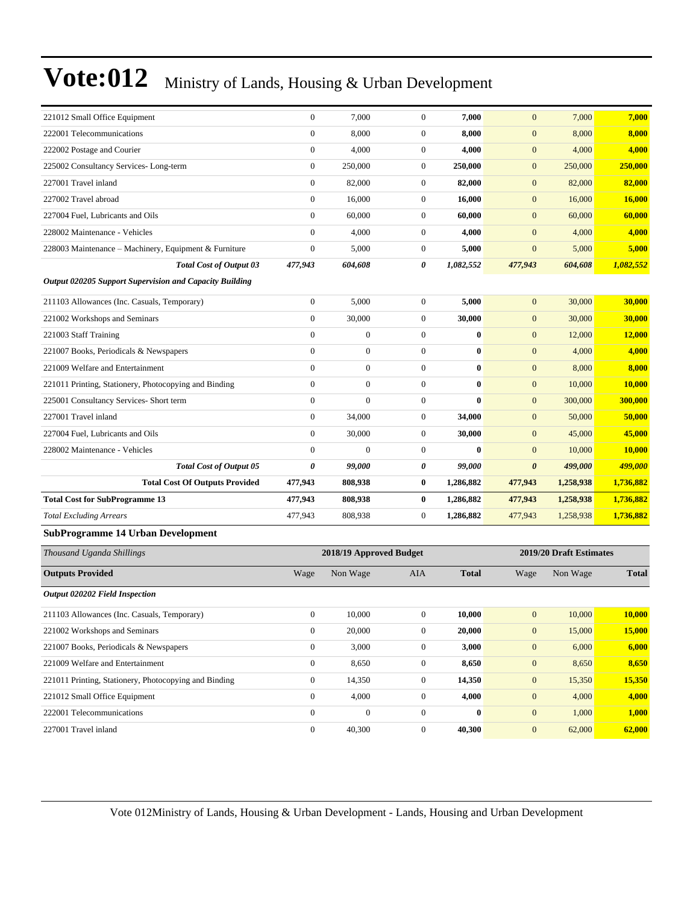| 221012 Small Office Equipment                           | $\boldsymbol{0}$ | 7,000                   | $\boldsymbol{0}$ | 7,000        | $\mathbf{0}$          | 7,000                   | 7,000                |
|---------------------------------------------------------|------------------|-------------------------|------------------|--------------|-----------------------|-------------------------|----------------------|
| 222001 Telecommunications                               | $\boldsymbol{0}$ | 8,000                   | $\boldsymbol{0}$ | 8,000        | $\mathbf{0}$          | 8,000                   | 8,000                |
| 222002 Postage and Courier                              | $\boldsymbol{0}$ | 4,000                   | $\boldsymbol{0}$ | 4,000        | $\boldsymbol{0}$      | 4,000                   | 4,000                |
| 225002 Consultancy Services-Long-term                   | $\boldsymbol{0}$ | 250,000                 | $\boldsymbol{0}$ | 250,000      | $\boldsymbol{0}$      | 250,000                 | 250,000              |
| 227001 Travel inland                                    | $\boldsymbol{0}$ | 82,000                  | 0                | 82,000       | $\mathbf{0}$          | 82,000                  | 82,000               |
| 227002 Travel abroad                                    | $\boldsymbol{0}$ | 16,000                  | $\boldsymbol{0}$ | 16,000       | $\mathbf{0}$          | 16,000                  | 16,000               |
| 227004 Fuel, Lubricants and Oils                        | $\mathbf{0}$     | 60,000                  | $\boldsymbol{0}$ | 60,000       | $\mathbf{0}$          | 60,000                  | 60,000               |
| 228002 Maintenance - Vehicles                           | $\boldsymbol{0}$ | 4,000                   | $\boldsymbol{0}$ | 4,000        | $\mathbf{0}$          | 4,000                   | 4,000                |
| 228003 Maintenance - Machinery, Equipment & Furniture   | $\mathbf{0}$     | 5,000                   | $\boldsymbol{0}$ | 5,000        | $\mathbf{0}$          | 5,000                   | 5,000                |
| <b>Total Cost of Output 03</b>                          | 477,943          | 604,608                 | 0                | 1,082,552    | 477,943               | 604,608                 | 1,082,552            |
| Output 020205 Support Supervision and Capacity Building |                  |                         |                  |              |                       |                         |                      |
| 211103 Allowances (Inc. Casuals, Temporary)             | $\boldsymbol{0}$ | 5,000                   | $\boldsymbol{0}$ | 5,000        | $\mathbf{0}$          | 30,000                  | 30,000               |
| 221002 Workshops and Seminars                           | $\boldsymbol{0}$ | 30,000                  | $\boldsymbol{0}$ | 30,000       | $\mathbf{0}$          | 30,000                  | 30,000               |
| 221003 Staff Training                                   | $\boldsymbol{0}$ | $\boldsymbol{0}$        | $\boldsymbol{0}$ | $\bf{0}$     | $\boldsymbol{0}$      | 12,000                  | 12,000               |
| 221007 Books, Periodicals & Newspapers                  | $\mathbf{0}$     | $\boldsymbol{0}$        | $\boldsymbol{0}$ | $\bf{0}$     | $\mathbf{0}$          | 4,000                   | 4,000                |
| 221009 Welfare and Entertainment                        | $\boldsymbol{0}$ | $\mathbf{0}$            | $\boldsymbol{0}$ | $\bf{0}$     | $\mathbf{0}$          | 8,000                   | 8,000                |
| 221011 Printing, Stationery, Photocopying and Binding   | $\boldsymbol{0}$ | $\boldsymbol{0}$        | $\boldsymbol{0}$ | $\bf{0}$     | $\boldsymbol{0}$      | 10,000                  | 10,000               |
| 225001 Consultancy Services- Short term                 | $\mathbf{0}$     | $\boldsymbol{0}$        | $\boldsymbol{0}$ | $\bf{0}$     | $\mathbf{0}$          | 300,000                 | 300,000              |
| 227001 Travel inland                                    | $\boldsymbol{0}$ | 34,000                  | $\boldsymbol{0}$ | 34,000       | $\mathbf{0}$          | 50,000                  | 50,000               |
| 227004 Fuel, Lubricants and Oils                        | $\mathbf{0}$     | 30,000                  | $\boldsymbol{0}$ | 30,000       | $\mathbf{0}$          | 45,000                  | 45,000               |
| 228002 Maintenance - Vehicles                           | $\boldsymbol{0}$ | $\boldsymbol{0}$        | $\boldsymbol{0}$ | $\bf{0}$     | $\mathbf{0}$          | 10,000                  | 10,000               |
| Total Cost of Output 05                                 | 0                | 99,000                  | 0                | 99,000       | $\boldsymbol{\theta}$ | 499,000                 | <mark>499,000</mark> |
| <b>Total Cost Of Outputs Provided</b>                   | 477,943          | 808,938                 | $\bf{0}$         | 1,286,882    | 477,943               | 1,258,938               | 1,736,882            |
| <b>Total Cost for SubProgramme 13</b>                   | 477,943          | 808,938                 | $\bf{0}$         | 1,286,882    | 477,943               | 1,258,938               | 1,736,882            |
| <b>Total Excluding Arrears</b>                          | 477,943          | 808,938                 | $\boldsymbol{0}$ | 1,286,882    | 477,943               | 1,258,938               | 1,736,882            |
| <b>SubProgramme 14 Urban Development</b>                |                  |                         |                  |              |                       |                         |                      |
| Thousand Uganda Shillings                               |                  | 2018/19 Approved Budget |                  |              |                       | 2019/20 Draft Estimates |                      |
| <b>Outputs Provided</b>                                 | Wage             | Non Wage                | AIA              | <b>Total</b> | Wage                  | Non Wage                | <b>Total</b>         |
| <b>Output 020202 Field Inspection</b>                   |                  |                         |                  |              |                       |                         |                      |
| 211103 Allowances (Inc. Casuals, Temporary)             | $\boldsymbol{0}$ | 10,000                  | $\boldsymbol{0}$ | 10,000       | $\mathbf{0}$          | 10,000                  | 10,000               |
| 221002 Workshops and Seminars                           | $\boldsymbol{0}$ | 20,000                  | $\boldsymbol{0}$ | 20,000       | $\mathbf{0}$          | 15,000                  | 15,000               |
| 221007 Books, Periodicals & Newspapers                  | $\boldsymbol{0}$ | 3,000                   | $\boldsymbol{0}$ | 3,000        | $\mathbf{0}$          | 6,000                   | 6,000                |
| 221009 Welfare and Entertainment                        | $\boldsymbol{0}$ | 8,650                   | $\boldsymbol{0}$ | 8,650        | $\mathbf{0}$          | 8,650                   | 8,650                |
| 221011 Printing, Stationery, Photocopying and Binding   | $\boldsymbol{0}$ | 14,350                  | $\boldsymbol{0}$ | 14,350       | $\mathbf{0}$          | 15,350                  | 15,350               |
| 221012 Small Office Equipment                           | $\boldsymbol{0}$ | 4,000                   | $\boldsymbol{0}$ | 4,000        | $\mathbf{0}$          | 4,000                   | 4,000                |
| 222001 Telecommunications                               | $\boldsymbol{0}$ | $\boldsymbol{0}$        | $\boldsymbol{0}$ | $\bf{0}$     | $\mathbf{0}$          | 1,000                   | 1,000                |
| 227001 Travel inland                                    | $\boldsymbol{0}$ | 40,300                  | $\boldsymbol{0}$ | 40,300       | $\mathbf{0}$          | 62,000                  | 62,000               |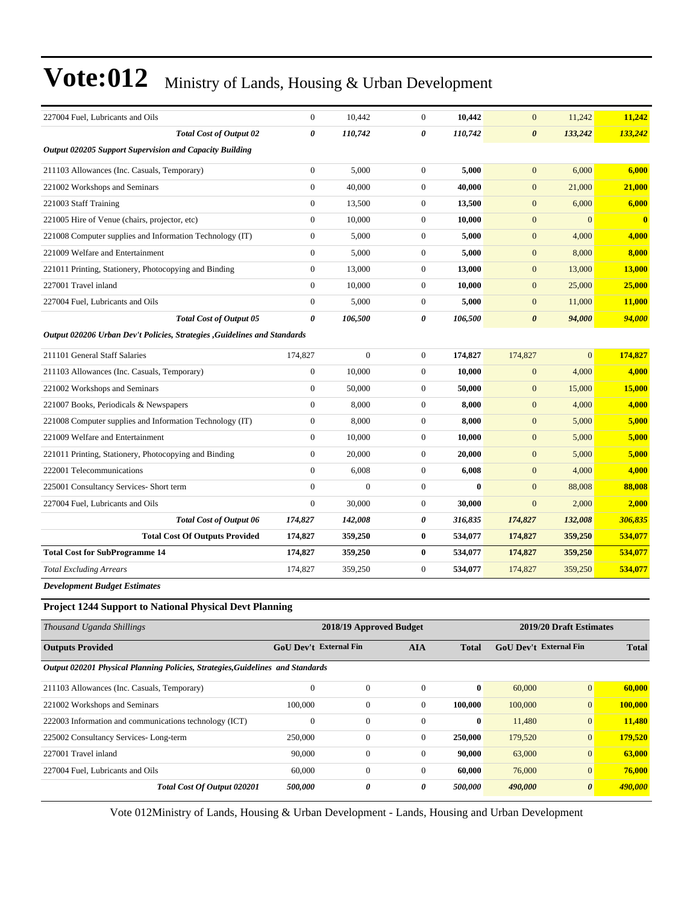| 227004 Fuel, Lubricants and Oils                                               | $\mathbf{0}$          | 10,442                        | $\overline{0}$   | 10,442       | $\mathbf{0}$                  | 11,242                  | 11,242       |
|--------------------------------------------------------------------------------|-----------------------|-------------------------------|------------------|--------------|-------------------------------|-------------------------|--------------|
| <b>Total Cost of Output 02</b>                                                 | $\boldsymbol{\theta}$ | 110,742                       | 0                | 110,742      | $\boldsymbol{\theta}$         | 133,242                 | 133,242      |
| Output 020205 Support Supervision and Capacity Building                        |                       |                               |                  |              |                               |                         |              |
| 211103 Allowances (Inc. Casuals, Temporary)                                    | $\boldsymbol{0}$      | 5,000                         | $\overline{0}$   | 5,000        | $\mathbf{0}$                  | 6,000                   | 6,000        |
| 221002 Workshops and Seminars                                                  | $\mathbf{0}$          | 40,000                        | $\overline{0}$   | 40,000       | $\mathbf{0}$                  | 21,000                  | 21,000       |
| 221003 Staff Training                                                          | $\mathbf{0}$          | 13,500                        | $\boldsymbol{0}$ | 13,500       | $\mathbf{0}$                  | 6,000                   | 6,000        |
| 221005 Hire of Venue (chairs, projector, etc)                                  | $\boldsymbol{0}$      | 10,000                        | $\boldsymbol{0}$ | 10,000       | $\mathbf{0}$                  | $\mathbf{0}$            | $\bf{0}$     |
| 221008 Computer supplies and Information Technology (IT)                       | $\mathbf{0}$          | 5,000                         | $\overline{0}$   | 5,000        | $\overline{0}$                | 4,000                   | 4,000        |
| 221009 Welfare and Entertainment                                               | $\mathbf{0}$          | 5,000                         | $\overline{0}$   | 5,000        | $\mathbf{0}$                  | 8,000                   | 8,000        |
| 221011 Printing, Stationery, Photocopying and Binding                          | $\boldsymbol{0}$      | 13,000                        | $\boldsymbol{0}$ | 13,000       | $\mathbf{0}$                  | 13,000                  | 13,000       |
| 227001 Travel inland                                                           | $\boldsymbol{0}$      | 10,000                        | $\boldsymbol{0}$ | 10,000       | $\mathbf{0}$                  | 25,000                  | 25,000       |
| 227004 Fuel, Lubricants and Oils                                               | $\mathbf{0}$          | 5,000                         | $\boldsymbol{0}$ | 5,000        | $\boldsymbol{0}$              | 11,000                  | 11,000       |
| <b>Total Cost of Output 05</b>                                                 | $\boldsymbol{\theta}$ | 106,500                       | 0                | 106,500      | $\boldsymbol{\theta}$         | 94,000                  | 94,000       |
| Output 020206 Urban Dev't Policies, Strategies , Guidelines and Standards      |                       |                               |                  |              |                               |                         |              |
| 211101 General Staff Salaries                                                  | 174,827               | $\boldsymbol{0}$              | $\boldsymbol{0}$ | 174,827      | 174,827                       | $\overline{0}$          | 174,827      |
| 211103 Allowances (Inc. Casuals, Temporary)                                    | $\mathbf{0}$          | 10,000                        | $\overline{0}$   | 10,000       | $\overline{0}$                | 4,000                   | 4,000        |
| 221002 Workshops and Seminars                                                  | $\mathbf{0}$          | 50,000                        | $\overline{0}$   | 50,000       | $\mathbf{0}$                  | 15,000                  | 15,000       |
| 221007 Books, Periodicals & Newspapers                                         | $\mathbf{0}$          | 8,000                         | $\boldsymbol{0}$ | 8,000        | $\mathbf{0}$                  | 4,000                   | 4,000        |
| 221008 Computer supplies and Information Technology (IT)                       | $\boldsymbol{0}$      | 8,000                         | $\boldsymbol{0}$ | 8,000        | $\mathbf{0}$                  | 5,000                   | 5,000        |
| 221009 Welfare and Entertainment                                               | $\mathbf{0}$          | 10.000                        | $\overline{0}$   | 10,000       | $\boldsymbol{0}$              | 5,000                   | 5,000        |
| 221011 Printing, Stationery, Photocopying and Binding                          | $\mathbf{0}$          | 20,000                        | $\boldsymbol{0}$ | 20,000       | $\mathbf{0}$                  | 5,000                   | 5,000        |
| 222001 Telecommunications                                                      | $\mathbf{0}$          | 6,008                         | $\boldsymbol{0}$ | 6,008        | $\mathbf{0}$                  | 4,000                   | 4,000        |
| 225001 Consultancy Services- Short term                                        | $\boldsymbol{0}$      | $\boldsymbol{0}$              | $\boldsymbol{0}$ | $\bf{0}$     | $\mathbf{0}$                  | 88,008                  | 88,008       |
| 227004 Fuel, Lubricants and Oils                                               | $\mathbf{0}$          | 30,000                        | $\overline{0}$   | 30,000       | $\mathbf{0}$                  | 2,000                   | 2,000        |
| <b>Total Cost of Output 06</b>                                                 | 174,827               | 142,008                       | 0                | 316,835      | 174,827                       | 132,008                 | 306,835      |
| <b>Total Cost Of Outputs Provided</b>                                          | 174,827               | 359,250                       | $\bf{0}$         | 534,077      | 174,827                       | 359,250                 | 534,077      |
| <b>Total Cost for SubProgramme 14</b>                                          | 174,827               | 359,250                       | $\bf{0}$         | 534,077      | 174,827                       | 359,250                 | 534,077      |
| <b>Total Excluding Arrears</b>                                                 | 174,827               | 359,250                       | $\overline{0}$   | 534,077      | 174,827                       | 359,250                 | 534,077      |
| <b>Development Budget Estimates</b>                                            |                       |                               |                  |              |                               |                         |              |
| <b>Project 1244 Support to National Physical Devt Planning</b>                 |                       |                               |                  |              |                               |                         |              |
| Thousand Uganda Shillings                                                      |                       | 2018/19 Approved Budget       |                  |              |                               | 2019/20 Draft Estimates |              |
| <b>Outputs Provided</b>                                                        |                       | <b>GoU Dev't External Fin</b> | <b>AIA</b>       | <b>Total</b> | <b>GoU Dev't External Fin</b> |                         | <b>Total</b> |
| Output 020201 Physical Planning Policies, Strategies, Guidelines and Standards |                       |                               |                  |              |                               |                         |              |

| 211103 Allowances (Inc. Casuals, Temporary)            |                             | $\theta$ | $\Omega$         |   | $\mathbf{0}$ | 60,000  | $\overline{0}$        | 60,000  |
|--------------------------------------------------------|-----------------------------|----------|------------------|---|--------------|---------|-----------------------|---------|
| 221002 Workshops and Seminars                          |                             | 100,000  | $\boldsymbol{0}$ |   | 100.000      | 100,000 | $\overline{0}$        | 100,000 |
| 222003 Information and communications technology (ICT) |                             | $\Omega$ | $\boldsymbol{0}$ |   | $\mathbf{0}$ | 11,480  | $\overline{0}$        | 11,480  |
| 225002 Consultancy Services-Long-term                  |                             | 250,000  | 0                |   | 250,000      | 179,520 | $\overline{0}$        | 179.520 |
| 227001 Travel inland                                   |                             | 90,000   | $\theta$         |   | 90,000       | 63,000  | $\overline{0}$        | 63,000  |
| 227004 Fuel, Lubricants and Oils                       |                             | 60,000   | 0                |   | 60,000       | 76,000  | $\overline{0}$        | 76,000  |
|                                                        | Total Cost Of Output 020201 | 500,000  | 0                | 0 | 500.000      | 490,000 | $\boldsymbol{\theta}$ | 490,000 |
|                                                        |                             |          |                  |   |              |         |                       |         |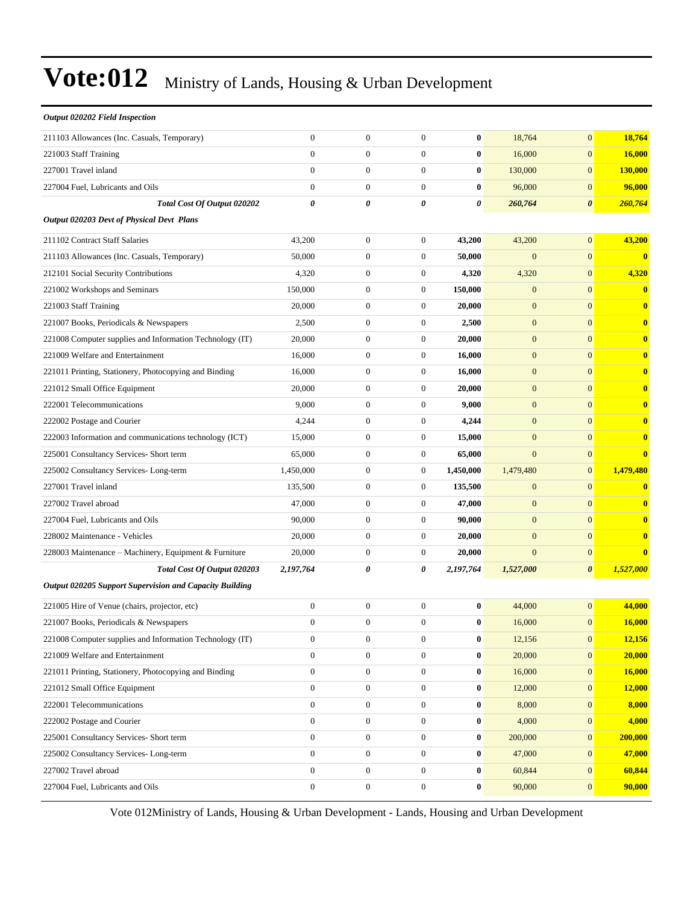| Output 020202 Field Inspection                                 |                       |                  |                  |                  |                  |                       |              |
|----------------------------------------------------------------|-----------------------|------------------|------------------|------------------|------------------|-----------------------|--------------|
| 211103 Allowances (Inc. Casuals, Temporary)                    | $\mathbf{0}$          | $\boldsymbol{0}$ | $\overline{0}$   | $\bf{0}$         | 18,764           | $\mathbf{0}$          | 18,764       |
| 221003 Staff Training                                          | $\mathbf{0}$          | $\boldsymbol{0}$ | $\overline{0}$   | $\bf{0}$         | 16,000           | $\mathbf{0}$          | 16,000       |
| 227001 Travel inland                                           | $\mathbf{0}$          | $\boldsymbol{0}$ | $\boldsymbol{0}$ | $\bf{0}$         | 130,000          | $\mathbf{0}$          | 130,000      |
| 227004 Fuel, Lubricants and Oils                               | $\mathbf{0}$          | $\boldsymbol{0}$ | $\overline{0}$   | $\bf{0}$         | 96,000           | $\mathbf{0}$          | 96,000       |
| Total Cost Of Output 020202                                    | $\boldsymbol{\theta}$ | 0                | 0                | 0                | 260,764          | $\boldsymbol{\theta}$ | 260,764      |
| Output 020203 Devt of Physical Devt Plans                      |                       |                  |                  |                  |                  |                       |              |
| 211102 Contract Staff Salaries                                 | 43,200                | $\boldsymbol{0}$ | $\mathbf{0}$     | 43,200           | 43,200           | $\mathbf{0}$          | 43,200       |
| 211103 Allowances (Inc. Casuals, Temporary)                    | 50,000                | $\boldsymbol{0}$ | $\boldsymbol{0}$ | 50,000           | $\mathbf{0}$     | $\overline{0}$        | $\mathbf{0}$ |
| 212101 Social Security Contributions                           | 4,320                 | $\boldsymbol{0}$ | $\boldsymbol{0}$ | 4,320            | 4,320            | $\mathbf{0}$          | 4,320        |
| 221002 Workshops and Seminars                                  | 150,000               | $\boldsymbol{0}$ | $\boldsymbol{0}$ | 150,000          | $\mathbf{0}$     | $\mathbf{0}$          | $\mathbf{0}$ |
| 221003 Staff Training                                          | 20,000                | $\boldsymbol{0}$ | $\mathbf{0}$     | 20,000           | $\mathbf{0}$     | $\mathbf{0}$          | $\bf{0}$     |
| 221007 Books, Periodicals & Newspapers                         | 2,500                 | $\boldsymbol{0}$ | $\mathbf{0}$     | 2,500            | $\boldsymbol{0}$ | $\mathbf{0}$          | $\bf{0}$     |
| 221008 Computer supplies and Information Technology (IT)       | 20,000                | $\boldsymbol{0}$ | $\boldsymbol{0}$ | 20,000           | $\mathbf{0}$     | $\overline{0}$        | $\bf{0}$     |
| 221009 Welfare and Entertainment                               | 16,000                | $\boldsymbol{0}$ | $\mathbf{0}$     | 16,000           | $\mathbf{0}$     | $\mathbf{0}$          | $\bf{0}$     |
| 221011 Printing, Stationery, Photocopying and Binding          | 16,000                | $\boldsymbol{0}$ | $\boldsymbol{0}$ | 16,000           | $\boldsymbol{0}$ | $\mathbf{0}$          | $\bf{0}$     |
| 221012 Small Office Equipment                                  | 20,000                | $\boldsymbol{0}$ | $\mathbf{0}$     | 20,000           | $\mathbf{0}$     | $\mathbf{0}$          | $\bf{0}$     |
| 222001 Telecommunications                                      | 9,000                 | $\boldsymbol{0}$ | $\mathbf{0}$     | 9,000            | $\boldsymbol{0}$ | $\mathbf{0}$          | $\bf{0}$     |
| 222002 Postage and Courier                                     | 4,244                 | $\boldsymbol{0}$ | $\boldsymbol{0}$ | 4,244            | $\mathbf{0}$     | $\mathbf{0}$          | $\bf{0}$     |
| 222003 Information and communications technology (ICT)         | 15,000                | $\boldsymbol{0}$ | $\mathbf{0}$     | 15,000           | $\mathbf{0}$     | $\mathbf{0}$          | $\mathbf{0}$ |
| 225001 Consultancy Services- Short term                        | 65,000                | $\boldsymbol{0}$ | $\boldsymbol{0}$ | 65,000           | $\mathbf{0}$     | $\mathbf{0}$          | $\bf{0}$     |
| 225002 Consultancy Services-Long-term                          | 1,450,000             | $\boldsymbol{0}$ | $\boldsymbol{0}$ | 1,450,000        | 1,479,480        | $\mathbf{0}$          | 1,479,480    |
| 227001 Travel inland                                           | 135,500               | $\boldsymbol{0}$ | $\mathbf{0}$     | 135,500          | $\boldsymbol{0}$ | $\mathbf{0}$          | $\bf{0}$     |
| 227002 Travel abroad                                           | 47,000                | $\boldsymbol{0}$ | $\boldsymbol{0}$ | 47,000           | $\mathbf{0}$     | $\mathbf{0}$          | $\bf{0}$     |
| 227004 Fuel, Lubricants and Oils                               | 90,000                | $\boldsymbol{0}$ | $\mathbf{0}$     | 90,000           | $\mathbf{0}$     | $\mathbf{0}$          | $\bf{0}$     |
| 228002 Maintenance - Vehicles                                  | 20,000                | $\boldsymbol{0}$ | $\boldsymbol{0}$ | 20,000           | $\mathbf{0}$     | $\mathbf{0}$          | $\bf{0}$     |
| 228003 Maintenance – Machinery, Equipment & Furniture          | 20,000                | $\boldsymbol{0}$ | $\mathbf{0}$     | 20,000           | $\mathbf{0}$     | $\mathbf{0}$          | $\bf{0}$     |
| Total Cost Of Output 020203                                    | 2,197,764             | 0                | 0                | 2,197,764        | 1,527,000        | $\boldsymbol{\theta}$ | 1,527,000    |
| <b>Output 020205 Support Supervision and Capacity Building</b> |                       |                  |                  |                  |                  |                       |              |
| 221005 Hire of Venue (chairs, projector, etc)                  | $\mathbf{0}$          | $\boldsymbol{0}$ | $\boldsymbol{0}$ | $\bf{0}$         | 44,000           | $\overline{0}$        | 44,000       |
| 221007 Books, Periodicals & Newspapers                         | $\Omega$              | $\mathbf{0}$     | $\Omega$         | $\bf{0}$         | 16,000           | $\overline{0}$        | 16,000       |
| 221008 Computer supplies and Information Technology (IT)       | $\boldsymbol{0}$      | $\boldsymbol{0}$ | $\boldsymbol{0}$ | $\bf{0}$         | 12,156           | $\mathbf{0}$          | 12,156       |
| 221009 Welfare and Entertainment                               | $\mathbf{0}$          | $\boldsymbol{0}$ | $\boldsymbol{0}$ | $\boldsymbol{0}$ | 20,000           | $\mathbf{0}$          | 20,000       |
| 221011 Printing, Stationery, Photocopying and Binding          | $\boldsymbol{0}$      | $\boldsymbol{0}$ | $\boldsymbol{0}$ | $\boldsymbol{0}$ | 16,000           | $\mathbf{0}$          | 16,000       |
| 221012 Small Office Equipment                                  | $\boldsymbol{0}$      | $\boldsymbol{0}$ | $\boldsymbol{0}$ | $\pmb{0}$        | 12,000           | $\mathbf{0}$          | 12,000       |
| 222001 Telecommunications                                      | $\boldsymbol{0}$      | $\boldsymbol{0}$ | $\boldsymbol{0}$ | $\bf{0}$         | 8,000            | $\mathbf{0}$          | 8,000        |
| 222002 Postage and Courier                                     | $\boldsymbol{0}$      | $\boldsymbol{0}$ | $\boldsymbol{0}$ | $\bf{0}$         | 4,000            | $\mathbf{0}$          | 4,000        |
| 225001 Consultancy Services- Short term                        | $\mathbf{0}$          | $\boldsymbol{0}$ | $\boldsymbol{0}$ | $\boldsymbol{0}$ | 200,000          | $\mathbf{0}$          | 200,000      |
| 225002 Consultancy Services-Long-term                          | $\mathbf{0}$          | $\boldsymbol{0}$ | $\mathbf{0}$     | $\bf{0}$         | 47,000           | $\mathbf{0}$          | 47,000       |
| 227002 Travel abroad                                           | $\boldsymbol{0}$      | $\boldsymbol{0}$ | $\boldsymbol{0}$ | $\pmb{0}$        | 60,844           | $\boldsymbol{0}$      | 60,844       |
| 227004 Fuel, Lubricants and Oils                               | $\boldsymbol{0}$      | $\boldsymbol{0}$ | $\boldsymbol{0}$ | $\pmb{0}$        | 90,000           | $\mathbf{0}$          | 90,000       |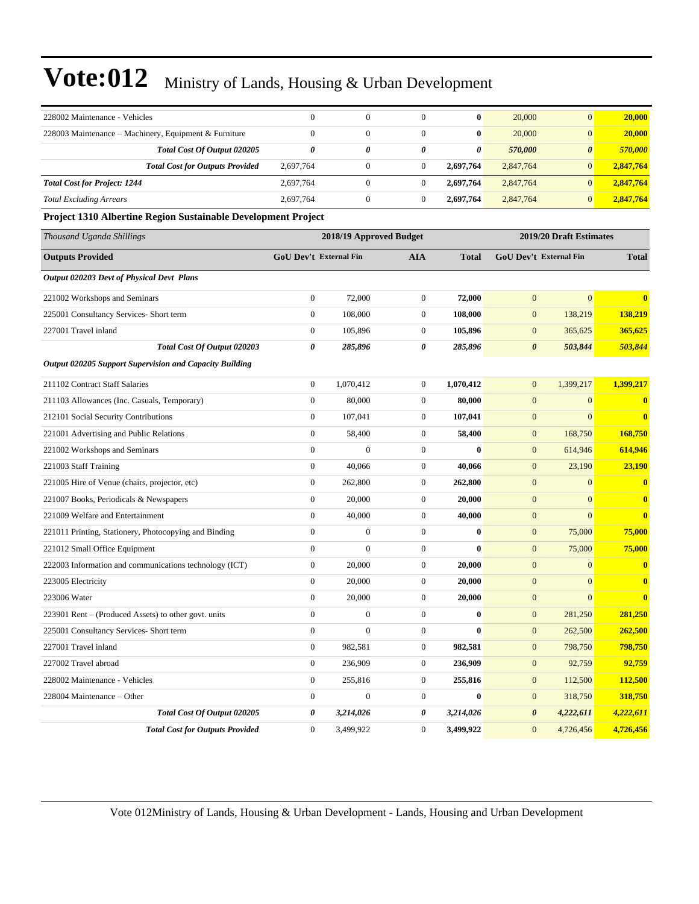| 228002 Maintenance - Vehicles                                 | $\mathbf{0}$                  | $\boldsymbol{0}$        | $\overline{0}$   | $\bf{0}$         | 20,000                | $\mathbf{0}$            | 20,000       |
|---------------------------------------------------------------|-------------------------------|-------------------------|------------------|------------------|-----------------------|-------------------------|--------------|
| 228003 Maintenance - Machinery, Equipment & Furniture         | $\mathbf{0}$                  | $\boldsymbol{0}$        | $\overline{0}$   | $\bf{0}$         | 20,000                | $\mathbf{0}$            | 20,000       |
| Total Cost Of Output 020205                                   | $\boldsymbol{\theta}$         | 0                       | 0                | $\pmb{\theta}$   | 570,000               | $\boldsymbol{\theta}$   | 570,000      |
| <b>Total Cost for Outputs Provided</b>                        | 2,697,764                     | $\boldsymbol{0}$        | $\boldsymbol{0}$ | 2,697,764        | 2,847,764             | $\mathbf{0}$            | 2,847,764    |
| <b>Total Cost for Project: 1244</b>                           | 2,697,764                     | $\boldsymbol{0}$        | $\boldsymbol{0}$ | 2,697,764        | 2,847,764             | $\mathbf{0}$            | 2,847,764    |
| <b>Total Excluding Arrears</b>                                | 2,697,764                     | $\boldsymbol{0}$        | $\boldsymbol{0}$ | 2,697,764        | 2,847,764             | $\mathbf{0}$            | 2,847,764    |
| Project 1310 Albertine Region Sustainable Development Project |                               |                         |                  |                  |                       |                         |              |
| Thousand Uganda Shillings                                     |                               | 2018/19 Approved Budget |                  |                  |                       | 2019/20 Draft Estimates |              |
| <b>Outputs Provided</b>                                       | <b>GoU Dev't External Fin</b> |                         | AIA              | <b>Total</b>     |                       | GoU Dev't External Fin  | <b>Total</b> |
| <b>Output 020203 Devt of Physical Devt Plans</b>              |                               |                         |                  |                  |                       |                         |              |
| 221002 Workshops and Seminars                                 | $\boldsymbol{0}$              | 72,000                  | $\boldsymbol{0}$ | 72,000           | $\mathbf{0}$          | $\mathbf{0}$            | $\bf{0}$     |
| 225001 Consultancy Services- Short term                       | $\boldsymbol{0}$              | 108,000                 | $\boldsymbol{0}$ | 108,000          | $\boldsymbol{0}$      | 138,219                 | 138,219      |
| 227001 Travel inland                                          | $\boldsymbol{0}$              | 105,896                 | $\boldsymbol{0}$ | 105,896          | $\boldsymbol{0}$      | 365,625                 | 365,625      |
| <b>Total Cost Of Output 020203</b>                            | 0                             | 285,896                 | 0                | 285,896          | $\boldsymbol{\theta}$ | 503,844                 | 503,844      |
| Output 020205 Support Supervision and Capacity Building       |                               |                         |                  |                  |                       |                         |              |
| 211102 Contract Staff Salaries                                | $\boldsymbol{0}$              | 1,070,412               | $\boldsymbol{0}$ | 1,070,412        | $\mathbf{0}$          | 1,399,217               | 1,399,217    |
| 211103 Allowances (Inc. Casuals, Temporary)                   | $\boldsymbol{0}$              | 80,000                  | $\boldsymbol{0}$ | 80,000           | $\boldsymbol{0}$      | $\mathbf{0}$            | $\bf{0}$     |
| 212101 Social Security Contributions                          | $\mathbf{0}$                  | 107,041                 | $\boldsymbol{0}$ | 107,041          | $\boldsymbol{0}$      | $\mathbf{0}$            | $\bf{0}$     |
| 221001 Advertising and Public Relations                       | $\mathbf{0}$                  | 58,400                  | $\boldsymbol{0}$ | 58,400           | $\boldsymbol{0}$      | 168,750                 | 168,750      |
| 221002 Workshops and Seminars                                 | $\boldsymbol{0}$              | $\overline{0}$          | $\boldsymbol{0}$ | $\bf{0}$         | $\boldsymbol{0}$      | 614,946                 | 614,946      |
| 221003 Staff Training                                         | $\boldsymbol{0}$              | 40,066                  | $\boldsymbol{0}$ | 40,066           | $\mathbf{0}$          | 23,190                  | 23,190       |
| 221005 Hire of Venue (chairs, projector, etc)                 | $\boldsymbol{0}$              | 262,800                 | $\boldsymbol{0}$ | 262,800          | $\boldsymbol{0}$      | $\mathbf{0}$            | $\bf{0}$     |
| 221007 Books, Periodicals & Newspapers                        | $\mathbf{0}$                  | 20,000                  | $\boldsymbol{0}$ | 20,000           | $\boldsymbol{0}$      | $\mathbf{0}$            | $\bf{0}$     |
| 221009 Welfare and Entertainment                              | $\mathbf{0}$                  | 40,000                  | $\boldsymbol{0}$ | 40,000           | $\boldsymbol{0}$      | $\mathbf{0}$            | $\bf{0}$     |
| 221011 Printing, Stationery, Photocopying and Binding         | $\boldsymbol{0}$              | $\boldsymbol{0}$        | $\boldsymbol{0}$ | $\bf{0}$         | $\boldsymbol{0}$      | 75,000                  | 75,000       |
| 221012 Small Office Equipment                                 | $\overline{0}$                | $\boldsymbol{0}$        | $\boldsymbol{0}$ | $\bf{0}$         | $\mathbf{0}$          | 75,000                  | 75,000       |
| 222003 Information and communications technology (ICT)        | $\mathbf{0}$                  | 20,000                  | $\boldsymbol{0}$ | 20,000           | $\boldsymbol{0}$      | $\mathbf{0}$            | $\bf{0}$     |
| 223005 Electricity                                            | $\mathbf{0}$                  | 20,000                  | $\boldsymbol{0}$ | 20,000           | $\boldsymbol{0}$      | $\mathbf{0}$            | $\bf{0}$     |
| 223006 Water                                                  | $\boldsymbol{0}$              | 20,000                  | $\boldsymbol{0}$ | 20,000           | $\mathbf{0}$          | $\mathbf{0}$            | $\bf{0}$     |
| 223901 Rent – (Produced Assets) to other govt. units          | $\mathbf{0}$                  | $\boldsymbol{0}$        | $\overline{0}$   | $\bf{0}$         | $\mathbf{0}$          | 281,250                 | 281,250      |
| 225001 Consultancy Services- Short term                       | $\boldsymbol{0}$              | $\boldsymbol{0}$        | $\boldsymbol{0}$ | $\boldsymbol{0}$ | $\boldsymbol{0}$      | 262,500                 | 262,500      |
| 227001 Travel inland                                          | $\mathbf{0}$                  | 982,581                 | $\boldsymbol{0}$ | 982,581          | $\mathbf{0}$          | 798,750                 | 798,750      |
| 227002 Travel abroad                                          | $\mathbf{0}$                  | 236,909                 | $\boldsymbol{0}$ | 236,909          | $\boldsymbol{0}$      | 92,759                  | 92,759       |
| 228002 Maintenance - Vehicles                                 | $\mathbf{0}$                  | 255,816                 | $\boldsymbol{0}$ | 255,816          | $\boldsymbol{0}$      | 112,500                 | 112,500      |
| 228004 Maintenance - Other                                    | $\boldsymbol{0}$              | $\boldsymbol{0}$        | $\boldsymbol{0}$ | $\bf{0}$         | $\boldsymbol{0}$      | 318,750                 | 318,750      |
| Total Cost Of Output 020205                                   | 0                             | 3,214,026               | 0                | 3,214,026        | $\boldsymbol{\theta}$ | 4,222,611               | 4,222,611    |
| <b>Total Cost for Outputs Provided</b>                        | $\mathbf{0}$                  | 3,499,922               | 0                | 3,499,922        | $\mathbf{0}$          | 4,726,456               | 4,726,456    |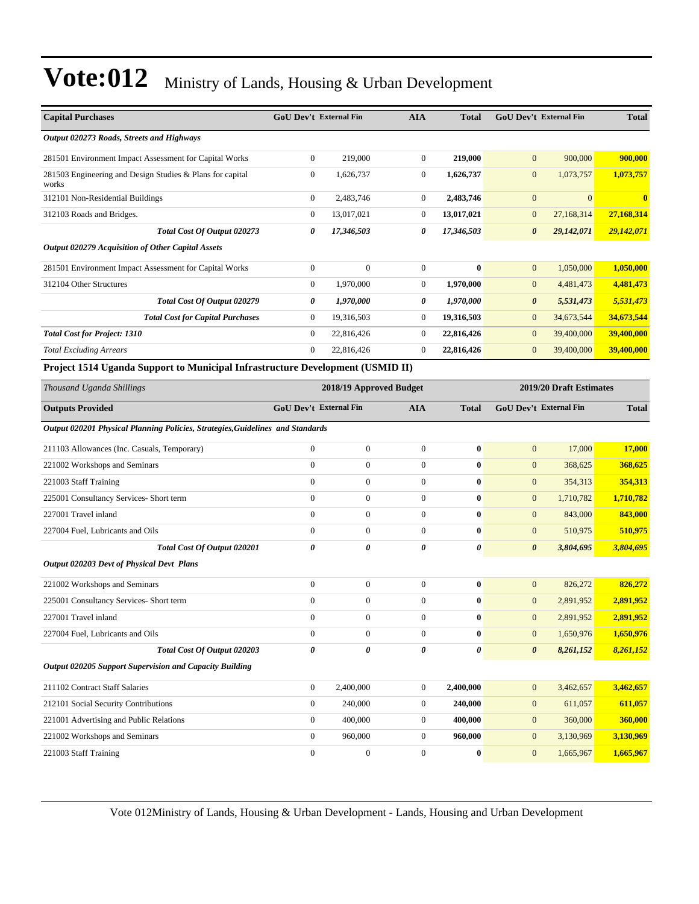| <b>Capital Purchases</b>                                                       | <b>GoU Dev't External Fin</b> |                         | <b>AIA</b>       | <b>Total</b> | GoU Dev't External Fin |                               | <b>Total</b> |
|--------------------------------------------------------------------------------|-------------------------------|-------------------------|------------------|--------------|------------------------|-------------------------------|--------------|
| Output 020273 Roads, Streets and Highways                                      |                               |                         |                  |              |                        |                               |              |
| 281501 Environment Impact Assessment for Capital Works                         | $\boldsymbol{0}$              | 219,000                 | $\boldsymbol{0}$ | 219,000      | $\mathbf{0}$           | 900,000                       | 900,000      |
| 281503 Engineering and Design Studies & Plans for capital<br>works             | $\mathbf{0}$                  | 1,626,737               | 0                | 1,626,737    | $\mathbf{0}$           | 1,073,757                     | 1,073,757    |
| 312101 Non-Residential Buildings                                               | $\boldsymbol{0}$              | 2,483,746               | 0                | 2,483,746    | $\mathbf{0}$           | $\mathbf{0}$                  | $\bf{0}$     |
| 312103 Roads and Bridges.                                                      | $\mathbf{0}$                  | 13,017,021              | $\boldsymbol{0}$ | 13,017,021   | $\mathbf{0}$           | 27,168,314                    | 27,168,314   |
| Total Cost Of Output 020273                                                    | 0                             | 17,346,503              | 0                | 17,346,503   | $\boldsymbol{\theta}$  | 29,142,071                    | 29,142,071   |
| Output 020279 Acquisition of Other Capital Assets                              |                               |                         |                  |              |                        |                               |              |
| 281501 Environment Impact Assessment for Capital Works                         | $\boldsymbol{0}$              | $\overline{0}$          | $\boldsymbol{0}$ | $\bf{0}$     | $\mathbf{0}$           | 1,050,000                     | 1,050,000    |
| 312104 Other Structures                                                        | $\mathbf{0}$                  | 1,970,000               | 0                | 1,970,000    | $\mathbf{0}$           | 4,481,473                     | 4,481,473    |
| Total Cost Of Output 020279                                                    | 0                             | 1,970,000               | 0                | 1,970,000    | $\boldsymbol{\theta}$  | 5,531,473                     | 5,531,473    |
| <b>Total Cost for Capital Purchases</b>                                        | $\mathbf{0}$                  | 19,316,503              | 0                | 19,316,503   | $\mathbf{0}$           | 34,673,544                    | 34,673,544   |
| <b>Total Cost for Project: 1310</b>                                            | $\mathbf{0}$                  | 22,816,426              | $\overline{0}$   | 22,816,426   | $\boldsymbol{0}$       | 39,400,000                    | 39,400,000   |
| <b>Total Excluding Arrears</b>                                                 | $\mathbf{0}$                  | 22,816,426              | $\overline{0}$   | 22,816,426   | $\mathbf{0}$           | 39,400,000                    | 39,400,000   |
| Project 1514 Uganda Support to Municipal Infrastructure Development (USMID II) |                               |                         |                  |              |                        |                               |              |
| Thousand Uganda Shillings                                                      |                               | 2018/19 Approved Budget |                  |              |                        | 2019/20 Draft Estimates       |              |
| <b>Outputs Provided</b>                                                        | GoU Dev't External Fin        |                         | AIA              | <b>Total</b> |                        | <b>GoU Dev't External Fin</b> | <b>Total</b> |
| Output 020201 Physical Planning Policies, Strategies, Guidelines and Standards |                               |                         |                  |              |                        |                               |              |
| 211103 Allowances (Inc. Casuals, Temporary)                                    | $\mathbf{0}$                  | $\boldsymbol{0}$        | $\mathbf{0}$     | $\bf{0}$     | $\mathbf{0}$           | 17,000                        | 17,000       |
| 221002 Workshops and Seminars                                                  | $\boldsymbol{0}$              | $\boldsymbol{0}$        | $\boldsymbol{0}$ | $\bf{0}$     | $\mathbf{0}$           | 368,625                       | 368,625      |
| 221003 Staff Training                                                          | $\mathbf{0}$                  | $\overline{0}$          | $\overline{0}$   | $\bf{0}$     | $\mathbf{0}$           | 354,313                       | 354,313      |
| 225001 Consultancy Services- Short term                                        | $\mathbf{0}$                  | $\boldsymbol{0}$        | $\boldsymbol{0}$ | $\bf{0}$     | $\mathbf{0}$           | 1,710,782                     | 1,710,782    |
| 227001 Travel inland                                                           | $\mathbf{0}$                  | $\boldsymbol{0}$        | $\boldsymbol{0}$ | $\bf{0}$     | $\mathbf{0}$           | 843,000                       | 843,000      |
| 227004 Fuel, Lubricants and Oils                                               | $\mathbf{0}$                  | $\boldsymbol{0}$        | $\boldsymbol{0}$ | $\bf{0}$     | $\mathbf{0}$           | 510,975                       | 510,975      |
| Total Cost Of Output 020201                                                    | 0                             | 0                       | 0                | 0            | $\boldsymbol{\theta}$  | 3,804,695                     | 3,804,695    |
| <b>Output 020203 Devt of Physical Devt Plans</b>                               |                               |                         |                  |              |                        |                               |              |
| 221002 Workshops and Seminars                                                  | $\mathbf{0}$                  | $\boldsymbol{0}$        | $\boldsymbol{0}$ | $\bf{0}$     | $\mathbf{0}$           | 826,272                       | 826,272      |
| 225001 Consultancy Services- Short term                                        | $\boldsymbol{0}$              | $\boldsymbol{0}$        | $\boldsymbol{0}$ | $\bf{0}$     | $\boldsymbol{0}$       | 2,891,952                     | 2,891,952    |
| 227001 Travel inland                                                           | $\mathbf{0}$                  | $\boldsymbol{0}$        | $\boldsymbol{0}$ | $\bf{0}$     | $\mathbf{0}$           | 2,891,952                     | 2,891,952    |
| 227004 Fuel, Lubricants and Oils                                               | 0                             | $\boldsymbol{0}$        | 0                | $\bf{0}$     | $\mathbf{0}$           | 1,650,976                     | 1,650,976    |
| Total Cost Of Output 020203                                                    | $\pmb{\theta}$                | 0                       | 0                | 0            | $\boldsymbol{\theta}$  | 8,261,152                     | 8,261,152    |
| Output 020205 Support Supervision and Capacity Building                        |                               |                         |                  |              |                        |                               |              |
| 211102 Contract Staff Salaries                                                 | $\boldsymbol{0}$              | 2,400,000               | $\boldsymbol{0}$ | 2,400,000    | $\boldsymbol{0}$       | 3,462,657                     | 3,462,657    |
| 212101 Social Security Contributions                                           | $\mathbf{0}$                  | 240,000                 | $\boldsymbol{0}$ | 240,000      | $\mathbf{0}$           | 611,057                       | 611,057      |
| 221001 Advertising and Public Relations                                        | $\boldsymbol{0}$              | 400,000                 | $\boldsymbol{0}$ | 400,000      | $\mathbf{0}$           | 360,000                       | 360,000      |
| 221002 Workshops and Seminars                                                  | $\boldsymbol{0}$              | 960,000                 | 0                | 960,000      | $\mathbf{0}$           | 3,130,969                     | 3,130,969    |
| 221003 Staff Training                                                          | $\boldsymbol{0}$              | $\boldsymbol{0}$        | $\boldsymbol{0}$ | $\bf{0}$     | $\mathbf{0}$           | 1,665,967                     | 1,665,967    |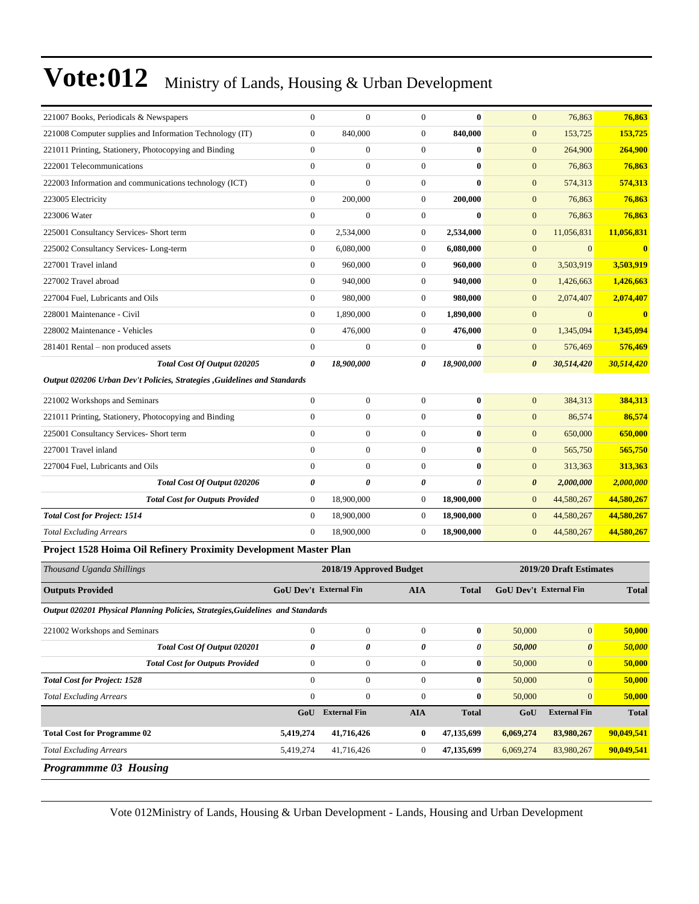| 221007 Books, Periodicals & Newspapers                                         | $\overline{0}$                | $\overline{0}$          | $\overline{0}$   | $\mathbf{0}$          | $\mathbf{0}$          | 76,863                  | 76,863       |
|--------------------------------------------------------------------------------|-------------------------------|-------------------------|------------------|-----------------------|-----------------------|-------------------------|--------------|
| 221008 Computer supplies and Information Technology (IT)                       | $\overline{0}$                | 840,000                 | $\overline{0}$   | 840,000               | $\boldsymbol{0}$      | 153,725                 | 153,725      |
| 221011 Printing, Stationery, Photocopying and Binding                          | $\mathbf{0}$                  | $\boldsymbol{0}$        | $\boldsymbol{0}$ | $\bf{0}$              | $\mathbf{0}$          | 264,900                 | 264,900      |
| 222001 Telecommunications                                                      | $\mathbf{0}$                  | $\boldsymbol{0}$        | $\boldsymbol{0}$ | $\bf{0}$              | $\mathbf{0}$          | 76,863                  | 76,863       |
| 222003 Information and communications technology (ICT)                         | $\mathbf{0}$                  | $\overline{0}$          | $\boldsymbol{0}$ | $\bf{0}$              | $\mathbf{0}$          | 574,313                 | 574,313      |
| 223005 Electricity                                                             | $\mathbf{0}$                  | 200,000                 | $\boldsymbol{0}$ | 200,000               | $\mathbf{0}$          | 76,863                  | 76,863       |
| 223006 Water                                                                   | $\overline{0}$                | $\boldsymbol{0}$        | $\boldsymbol{0}$ | $\bf{0}$              | $\mathbf{0}$          | 76,863                  | 76,863       |
| 225001 Consultancy Services- Short term                                        | $\boldsymbol{0}$              | 2,534,000               | 0                | 2,534,000             | $\mathbf{0}$          | 11,056,831              | 11,056,831   |
| 225002 Consultancy Services-Long-term                                          | $\boldsymbol{0}$              | 6,080,000               | $\boldsymbol{0}$ | 6,080,000             | $\boldsymbol{0}$      | $\mathbf{0}$            | $\bf{0}$     |
| 227001 Travel inland                                                           | $\mathbf{0}$                  | 960,000                 | 0                | 960,000               | $\mathbf{0}$          | 3,503,919               | 3,503,919    |
| 227002 Travel abroad                                                           | $\boldsymbol{0}$              | 940,000                 | $\overline{0}$   | 940,000               | $\mathbf{0}$          | 1,426,663               | 1,426,663    |
| 227004 Fuel, Lubricants and Oils                                               | $\mathbf{0}$                  | 980,000                 | $\overline{0}$   | 980,000               | $\mathbf{0}$          | 2,074,407               | 2,074,407    |
| 228001 Maintenance - Civil                                                     | $\boldsymbol{0}$              | 1,890,000               | $\boldsymbol{0}$ | 1,890,000             | $\mathbf{0}$          | $\mathbf{0}$            | $\bf{0}$     |
| 228002 Maintenance - Vehicles                                                  | $\boldsymbol{0}$              | 476,000                 | $\boldsymbol{0}$ | 476,000               | $\boldsymbol{0}$      | 1,345,094               | 1,345,094    |
| 281401 Rental - non produced assets                                            | $\boldsymbol{0}$              | $\overline{0}$          | $\boldsymbol{0}$ | $\bf{0}$              | $\mathbf{0}$          | 576,469                 | 576,469      |
| Total Cost Of Output 020205                                                    | 0                             | 18,900,000              | 0                | 18,900,000            | $\boldsymbol{\theta}$ | 30,514,420              | 30,514,420   |
| Output 020206 Urban Dev't Policies, Strategies , Guidelines and Standards      |                               |                         |                  |                       |                       |                         |              |
| 221002 Workshops and Seminars                                                  | $\boldsymbol{0}$              | $\boldsymbol{0}$        | $\overline{0}$   | $\bf{0}$              | $\mathbf{0}$          | 384,313                 | 384,313      |
| 221011 Printing, Stationery, Photocopying and Binding                          | $\theta$                      | $\boldsymbol{0}$        | $\boldsymbol{0}$ | $\bf{0}$              | $\mathbf{0}$          | 86,574                  | 86,574       |
| 225001 Consultancy Services- Short term                                        | $\overline{0}$                | $\boldsymbol{0}$        | $\boldsymbol{0}$ | $\bf{0}$              | $\mathbf{0}$          | 650,000                 | 650,000      |
| 227001 Travel inland                                                           | $\mathbf{0}$                  | $\boldsymbol{0}$        | $\boldsymbol{0}$ | $\bf{0}$              | $\mathbf{0}$          | 565,750                 | 565,750      |
| 227004 Fuel, Lubricants and Oils                                               | $\mathbf{0}$                  | $\boldsymbol{0}$        | $\boldsymbol{0}$ | $\bf{0}$              | $\boldsymbol{0}$      | 313,363                 | 313,363      |
| Total Cost Of Output 020206                                                    | $\theta$                      | 0                       | 0                | $\boldsymbol{\theta}$ | $\boldsymbol{\theta}$ | 2,000,000               | 2,000,000    |
| <b>Total Cost for Outputs Provided</b>                                         | $\boldsymbol{0}$              | 18,900,000              | 0                | 18,900,000            | $\mathbf{0}$          | 44,580,267              | 44,580,267   |
| <b>Total Cost for Project: 1514</b>                                            | $\boldsymbol{0}$              | 18,900,000              | $\boldsymbol{0}$ | 18,900,000            | $\mathbf{0}$          | 44,580,267              | 44,580,267   |
| <b>Total Excluding Arrears</b>                                                 | $\mathbf{0}$                  | 18,900,000              | $\boldsymbol{0}$ | 18,900,000            | $\mathbf{0}$          | 44,580,267              | 44,580,267   |
| Project 1528 Hoima Oil Refinery Proximity Development Master Plan              |                               |                         |                  |                       |                       |                         |              |
| Thousand Uganda Shillings                                                      |                               | 2018/19 Approved Budget |                  |                       |                       | 2019/20 Draft Estimates |              |
| <b>Outputs Provided</b>                                                        | <b>GoU Dev't External Fin</b> |                         | <b>AIA</b>       | <b>Total</b>          |                       | GoU Dev't External Fin  | <b>Total</b> |
| Output 020201 Physical Planning Policies, Strategies, Guidelines and Standards |                               |                         |                  |                       |                       |                         |              |
| 221002 Workshops and Seminars                                                  | $\boldsymbol{0}$              | $\boldsymbol{0}$        | $\boldsymbol{0}$ | $\bf{0}$              | 50,000                | $\mathbf{0}$            | 50,000       |
| Total Cost Of Output 020201                                                    | 0                             | 0                       | 0                | 0                     | 50,000                | 0                       | 50,000       |
| <b>Total Cost for Outputs Provided</b>                                         | $\boldsymbol{0}$              | $\boldsymbol{0}$        | $\boldsymbol{0}$ | $\bf{0}$              | 50,000                | $\mathbf{0}$            | 50,000       |
| <b>Total Cost for Project: 1528</b>                                            | $\mathbf{0}$                  | $\overline{0}$          | $\overline{0}$   | $\bf{0}$              | 50,000                | $\mathbf{0}$            | 50,000       |
| <b>Total Excluding Arrears</b>                                                 | $\boldsymbol{0}$              | $\boldsymbol{0}$        | $\boldsymbol{0}$ | $\bf{0}$              | 50,000                | $\mathbf{0}$            | 50,000       |
|                                                                                |                               | GoU External Fin        | ${\bf A I A}$    | <b>Total</b>          | GoU                   | <b>External Fin</b>     | <b>Total</b> |
| <b>Total Cost for Programme 02</b>                                             | 5,419,274                     | 41,716,426              | $\bf{0}$         | 47,135,699            | 6,069,274             | 83,980,267              | 90,049,541   |
| <b>Total Excluding Arrears</b>                                                 | 5,419,274                     | 41,716,426              | $\boldsymbol{0}$ | 47,135,699            | 6,069,274             | 83,980,267              | 90,049,541   |
| Programmme 03 Housing                                                          |                               |                         |                  |                       |                       |                         |              |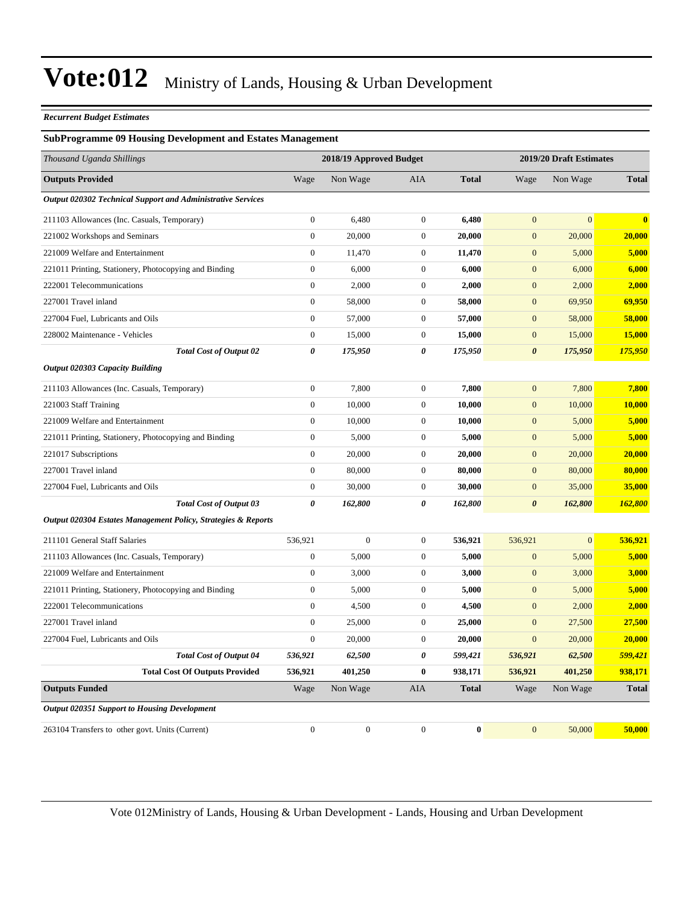#### *Recurrent Budget Estimates*

#### **SubProgramme 09 Housing Development and Estates Management**

| Thousand Uganda Shillings                                     |                  | 2018/19 Approved Budget |                  |              |                       | 2019/20 Draft Estimates |              |  |
|---------------------------------------------------------------|------------------|-------------------------|------------------|--------------|-----------------------|-------------------------|--------------|--|
| <b>Outputs Provided</b>                                       | Wage             | Non Wage                | AIA              | <b>Total</b> | Wage                  | Non Wage                | <b>Total</b> |  |
| Output 020302 Technical Support and Administrative Services   |                  |                         |                  |              |                       |                         |              |  |
| 211103 Allowances (Inc. Casuals, Temporary)                   | $\boldsymbol{0}$ | 6,480                   | $\boldsymbol{0}$ | 6,480        | $\boldsymbol{0}$      | $\mathbf{0}$            | $\bf{0}$     |  |
| 221002 Workshops and Seminars                                 | $\boldsymbol{0}$ | 20,000                  | $\boldsymbol{0}$ | 20,000       | $\mathbf{0}$          | 20,000                  | 20,000       |  |
| 221009 Welfare and Entertainment                              | $\boldsymbol{0}$ | 11,470                  | $\boldsymbol{0}$ | 11,470       | $\mathbf{0}$          | 5,000                   | 5,000        |  |
| 221011 Printing, Stationery, Photocopying and Binding         | $\boldsymbol{0}$ | 6,000                   | $\boldsymbol{0}$ | 6,000        | $\mathbf{0}$          | 6,000                   | 6,000        |  |
| 222001 Telecommunications                                     | $\boldsymbol{0}$ | 2,000                   | $\boldsymbol{0}$ | 2,000        | $\mathbf{0}$          | 2,000                   | 2,000        |  |
| 227001 Travel inland                                          | $\overline{0}$   | 58,000                  | $\boldsymbol{0}$ | 58,000       | $\mathbf{0}$          | 69,950                  | 69,950       |  |
| 227004 Fuel, Lubricants and Oils                              | $\boldsymbol{0}$ | 57,000                  | $\boldsymbol{0}$ | 57,000       | $\mathbf{0}$          | 58,000                  | 58,000       |  |
| 228002 Maintenance - Vehicles                                 | $\boldsymbol{0}$ | 15,000                  | $\boldsymbol{0}$ | 15,000       | $\mathbf{0}$          | 15,000                  | 15,000       |  |
| <b>Total Cost of Output 02</b>                                | 0                | 175,950                 | 0                | 175,950      | $\boldsymbol{\theta}$ | 175,950                 | 175,950      |  |
| <b>Output 020303 Capacity Building</b>                        |                  |                         |                  |              |                       |                         |              |  |
| 211103 Allowances (Inc. Casuals, Temporary)                   | $\boldsymbol{0}$ | 7,800                   | $\boldsymbol{0}$ | 7,800        | $\mathbf{0}$          | 7,800                   | 7,800        |  |
| 221003 Staff Training                                         | $\overline{0}$   | 10,000                  | $\boldsymbol{0}$ | 10,000       | $\boldsymbol{0}$      | 10,000                  | 10,000       |  |
| 221009 Welfare and Entertainment                              | $\boldsymbol{0}$ | 10,000                  | $\boldsymbol{0}$ | 10,000       | $\mathbf{0}$          | 5,000                   | 5,000        |  |
| 221011 Printing, Stationery, Photocopying and Binding         | $\boldsymbol{0}$ | 5,000                   | $\boldsymbol{0}$ | 5,000        | $\mathbf{0}$          | 5,000                   | 5,000        |  |
| 221017 Subscriptions                                          | $\boldsymbol{0}$ | 20,000                  | $\boldsymbol{0}$ | 20,000       | $\mathbf{0}$          | 20,000                  | 20,000       |  |
| 227001 Travel inland                                          | $\boldsymbol{0}$ | 80,000                  | $\boldsymbol{0}$ | 80,000       | $\mathbf{0}$          | 80,000                  | 80,000       |  |
| 227004 Fuel, Lubricants and Oils                              | $\boldsymbol{0}$ | 30,000                  | $\boldsymbol{0}$ | 30,000       | $\mathbf{0}$          | 35,000                  | 35,000       |  |
| <b>Total Cost of Output 03</b>                                | 0                | 162,800                 | 0                | 162,800      | $\boldsymbol{\theta}$ | 162,800                 | 162,800      |  |
| Output 020304 Estates Management Policy, Strategies & Reports |                  |                         |                  |              |                       |                         |              |  |
| 211101 General Staff Salaries                                 | 536,921          | $\boldsymbol{0}$        | $\boldsymbol{0}$ | 536,921      | 536,921               | $\mathbf{0}$            | 536,921      |  |
| 211103 Allowances (Inc. Casuals, Temporary)                   | $\boldsymbol{0}$ | 5,000                   | $\boldsymbol{0}$ | 5,000        | $\boldsymbol{0}$      | 5,000                   | 5,000        |  |
| 221009 Welfare and Entertainment                              | $\boldsymbol{0}$ | 3,000                   | $\boldsymbol{0}$ | 3,000        | $\mathbf{0}$          | 3,000                   | 3,000        |  |
| 221011 Printing, Stationery, Photocopying and Binding         | $\boldsymbol{0}$ | 5,000                   | $\boldsymbol{0}$ | 5,000        | $\mathbf{0}$          | 5,000                   | 5,000        |  |
| 222001 Telecommunications                                     | $\boldsymbol{0}$ | 4,500                   | $\boldsymbol{0}$ | 4,500        | $\mathbf{0}$          | 2,000                   | 2,000        |  |
| 227001 Travel inland                                          | $\boldsymbol{0}$ | 25,000                  | $\boldsymbol{0}$ | 25,000       | $\mathbf{0}$          | 27,500                  | 27,500       |  |
| 227004 Fuel, Lubricants and Oils                              | $\overline{0}$   | 20,000                  | $\boldsymbol{0}$ | 20,000       | $\mathbf{0}$          | 20,000                  | 20,000       |  |
| <b>Total Cost of Output 04</b>                                | 536,921          | 62,500                  | 0                | 599,421      | 536,921               | 62,500                  | 599,421      |  |
| <b>Total Cost Of Outputs Provided</b>                         | 536,921          | 401,250                 | $\bf{0}$         | 938,171      | 536,921               | 401,250                 | 938,171      |  |
| <b>Outputs Funded</b>                                         | Wage             | Non Wage                | <b>AIA</b>       | <b>Total</b> | Wage                  | Non Wage                | <b>Total</b> |  |
| <b>Output 020351 Support to Housing Development</b>           |                  |                         |                  |              |                       |                         |              |  |
| 263104 Transfers to other govt. Units (Current)               | $\overline{0}$   | $\mathbf{0}$            | $\theta$         | $\bf{0}$     | $\mathbf{0}$          | 50,000                  | 50,000       |  |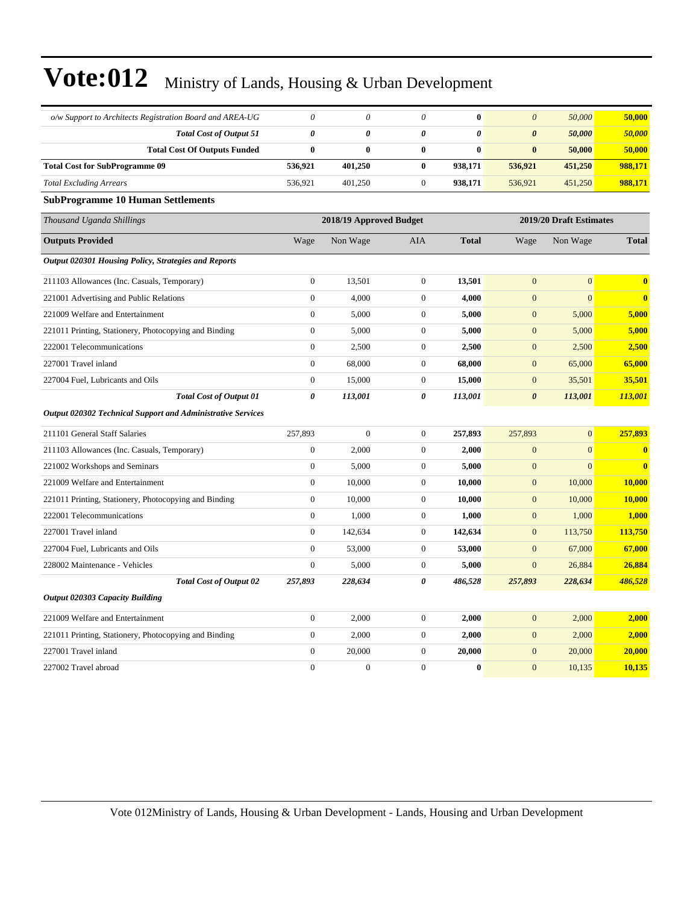| o/w Support to Architects Registration Board and AREA-UG    | $\theta$              | $\theta$                | $\theta$         | $\bf{0}$     | $\theta$              | 50,000                  | 50,000                  |
|-------------------------------------------------------------|-----------------------|-------------------------|------------------|--------------|-----------------------|-------------------------|-------------------------|
| <b>Total Cost of Output 51</b>                              | $\boldsymbol{\theta}$ | 0                       | 0                | 0            | $\boldsymbol{\theta}$ | 50,000                  | 50,000                  |
| <b>Total Cost Of Outputs Funded</b>                         | $\bf{0}$              | $\bf{0}$                | $\bf{0}$         | $\bf{0}$     | $\bf{0}$              | 50,000                  | 50,000                  |
| <b>Total Cost for SubProgramme 09</b>                       | 536,921               | 401,250                 | $\bf{0}$         | 938,171      | 536,921               | 451,250                 | 988,171                 |
| <b>Total Excluding Arrears</b>                              | 536,921               | 401,250                 | $\boldsymbol{0}$ | 938,171      | 536,921               | 451,250                 | 988,171                 |
| <b>SubProgramme 10 Human Settlements</b>                    |                       |                         |                  |              |                       |                         |                         |
| Thousand Uganda Shillings                                   |                       | 2018/19 Approved Budget |                  |              |                       | 2019/20 Draft Estimates |                         |
| <b>Outputs Provided</b>                                     | Wage                  | Non Wage                | AIA              | <b>Total</b> | Wage                  | Non Wage                | <b>Total</b>            |
| Output 020301 Housing Policy, Strategies and Reports        |                       |                         |                  |              |                       |                         |                         |
| 211103 Allowances (Inc. Casuals, Temporary)                 | $\boldsymbol{0}$      | 13,501                  | $\boldsymbol{0}$ | 13,501       | $\mathbf{0}$          | $\mathbf{0}$            | $\bf{0}$                |
| 221001 Advertising and Public Relations                     | $\overline{0}$        | 4,000                   | $\boldsymbol{0}$ | 4,000        | $\mathbf{0}$          | $\overline{0}$          | $\bf{0}$                |
| 221009 Welfare and Entertainment                            | $\mathbf{0}$          | 5,000                   | $\overline{0}$   | 5,000        | $\mathbf{0}$          | 5,000                   | 5,000                   |
| 221011 Printing, Stationery, Photocopying and Binding       | $\boldsymbol{0}$      | 5,000                   | $\mathbf{0}$     | 5,000        | $\mathbf{0}$          | 5,000                   | 5,000                   |
| 222001 Telecommunications                                   | $\boldsymbol{0}$      | 2,500                   | $\mathbf{0}$     | 2,500        | $\mathbf{0}$          | 2,500                   | 2,500                   |
| 227001 Travel inland                                        | $\boldsymbol{0}$      | 68,000                  | $\mathbf{0}$     | 68,000       | $\boldsymbol{0}$      | 65,000                  | 65,000                  |
| 227004 Fuel, Lubricants and Oils                            | $\boldsymbol{0}$      | 15,000                  | $\mathbf{0}$     | 15,000       | $\boldsymbol{0}$      | 35,501                  | 35,501                  |
| <b>Total Cost of Output 01</b>                              | $\pmb{\theta}$        | 113,001                 | 0                | 113,001      | $\boldsymbol{\theta}$ | 113,001                 | 113,001                 |
| Output 020302 Technical Support and Administrative Services |                       |                         |                  |              |                       |                         |                         |
| 211101 General Staff Salaries                               | 257,893               | $\Omega$                | $\mathbf{0}$     | 257,893      | 257,893               | $\overline{0}$          | 257,893                 |
| 211103 Allowances (Inc. Casuals, Temporary)                 | $\mathbf{0}$          | 2,000                   | $\mathbf{0}$     | 2,000        | $\mathbf{0}$          | $\mathbf{0}$            | $\bf{0}$                |
| 221002 Workshops and Seminars                               | $\boldsymbol{0}$      | 5,000                   | $\mathbf{0}$     | 5,000        | $\mathbf{0}$          | $\mathbf{0}$            | $\overline{\mathbf{0}}$ |
| 221009 Welfare and Entertainment                            | $\mathbf{0}$          | 10,000                  | $\mathbf{0}$     | 10,000       | $\overline{0}$        | 10,000                  | 10,000                  |
| 221011 Printing, Stationery, Photocopying and Binding       | $\boldsymbol{0}$      | 10,000                  | $\mathbf{0}$     | 10,000       | $\mathbf{0}$          | 10,000                  | 10,000                  |
| 222001 Telecommunications                                   | $\boldsymbol{0}$      | 1,000                   | $\mathbf{0}$     | 1,000        | $\mathbf{0}$          | 1,000                   | 1,000                   |
| 227001 Travel inland                                        | $\boldsymbol{0}$      | 142,634                 | $\mathbf{0}$     | 142,634      | $\boldsymbol{0}$      | 113,750                 | 113,750                 |
| 227004 Fuel, Lubricants and Oils                            | $\boldsymbol{0}$      | 53,000                  | $\boldsymbol{0}$ | 53,000       | $\boldsymbol{0}$      | 67,000                  | 67,000                  |
| 228002 Maintenance - Vehicles                               | $\boldsymbol{0}$      | 5,000                   | $\boldsymbol{0}$ | 5,000        | $\mathbf{0}$          | 26,884                  | 26,884                  |
| <b>Total Cost of Output 02</b>                              | 257,893               | 228,634                 | 0                | 486,528      | 257,893               | 228,634                 | 486,528                 |
| <b>Output 020303 Capacity Building</b>                      |                       |                         |                  |              |                       |                         |                         |
| 221009 Welfare and Entertainment                            | $\boldsymbol{0}$      | 2,000                   | $\overline{0}$   | 2,000        | $\mathbf{0}$          | 2,000                   | 2,000                   |
| 221011 Printing, Stationery, Photocopying and Binding       | $\boldsymbol{0}$      | 2,000                   | $\overline{0}$   | 2,000        | $\mathbf{0}$          | 2,000                   | 2,000                   |
| 227001 Travel inland                                        | $\mathbf{0}$          | 20,000                  | $\overline{0}$   | 20,000       | $\mathbf{0}$          | 20,000                  | 20,000                  |
| 227002 Travel abroad                                        | $\overline{0}$        | $\boldsymbol{0}$        | $\mathbf{0}$     | $\bf{0}$     | $\overline{0}$        | 10,135                  | 10,135                  |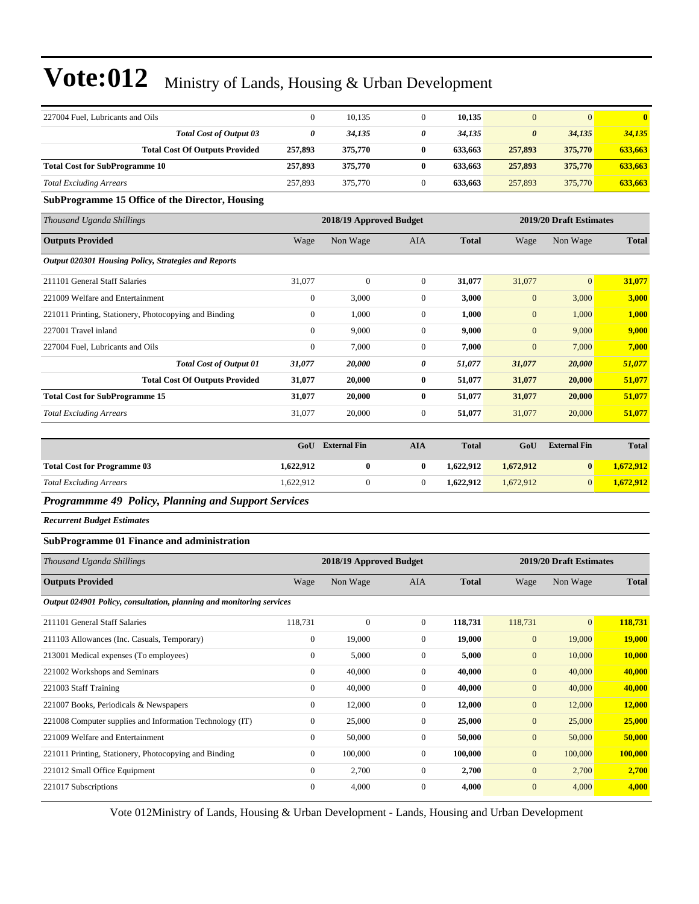| 227004 Fuel. Lubricants and Oils      |         | 10.135  |   | 10.135  |         | $\mathbf{0}$ | $\mathbf{0}$ |
|---------------------------------------|---------|---------|---|---------|---------|--------------|--------------|
| <b>Total Cost of Output 03</b>        |         | 34.135  | 0 | 34.135  | 0       | 34,135       | 34,135       |
| <b>Total Cost Of Outputs Provided</b> | 257,893 | 375,770 | 0 | 633.663 | 257,893 | 375,770      | 633.663      |
| <b>Total Cost for SubProgramme 10</b> | 257,893 | 375,770 | 0 | 633.663 | 257,893 | 375,770      | 633,663      |
| <b>Total Excluding Arrears</b>        | 257,893 | 375,770 |   | 633.663 | 257,893 | 375,770      | 633,663      |

#### **SubProgramme 15 Office of the Director, Housing**

| Thousand Uganda Shillings                             |                | 2018/19 Approved Budget |              |              |              | 2019/20 Draft Estimates |              |
|-------------------------------------------------------|----------------|-------------------------|--------------|--------------|--------------|-------------------------|--------------|
| <b>Outputs Provided</b>                               | Wage           | Non Wage                | AIA          | <b>Total</b> | Wage         | Non Wage                | <b>Total</b> |
| Output 020301 Housing Policy, Strategies and Reports  |                |                         |              |              |              |                         |              |
| 211101 General Staff Salaries                         | 31,077         | $\mathbf{0}$            | $\Omega$     | 31,077       | 31,077       | $\overline{0}$          | 31,077       |
| 221009 Welfare and Entertainment                      | $\mathbf{0}$   | 3,000                   | $\mathbf{0}$ | 3,000        | $\mathbf{0}$ | 3,000                   | 3,000        |
| 221011 Printing, Stationery, Photocopying and Binding | $\mathbf{0}$   | 1,000                   | $\mathbf{0}$ | 1,000        | $\mathbf{0}$ | 1,000                   | 1,000        |
| 227001 Travel inland                                  | $\overline{0}$ | 9,000                   | $\mathbf{0}$ | 9,000        | $\mathbf{0}$ | 9,000                   | 9,000        |
| 227004 Fuel, Lubricants and Oils                      | $\mathbf{0}$   | 7,000                   | $\mathbf{0}$ | 7,000        | $\mathbf{0}$ | 7,000                   | 7,000        |
| <b>Total Cost of Output 01</b>                        | 31,077         | 20,000                  | 0            | 51,077       | 31,077       | 20,000                  | 51,077       |
| <b>Total Cost Of Outputs Provided</b>                 | 31,077         | 20,000                  | $\bf{0}$     | 51,077       | 31,077       | 20,000                  | 51,077       |
| <b>Total Cost for SubProgramme 15</b>                 | 31,077         | 20,000                  | $\bf{0}$     | 51,077       | 31,077       | 20,000                  | 51,077       |
| <b>Total Excluding Arrears</b>                        | 31,077         | 20,000                  | $\mathbf{0}$ | 51,077       | 31,077       | 20,000                  | 51,077       |

|                                    | GoU       | <b>External Fin</b> | AIA | <b>Total</b> | GoU       | <b>External Fin</b> | <b>Total</b> |
|------------------------------------|-----------|---------------------|-----|--------------|-----------|---------------------|--------------|
| <b>Total Cost for Programme 03</b> | 1,622,912 |                     |     | 1.622.912    | 1,672,912 | $\bf{0}$            | 1,672,912    |
| <b>Total Excluding Arrears</b>     | 1.622.912 |                     |     | 1.622.912    | 1.672.912 | 0                   | 1,672,912    |

#### *Programmme 49 Policy, Planning and Support Services*

*Recurrent Budget Estimates*

#### **SubProgramme 01 Finance and administration**

| Thousand Uganda Shillings                                            |              | 2018/19 Approved Budget |                |              |                  | 2019/20 Draft Estimates |               |
|----------------------------------------------------------------------|--------------|-------------------------|----------------|--------------|------------------|-------------------------|---------------|
| <b>Outputs Provided</b>                                              | Wage         | Non Wage                | <b>AIA</b>     | <b>Total</b> | Wage             | Non Wage                | <b>Total</b>  |
| Output 024901 Policy, consultation, planning and monitoring services |              |                         |                |              |                  |                         |               |
| 211101 General Staff Salaries                                        | 118,731      | $\mathbf{0}$            | $\overline{0}$ | 118,731      | 118,731          | $\mathbf{0}$            | 118,731       |
| 211103 Allowances (Inc. Casuals, Temporary)                          | $\mathbf{0}$ | 19,000                  | $\overline{0}$ | 19,000       | $\mathbf{0}$     | 19,000                  | <b>19,000</b> |
| 213001 Medical expenses (To employees)                               | $\mathbf{0}$ | 5,000                   | $\overline{0}$ | 5,000        | $\mathbf{0}$     | 10,000                  | 10,000        |
| 221002 Workshops and Seminars                                        | $\mathbf{0}$ | 40,000                  | $\Omega$       | 40,000       | $\mathbf{0}$     | 40,000                  | 40,000        |
| 221003 Staff Training                                                | $\mathbf{0}$ | 40,000                  | $\overline{0}$ | 40,000       | $\mathbf{0}$     | 40,000                  | 40,000        |
| 221007 Books, Periodicals & Newspapers                               | $\mathbf{0}$ | 12,000                  | $\Omega$       | 12,000       | $\mathbf{0}$     | 12,000                  | 12,000        |
| 221008 Computer supplies and Information Technology (IT)             | $\mathbf{0}$ | 25,000                  | $\overline{0}$ | 25,000       | $\mathbf{0}$     | 25,000                  | 25,000        |
| 221009 Welfare and Entertainment                                     | $\mathbf{0}$ | 50,000                  | $\overline{0}$ | 50,000       | $\mathbf{0}$     | 50,000                  | 50,000        |
| 221011 Printing, Stationery, Photocopying and Binding                | $\theta$     | 100,000                 | $\overline{0}$ | 100,000      | $\mathbf{0}$     | 100,000                 | 100,000       |
| 221012 Small Office Equipment                                        | $\mathbf{0}$ | 2,700                   | $\overline{0}$ | 2,700        | $\mathbf{0}$     | 2,700                   | 2,700         |
| 221017 Subscriptions                                                 | $\theta$     | 4,000                   | $\overline{0}$ | 4,000        | $\boldsymbol{0}$ | 4,000                   | 4,000         |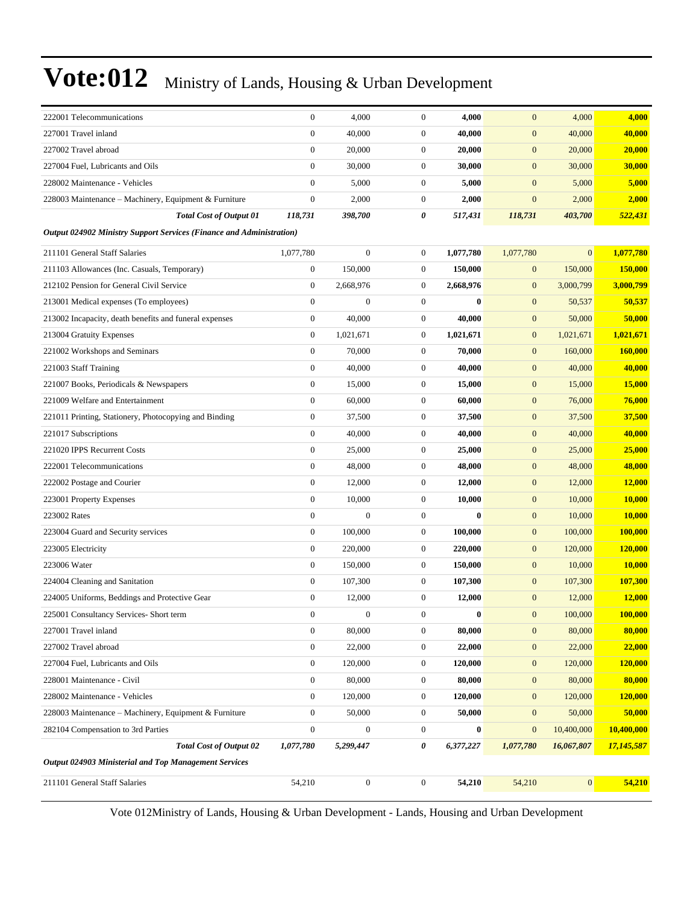| 222001 Telecommunications                                                   | $\boldsymbol{0}$ | 4,000            | $\boldsymbol{0}$ | 4,000     | $\mathbf{0}$     | 4,000           | 4,000          |
|-----------------------------------------------------------------------------|------------------|------------------|------------------|-----------|------------------|-----------------|----------------|
| 227001 Travel inland                                                        | $\boldsymbol{0}$ | 40,000           | $\boldsymbol{0}$ | 40,000    | $\mathbf{0}$     | 40,000          | 40,000         |
| 227002 Travel abroad                                                        | $\boldsymbol{0}$ | 20,000           | $\boldsymbol{0}$ | 20,000    | $\mathbf{0}$     | 20,000          | 20,000         |
| 227004 Fuel, Lubricants and Oils                                            | $\overline{0}$   | 30,000           | $\boldsymbol{0}$ | 30,000    | $\mathbf{0}$     | 30,000          | 30,000         |
| 228002 Maintenance - Vehicles                                               | $\overline{0}$   | 5,000            | $\boldsymbol{0}$ | 5,000     | $\mathbf{0}$     | 5,000           | 5,000          |
| 228003 Maintenance - Machinery, Equipment & Furniture                       | $\boldsymbol{0}$ | 2,000            | $\mathbf{0}$     | 2,000     | $\mathbf{0}$     | 2,000           | 2,000          |
| <b>Total Cost of Output 01</b>                                              | 118,731          | 398,700          | 0                | 517,431   | 118,731          | 403,700         | 522,431        |
| <b>Output 024902 Ministry Support Services (Finance and Administration)</b> |                  |                  |                  |           |                  |                 |                |
| 211101 General Staff Salaries                                               | 1,077,780        | $\boldsymbol{0}$ | $\mathbf{0}$     | 1,077,780 | 1,077,780        | $\overline{0}$  | 1,077,780      |
| 211103 Allowances (Inc. Casuals, Temporary)                                 | $\boldsymbol{0}$ | 150,000          | $\boldsymbol{0}$ | 150,000   | $\boldsymbol{0}$ | 150,000         | 150,000        |
| 212102 Pension for General Civil Service                                    | $\boldsymbol{0}$ | 2,668,976        | $\boldsymbol{0}$ | 2,668,976 | $\mathbf{0}$     | 3,000,799       | 3,000,799      |
| 213001 Medical expenses (To employees)                                      | $\boldsymbol{0}$ | $\boldsymbol{0}$ | $\mathbf{0}$     | $\bf{0}$  | $\mathbf{0}$     | 50,537          | 50,537         |
| 213002 Incapacity, death benefits and funeral expenses                      | $\boldsymbol{0}$ | 40,000           | $\mathbf{0}$     | 40,000    | $\mathbf{0}$     | 50,000          | 50,000         |
| 213004 Gratuity Expenses                                                    | $\boldsymbol{0}$ | 1,021,671        | $\mathbf{0}$     | 1,021,671 | $\mathbf{0}$     | 1,021,671       | 1,021,671      |
| 221002 Workshops and Seminars                                               | $\overline{0}$   | 70,000           | $\boldsymbol{0}$ | 70,000    | $\mathbf{0}$     | 160,000         | 160,000        |
| 221003 Staff Training                                                       | $\boldsymbol{0}$ | 40,000           | $\boldsymbol{0}$ | 40,000    | $\mathbf{0}$     | 40,000          | 40,000         |
| 221007 Books, Periodicals & Newspapers                                      | $\boldsymbol{0}$ | 15,000           | $\mathbf{0}$     | 15,000    | $\mathbf{0}$     | 15,000          | 15,000         |
| 221009 Welfare and Entertainment                                            | $\boldsymbol{0}$ | 60,000           | $\boldsymbol{0}$ | 60,000    | $\mathbf{0}$     | 76,000          | 76,000         |
| 221011 Printing, Stationery, Photocopying and Binding                       | $\boldsymbol{0}$ | 37,500           | $\mathbf{0}$     | 37,500    | $\mathbf{0}$     | 37,500          | 37,500         |
| 221017 Subscriptions                                                        | $\overline{0}$   | 40,000           | $\boldsymbol{0}$ | 40,000    | $\mathbf{0}$     | 40,000          | 40,000         |
| 221020 IPPS Recurrent Costs                                                 | $\boldsymbol{0}$ | 25,000           | $\boldsymbol{0}$ | 25,000    | $\mathbf{0}$     | 25,000          | 25,000         |
| 222001 Telecommunications                                                   | $\boldsymbol{0}$ | 48,000           | $\boldsymbol{0}$ | 48,000    | $\mathbf{0}$     | 48,000          | 48,000         |
| 222002 Postage and Courier                                                  | $\boldsymbol{0}$ | 12,000           | $\boldsymbol{0}$ | 12,000    | $\mathbf{0}$     | 12,000          | <b>12,000</b>  |
| 223001 Property Expenses                                                    | $\boldsymbol{0}$ | 10,000           | $\mathbf{0}$     | 10,000    | $\mathbf{0}$     | 10,000          | 10,000         |
| 223002 Rates                                                                | $\overline{0}$   | $\overline{0}$   | $\boldsymbol{0}$ | $\bf{0}$  | $\mathbf{0}$     | 10,000          | 10,000         |
| 223004 Guard and Security services                                          | $\boldsymbol{0}$ | 100,000          | $\boldsymbol{0}$ | 100,000   | $\mathbf{0}$     | 100,000         | 100,000        |
| 223005 Electricity                                                          | $\boldsymbol{0}$ | 220,000          | $\mathbf{0}$     | 220,000   | $\mathbf{0}$     | 120,000         | 120,000        |
| 223006 Water                                                                | $\boldsymbol{0}$ | 150,000          | $\boldsymbol{0}$ | 150,000   | $\mathbf{0}$     | 10,000          | <b>10,000</b>  |
| 224004 Cleaning and Sanitation                                              | $\boldsymbol{0}$ | 107,300          | $\boldsymbol{0}$ | 107,300   | $\mathbf{0}$     | 107,300         | 107,300        |
| 224005 Uniforms, Beddings and Protective Gear                               | $\boldsymbol{0}$ | 12,000           | $\boldsymbol{0}$ | 12,000    | $\mathbf{0}$     | 12,000          | 12,000         |
| 225001 Consultancy Services- Short term                                     | $\overline{0}$   | $\boldsymbol{0}$ | $\mathbf{0}$     | $\bf{0}$  | $\mathbf{0}$     | 100,000         | 100,000        |
| 227001 Travel inland                                                        | $\boldsymbol{0}$ | 80,000           | $\boldsymbol{0}$ | 80,000    | $\boldsymbol{0}$ | 80,000          | 80,000         |
| 227002 Travel abroad                                                        | $\boldsymbol{0}$ | 22,000           | $\boldsymbol{0}$ | 22,000    | $\mathbf{0}$     | 22,000          | 22,000         |
| 227004 Fuel, Lubricants and Oils                                            | $\boldsymbol{0}$ | 120,000          | $\boldsymbol{0}$ | 120,000   | $\mathbf{0}$     | 120,000         | <b>120,000</b> |
| 228001 Maintenance - Civil                                                  | $\overline{0}$   | 80,000           | $\boldsymbol{0}$ | 80,000    | $\boldsymbol{0}$ | 80,000          | 80,000         |
| 228002 Maintenance - Vehicles                                               | $\mathbf{0}$     | 120,000          | $\boldsymbol{0}$ | 120,000   | $\boldsymbol{0}$ | 120,000         | 120,000        |
| 228003 Maintenance – Machinery, Equipment & Furniture                       | $\boldsymbol{0}$ | 50,000           | $\boldsymbol{0}$ | 50,000    | $\boldsymbol{0}$ | 50,000          | 50,000         |
| 282104 Compensation to 3rd Parties                                          | $\boldsymbol{0}$ | $\boldsymbol{0}$ | $\boldsymbol{0}$ | $\bf{0}$  | $\boldsymbol{0}$ | 10,400,000      | 10,400,000     |
| <b>Total Cost of Output 02</b>                                              | 1,077,780        | 5,299,447        | 0                | 6,377,227 | 1,077,780        | 16,067,807      | 17,145,587     |
| <b>Output 024903 Ministerial and Top Management Services</b>                |                  |                  |                  |           |                  |                 |                |
| 211101 General Staff Salaries                                               | 54,210           | $\boldsymbol{0}$ | $\boldsymbol{0}$ | 54,210    | 54,210           | $\vert 0 \vert$ | 54,210         |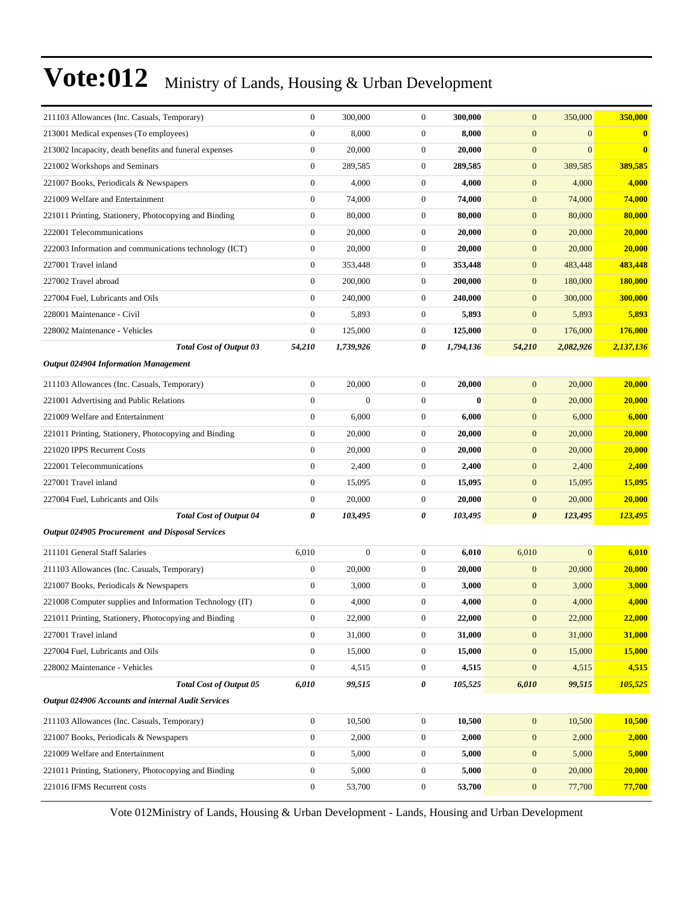| 211103 Allowances (Inc. Casuals, Temporary)              | $\boldsymbol{0}$ | 300,000      | $\mathbf{0}$     | 300,000   | $\mathbf{0}$          | 350,000      | 350,000   |
|----------------------------------------------------------|------------------|--------------|------------------|-----------|-----------------------|--------------|-----------|
| 213001 Medical expenses (To employees)                   | $\boldsymbol{0}$ | 8,000        | $\mathbf{0}$     | 8,000     | $\mathbf{0}$          | $\mathbf{0}$ | $\bf{0}$  |
| 213002 Incapacity, death benefits and funeral expenses   | $\boldsymbol{0}$ | 20,000       | $\boldsymbol{0}$ | 20,000    | $\mathbf{0}$          | $\mathbf{0}$ | $\bf{0}$  |
| 221002 Workshops and Seminars                            | $\boldsymbol{0}$ | 289,585      | $\boldsymbol{0}$ | 289,585   | $\mathbf{0}$          | 389,585      | 389,585   |
| 221007 Books, Periodicals & Newspapers                   | $\boldsymbol{0}$ | 4,000        | $\mathbf{0}$     | 4,000     | $\mathbf{0}$          | 4,000        | 4,000     |
| 221009 Welfare and Entertainment                         | $\boldsymbol{0}$ | 74,000       | $\mathbf{0}$     | 74,000    | $\mathbf{0}$          | 74,000       | 74,000    |
| 221011 Printing, Stationery, Photocopying and Binding    | $\boldsymbol{0}$ | 80,000       | $\boldsymbol{0}$ | 80,000    | $\mathbf{0}$          | 80,000       | 80,000    |
| 222001 Telecommunications                                | $\boldsymbol{0}$ | 20,000       | $\boldsymbol{0}$ | 20,000    | $\mathbf{0}$          | 20,000       | 20,000    |
| 222003 Information and communications technology (ICT)   | $\boldsymbol{0}$ | 20,000       | $\mathbf{0}$     | 20,000    | $\mathbf{0}$          | 20,000       | 20,000    |
| 227001 Travel inland                                     | $\boldsymbol{0}$ | 353,448      | $\mathbf{0}$     | 353,448   | $\mathbf{0}$          | 483,448      | 483,448   |
| 227002 Travel abroad                                     | $\boldsymbol{0}$ | 200,000      | $\boldsymbol{0}$ | 200,000   | $\mathbf{0}$          | 180,000      | 180,000   |
| 227004 Fuel, Lubricants and Oils                         | $\mathbf{0}$     | 240,000      | $\mathbf{0}$     | 240,000   | $\mathbf{0}$          | 300,000      | 300,000   |
| 228001 Maintenance - Civil                               | $\boldsymbol{0}$ | 5,893        | $\mathbf{0}$     | 5,893     | $\mathbf{0}$          | 5,893        | 5,893     |
| 228002 Maintenance - Vehicles                            | $\boldsymbol{0}$ | 125,000      | $\mathbf{0}$     | 125,000   | $\mathbf{0}$          | 176,000      | 176,000   |
| <b>Total Cost of Output 03</b>                           | 54,210           | 1,739,926    | 0                | 1,794,136 | 54,210                | 2,082,926    | 2,137,136 |
| <b>Output 024904 Information Management</b>              |                  |              |                  |           |                       |              |           |
| 211103 Allowances (Inc. Casuals, Temporary)              | $\boldsymbol{0}$ | 20,000       | $\boldsymbol{0}$ | 20,000    | $\mathbf{0}$          | 20,000       | 20,000    |
| 221001 Advertising and Public Relations                  | $\overline{0}$   | $\mathbf{0}$ | $\mathbf{0}$     | 0         | $\mathbf{0}$          | 20,000       | 20,000    |
| 221009 Welfare and Entertainment                         | $\boldsymbol{0}$ | 6,000        | $\mathbf{0}$     | 6,000     | $\mathbf{0}$          | 6,000        | 6,000     |
| 221011 Printing, Stationery, Photocopying and Binding    | $\boldsymbol{0}$ | 20,000       | $\mathbf{0}$     | 20,000    | $\mathbf{0}$          | 20,000       | 20,000    |
| 221020 IPPS Recurrent Costs                              | $\boldsymbol{0}$ | 20,000       | $\mathbf{0}$     | 20,000    | $\boldsymbol{0}$      | 20,000       | 20,000    |
| 222001 Telecommunications                                | $\boldsymbol{0}$ | 2,400        | $\boldsymbol{0}$ | 2,400     | $\mathbf{0}$          | 2,400        | 2,400     |
| 227001 Travel inland                                     | $\boldsymbol{0}$ | 15,095       | $\boldsymbol{0}$ | 15,095    | $\mathbf{0}$          | 15,095       | 15,095    |
| 227004 Fuel, Lubricants and Oils                         | $\boldsymbol{0}$ | 20,000       | $\mathbf{0}$     | 20,000    | $\mathbf{0}$          | 20,000       | 20,000    |
| <b>Total Cost of Output 04</b>                           | 0                | 103,495      | 0                | 103,495   | $\boldsymbol{\theta}$ | 123,495      | 123,495   |
| Output 024905 Procurement and Disposal Services          |                  |              |                  |           |                       |              |           |
| 211101 General Staff Salaries                            | 6,010            | $\mathbf{0}$ | $\mathbf{0}$     | 6,010     | 6,010                 | $\mathbf{0}$ | 6,010     |
| 211103 Allowances (Inc. Casuals, Temporary)              | $\boldsymbol{0}$ | 20,000       | $\mathbf{0}$     | 20,000    | $\mathbf{0}$          | 20,000       | 20,000    |
| 221007 Books, Periodicals & Newspapers                   | $\boldsymbol{0}$ | 3,000        | $\boldsymbol{0}$ | 3,000     | $\mathbf{0}$          | 3,000        | 3,000     |
| 221008 Computer supplies and Information Technology (IT) | $\boldsymbol{0}$ | 4,000        | $\mathbf{0}$     | 4,000     | $\mathbf{0}$          | 4,000        | 4,000     |
| 221011 Printing, Stationery, Photocopying and Binding    | $\boldsymbol{0}$ | 22,000       | 0                | 22,000    | $\boldsymbol{0}$      | 22,000       | 22,000    |
| 227001 Travel inland                                     | 0                | 31,000       | $\boldsymbol{0}$ | 31,000    | $\mathbf{0}$          | 31,000       | 31,000    |
| 227004 Fuel, Lubricants and Oils                         | $\boldsymbol{0}$ | 15,000       | $\mathbf{0}$     | 15,000    | $\mathbf{0}$          | 15,000       | 15,000    |
| 228002 Maintenance - Vehicles                            | $\boldsymbol{0}$ | 4,515        | $\boldsymbol{0}$ | 4,515     | $\boldsymbol{0}$      | 4,515        | 4,515     |
| <b>Total Cost of Output 05</b>                           | 6,010            | 99,515       | 0                | 105,525   | 6,010                 | 99,515       | 105,525   |
| Output 024906 Accounts and internal Audit Services       |                  |              |                  |           |                       |              |           |
| 211103 Allowances (Inc. Casuals, Temporary)              | $\boldsymbol{0}$ | 10,500       | $\boldsymbol{0}$ | 10,500    | $\mathbf{0}$          | 10,500       | 10,500    |
| 221007 Books, Periodicals & Newspapers                   | $\boldsymbol{0}$ | 2,000        | $\boldsymbol{0}$ | 2,000     | $\mathbf{0}$          | 2,000        | 2,000     |
| 221009 Welfare and Entertainment                         | $\boldsymbol{0}$ | 5,000        | $\boldsymbol{0}$ | 5,000     | $\boldsymbol{0}$      | 5,000        | 5,000     |
| 221011 Printing, Stationery, Photocopying and Binding    | $\boldsymbol{0}$ | 5,000        | $\boldsymbol{0}$ | 5,000     | $\boldsymbol{0}$      | 20,000       | 20,000    |
| 221016 IFMS Recurrent costs                              | $\boldsymbol{0}$ | 53,700       | $\boldsymbol{0}$ | 53,700    | $\mathbf{0}$          | 77,700       | 77,700    |
|                                                          |                  |              |                  |           |                       |              |           |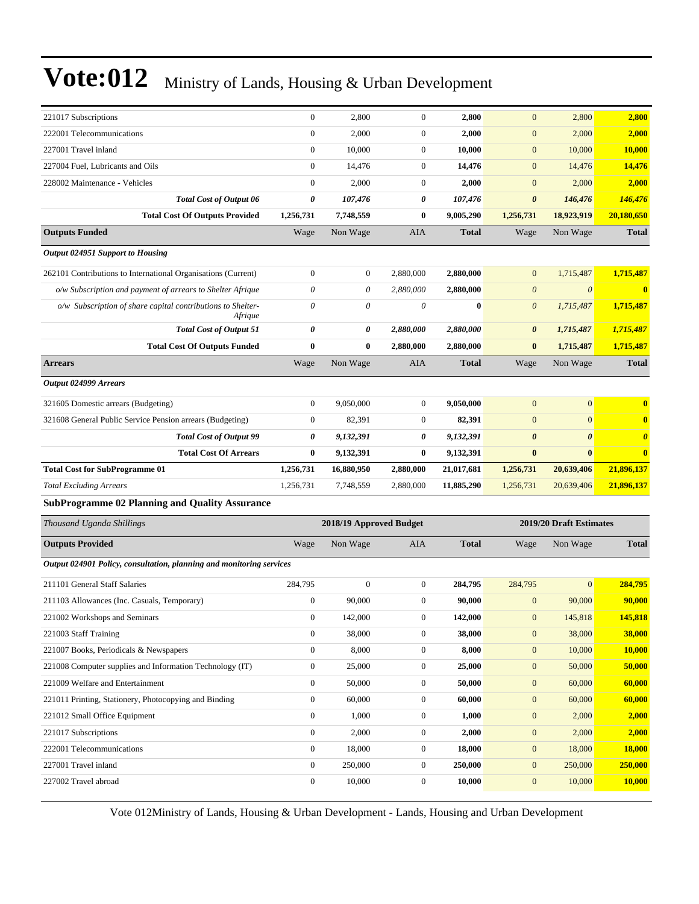| 221017 Subscriptions                                                   | $\boldsymbol{0}$ | 2,800                   | $\boldsymbol{0}$ | 2,800        | $\mathbf{0}$          | 2,800                   | 2,800                 |
|------------------------------------------------------------------------|------------------|-------------------------|------------------|--------------|-----------------------|-------------------------|-----------------------|
| 222001 Telecommunications                                              | $\mathbf{0}$     | 2,000                   | $\boldsymbol{0}$ | 2,000        | $\mathbf{0}$          | 2,000                   | 2,000                 |
| 227001 Travel inland                                                   | $\mathbf{0}$     | 10,000                  | $\boldsymbol{0}$ | 10,000       | $\mathbf{0}$          | 10,000                  | <b>10,000</b>         |
| 227004 Fuel, Lubricants and Oils                                       | $\mathbf{0}$     | 14,476                  | $\boldsymbol{0}$ | 14,476       | $\mathbf{0}$          | 14,476                  | 14,476                |
| 228002 Maintenance - Vehicles                                          | $\mathbf{0}$     | 2,000                   | $\boldsymbol{0}$ | 2,000        | $\mathbf{0}$          | 2,000                   | 2,000                 |
| <b>Total Cost of Output 06</b>                                         | 0                | 107,476                 | 0                | 107,476      | $\boldsymbol{\theta}$ | 146,476                 | 146,476               |
| <b>Total Cost Of Outputs Provided</b>                                  | 1,256,731        | 7,748,559               | $\bf{0}$         | 9,005,290    | 1,256,731             | 18,923,919              | 20,180,650            |
| <b>Outputs Funded</b>                                                  | Wage             | Non Wage                | AIA              | <b>Total</b> | Wage                  | Non Wage                | <b>Total</b>          |
| Output 024951 Support to Housing                                       |                  |                         |                  |              |                       |                         |                       |
| 262101 Contributions to International Organisations (Current)          | $\boldsymbol{0}$ | $\boldsymbol{0}$        | 2,880,000        | 2,880,000    | $\mathbf{0}$          | 1,715,487               | 1,715,487             |
| o/w Subscription and payment of arrears to Shelter Afrique             | $\theta$         | 0                       | 2,880,000        | 2,880,000    | $\boldsymbol{\theta}$ | $\theta$                | $\bf{0}$              |
| o/w Subscription of share capital contributions to Shelter-<br>Afrique | $\theta$         | 0                       | 0                | $\bf{0}$     | $\boldsymbol{\theta}$ | 1,715,487               | 1,715,487             |
| <b>Total Cost of Output 51</b>                                         | 0                | 0                       | 2,880,000        | 2,880,000    | $\boldsymbol{\theta}$ | 1,715,487               | 1,715,487             |
| <b>Total Cost Of Outputs Funded</b>                                    | $\bf{0}$         | 0                       | 2,880,000        | 2,880,000    | $\bf{0}$              | 1,715,487               | 1,715,487             |
| <b>Arrears</b>                                                         | Wage             | Non Wage                | AIA              | <b>Total</b> | Wage                  | Non Wage                | <b>Total</b>          |
| Output 024999 Arrears                                                  |                  |                         |                  |              |                       |                         |                       |
| 321605 Domestic arrears (Budgeting)                                    | $\mathbf{0}$     | 9,050,000               | $\boldsymbol{0}$ | 9,050,000    | $\mathbf{0}$          | $\overline{0}$          | $\bf{0}$              |
| 321608 General Public Service Pension arrears (Budgeting)              | $\boldsymbol{0}$ | 82,391                  | $\boldsymbol{0}$ | 82,391       | $\mathbf{0}$          | $\overline{0}$          | $\bf{0}$              |
| <b>Total Cost of Output 99</b>                                         | 0                | 9,132,391               | 0                | 9,132,391    | $\boldsymbol{\theta}$ | $\boldsymbol{\theta}$   | $\boldsymbol{\theta}$ |
| <b>Total Cost Of Arrears</b>                                           | $\bf{0}$         | 9,132,391               | $\bf{0}$         | 9,132,391    | $\bf{0}$              | $\bf{0}$                | $\bf{0}$              |
| <b>Total Cost for SubProgramme 01</b>                                  | 1,256,731        | 16,880,950              | 2,880,000        | 21,017,681   | 1,256,731             | 20,639,406              | 21,896,137            |
| <b>Total Excluding Arrears</b>                                         | 1,256,731        | 7,748,559               | 2,880,000        | 11,885,290   | 1,256,731             | 20,639,406              | 21,896,137            |
| <b>SubProgramme 02 Planning and Quality Assurance</b>                  |                  |                         |                  |              |                       |                         |                       |
| Thousand Uganda Shillings                                              |                  | 2018/19 Approved Budget |                  |              |                       | 2019/20 Draft Estimates |                       |
| <b>Outputs Provided</b>                                                | Wage             | Non Wage                | AIA              | <b>Total</b> | Wage                  | Non Wage                | <b>Total</b>          |
| Output 024901 Policy, consultation, planning and monitoring services   |                  |                         |                  |              |                       |                         |                       |
| 211101 General Staff Salaries                                          | 284,795          | $\boldsymbol{0}$        | $\boldsymbol{0}$ | 284,795      | 284,795               | $\overline{0}$          | 284,795               |
| 211103 Allowances (Inc. Casuals, Temporary)                            | $\boldsymbol{0}$ | 90,000                  | $\overline{0}$   | 90,000       | $\mathbf{0}$          | 90,000                  | 90,000                |
| 221002 Workshops and Seminars                                          | $\boldsymbol{0}$ | 142,000                 | $\boldsymbol{0}$ | 142,000      | $\mathbf{0}$          | 145,818                 | 145,818               |
| 221003 Staff Training                                                  | $\boldsymbol{0}$ | 38,000                  | 0                | 38,000       | $\mathbf{0}$          | 38,000                  | 38,000                |
| 221007 Books, Periodicals & Newspapers                                 | $\boldsymbol{0}$ | 8,000                   | $\boldsymbol{0}$ | 8,000        | $\mathbf{0}$          | 10,000                  | 10,000                |
| 221008 Computer supplies and Information Technology (IT)               | $\boldsymbol{0}$ | 25,000                  | $\boldsymbol{0}$ | 25,000       | $\mathbf{0}$          | 50,000                  | 50,000                |
| 221009 Welfare and Entertainment                                       | $\boldsymbol{0}$ | 50,000                  | $\boldsymbol{0}$ | 50,000       | $\mathbf{0}$          | 60,000                  | 60,000                |
| 221011 Printing, Stationery, Photocopying and Binding                  | $\boldsymbol{0}$ | 60,000                  | $\boldsymbol{0}$ | 60,000       | $\mathbf{0}$          | 60,000                  | 60,000                |
| 221012 Small Office Equipment                                          | $\boldsymbol{0}$ | 1,000                   | 0                | 1,000        | $\mathbf{0}$          | 2,000                   | 2,000                 |
| 221017 Subscriptions                                                   | $\boldsymbol{0}$ | 2,000                   | $\boldsymbol{0}$ | 2,000        | $\mathbf{0}$          | 2,000                   | 2,000                 |
| 222001 Telecommunications                                              | $\mathbf{0}$     | 18,000                  | $\boldsymbol{0}$ | 18,000       | $\boldsymbol{0}$      | 18,000                  | <b>18,000</b>         |
| 227001 Travel inland                                                   | $\boldsymbol{0}$ | 250,000                 | $\boldsymbol{0}$ | 250,000      | $\mathbf{0}$          | 250,000                 | 250,000               |
| 227002 Travel abroad                                                   | $\boldsymbol{0}$ | 10,000                  | $\boldsymbol{0}$ | 10,000       | $\mathbf{0}$          | 10,000                  | 10,000                |
|                                                                        |                  |                         |                  |              |                       |                         |                       |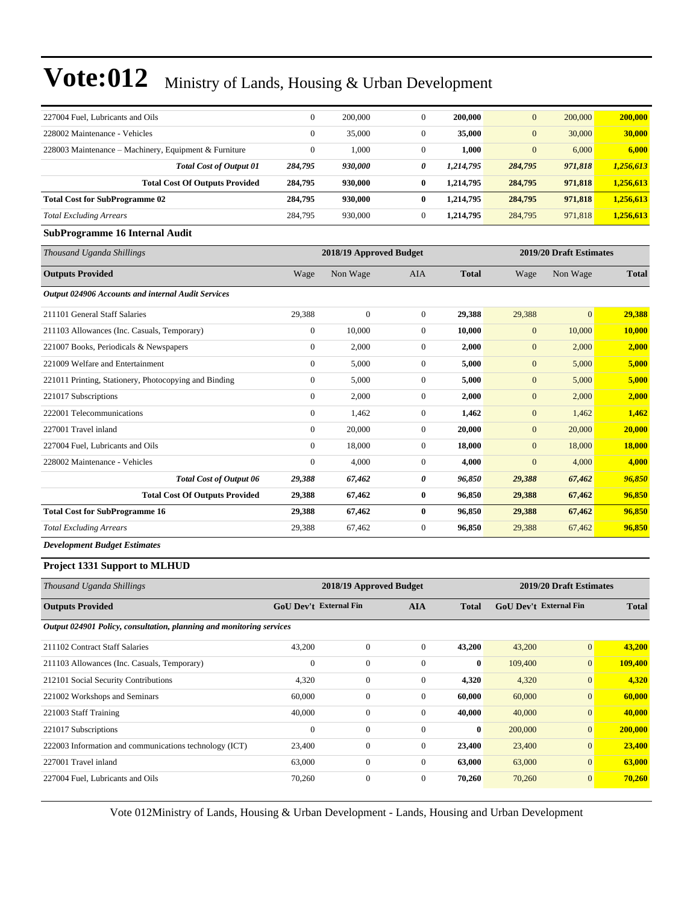| 227004 Fuel, Lubricants and Oils                      | $\Omega$     | 200,000                 | $\Omega$     | 200,000      | $\mathbf{0}$ | 200,000                 | 200,000      |
|-------------------------------------------------------|--------------|-------------------------|--------------|--------------|--------------|-------------------------|--------------|
| 228002 Maintenance - Vehicles                         | $\Omega$     | 35,000                  | $\Omega$     | 35,000       | $\mathbf{0}$ | 30,000                  | 30,000       |
| 228003 Maintenance – Machinery, Equipment & Furniture | $\mathbf{0}$ | 1,000                   | $\mathbf{0}$ | 1,000        | $\mathbf{0}$ | 6,000                   | 6,000        |
| <b>Total Cost of Output 01</b>                        | 284,795      | 930,000                 | 0            | 1,214,795    | 284,795      | 971,818                 | 1,256,613    |
| <b>Total Cost Of Outputs Provided</b>                 | 284,795      | 930,000                 | $\bf{0}$     | 1,214,795    | 284,795      | 971,818                 | 1,256,613    |
| <b>Total Cost for SubProgramme 02</b>                 | 284,795      | 930,000                 | $\bf{0}$     | 1,214,795    | 284,795      | 971,818                 | 1,256,613    |
| <b>Total Excluding Arrears</b>                        | 284,795      | 930,000                 | $\mathbf{0}$ | 1,214,795    | 284,795      | 971,818                 | 1,256,613    |
| SubProgramme 16 Internal Audit                        |              |                         |              |              |              |                         |              |
|                                                       |              |                         |              |              |              |                         |              |
| Thousand Uganda Shillings                             |              | 2018/19 Approved Budget |              |              |              | 2019/20 Draft Estimates |              |
| <b>Outputs Provided</b>                               | Wage         | Non Wage                | <b>AIA</b>   | <b>Total</b> | Wage         | Non Wage                | <b>Total</b> |
| Output 024906 Accounts and internal Audit Services    |              |                         |              |              |              |                         |              |
| 211101 General Staff Salaries                         | 29,388       | $\mathbf{0}$            | $\mathbf{0}$ | 29,388       | 29,388       | $\mathbf{0}$            | 29,388       |
| 211103 Allowances (Inc. Casuals, Temporary)           | $\mathbf{0}$ | 10,000                  | $\mathbf{0}$ | 10,000       | $\mathbf{0}$ | 10,000                  | 10,000       |
| 221007 Books, Periodicals & Newspapers                | $\theta$     | 2,000                   | $\mathbf{0}$ | 2,000        | $\mathbf{0}$ | 2,000                   | 2,000        |

| Thousand Uganda Shillings                             |                | 2018/19 Approved Budget |              |              |                | 2019/20 Draft Estimates |              |  |
|-------------------------------------------------------|----------------|-------------------------|--------------|--------------|----------------|-------------------------|--------------|--|
| <b>Outputs Provided</b>                               | Wage           | Non Wage                | <b>AIA</b>   | <b>Total</b> | Wage           | Non Wage                | <b>Total</b> |  |
| Output 024906 Accounts and internal Audit Services    |                |                         |              |              |                |                         |              |  |
| 211101 General Staff Salaries                         | 29,388         | $\overline{0}$          | $\mathbf{0}$ | 29,388       | 29,388         | $\overline{0}$          | 29,388       |  |
| 211103 Allowances (Inc. Casuals, Temporary)           | $\mathbf{0}$   | 10,000                  | $\mathbf{0}$ | 10,000       | $\mathbf{0}$   | 10,000                  | 10,000       |  |
| 221007 Books, Periodicals & Newspapers                | $\mathbf{0}$   | 2,000                   | $\mathbf{0}$ | 2,000        | $\mathbf{0}$   | 2,000                   | 2,000        |  |
| 221009 Welfare and Entertainment                      | $\mathbf{0}$   | 5,000                   | $\mathbf{0}$ | 5,000        | $\mathbf{0}$   | 5,000                   | 5,000        |  |
| 221011 Printing, Stationery, Photocopying and Binding | 0              | 5,000                   | $\mathbf{0}$ | 5,000        | $\mathbf{0}$   | 5,000                   | 5,000        |  |
| 221017 Subscriptions                                  | $\overline{0}$ | 2,000                   | $\mathbf{0}$ | 2,000        | $\mathbf{0}$   | 2,000                   | 2,000        |  |
| 222001 Telecommunications                             | $\Omega$       | 1,462                   | $\mathbf{0}$ | 1,462        | $\mathbf{0}$   | 1,462                   | 1,462        |  |
| 227001 Travel inland                                  | $\mathbf{0}$   | 20,000                  | $\mathbf{0}$ | 20,000       | $\mathbf{0}$   | 20,000                  | 20,000       |  |
| 227004 Fuel, Lubricants and Oils                      | $\Omega$       | 18,000                  | $\mathbf{0}$ | 18,000       | $\overline{0}$ | 18,000                  | 18,000       |  |
| 228002 Maintenance - Vehicles                         | $\mathbf{0}$   | 4,000                   | $\mathbf{0}$ | 4,000        | $\overline{0}$ | 4,000                   | 4,000        |  |
| <b>Total Cost of Output 06</b>                        | 29,388         | 67,462                  | 0            | 96,850       | 29,388         | 67,462                  | 96,850       |  |
| <b>Total Cost Of Outputs Provided</b>                 | 29,388         | 67,462                  | $\bf{0}$     | 96,850       | 29,388         | 67,462                  | 96,850       |  |
| <b>Total Cost for SubProgramme 16</b>                 | 29,388         | 67,462                  | $\bf{0}$     | 96,850       | 29,388         | 67,462                  | 96,850       |  |
| <b>Total Excluding Arrears</b>                        | 29,388         | 67,462                  | $\mathbf{0}$ | 96,850       | 29,388         | 67,462                  | 96,850       |  |

*Development Budget Estimates*

#### **Project 1331 Support to MLHUD**

| Thousand Uganda Shillings                                            |                               | 2018/19 Approved Budget |              |              |                               | 2019/20 Draft Estimates |              |  |  |  |
|----------------------------------------------------------------------|-------------------------------|-------------------------|--------------|--------------|-------------------------------|-------------------------|--------------|--|--|--|
| <b>Outputs Provided</b>                                              | <b>GoU Dev't External Fin</b> |                         | <b>AIA</b>   | <b>Total</b> | <b>GoU Dev't External Fin</b> |                         | <b>Total</b> |  |  |  |
| Output 024901 Policy, consultation, planning and monitoring services |                               |                         |              |              |                               |                         |              |  |  |  |
| 211102 Contract Staff Salaries                                       | 43,200                        | $\Omega$                | $\Omega$     | 43,200       | 43,200                        | $\mathbf{0}$            | 43,200       |  |  |  |
| 211103 Allowances (Inc. Casuals, Temporary)                          | $\mathbf{0}$                  | $\mathbf{0}$            | $\Omega$     | $\bf{0}$     | 109,400                       | $\mathbf{0}$            | 109,400      |  |  |  |
| 212101 Social Security Contributions                                 | 4,320                         | $\mathbf{0}$            | $\mathbf{0}$ | 4,320        | 4,320                         | $\mathbf{0}$            | 4,320        |  |  |  |
| 221002 Workshops and Seminars                                        | 60,000                        | $\mathbf{0}$            | $\Omega$     | 60,000       | 60,000                        | $\overline{0}$          | 60,000       |  |  |  |
| 221003 Staff Training                                                | 40,000                        | $\mathbf{0}$            | $\mathbf{0}$ | 40,000       | 40,000                        | $\mathbf{0}$            | 40,000       |  |  |  |
| 221017 Subscriptions                                                 | $\mathbf{0}$                  | $\mathbf{0}$            | $\mathbf{0}$ | $\bf{0}$     | 200,000                       | $\mathbf{0}$            | 200,000      |  |  |  |
| 222003 Information and communications technology (ICT)               | 23,400                        | $\mathbf{0}$            | $\Omega$     | 23,400       | 23,400                        | $\overline{0}$          | 23,400       |  |  |  |
| 227001 Travel inland                                                 | 63,000                        | $\mathbf{0}$            | $\Omega$     | 63,000       | 63,000                        | $\mathbf{0}$            | 63,000       |  |  |  |
| 227004 Fuel, Lubricants and Oils                                     | 70,260                        | $\mathbf{0}$            | $\mathbf{0}$ | 70,260       | 70,260                        | $\mathbf{0}$            | 70,260       |  |  |  |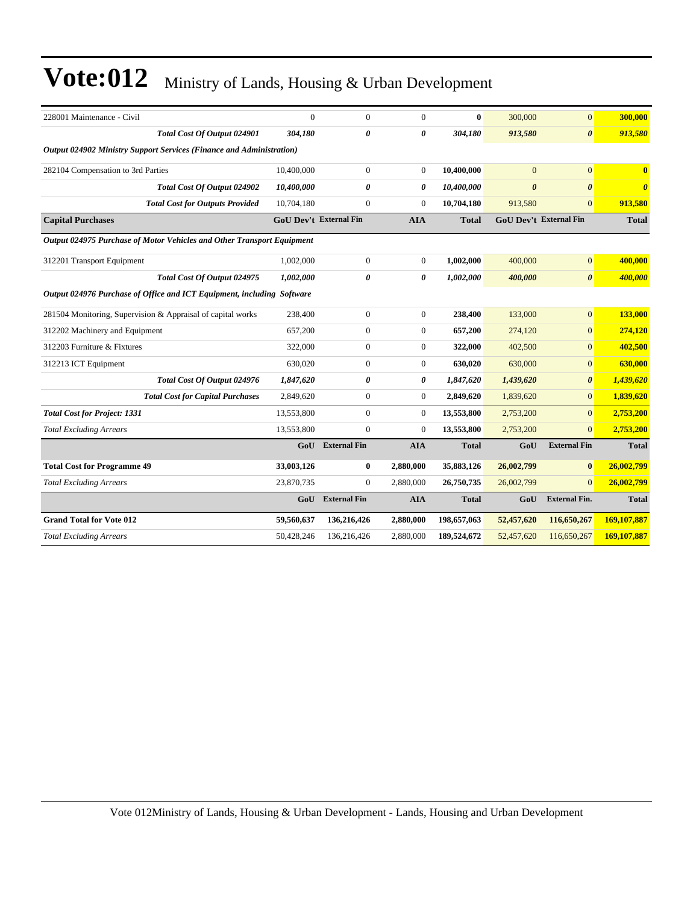| 228001 Maintenance - Civil                                             | $\overline{0}$ | $\mathbf{0}$                  | $\mathbf{0}$   | $\bf{0}$     | 300,000               | $\mathbf{0}$                  | 300,000               |  |  |
|------------------------------------------------------------------------|----------------|-------------------------------|----------------|--------------|-----------------------|-------------------------------|-----------------------|--|--|
| Total Cost Of Output 024901                                            | 304,180        | 0                             | 0              | 304,180      | 913,580               | $\boldsymbol{\theta}$         | 913,580               |  |  |
| Output 024902 Ministry Support Services (Finance and Administration)   |                |                               |                |              |                       |                               |                       |  |  |
| 282104 Compensation to 3rd Parties                                     | 10,400,000     | $\boldsymbol{0}$              | $\overline{0}$ | 10,400,000   | $\overline{0}$        | $\mathbf{0}$                  | $\bf{0}$              |  |  |
| <b>Total Cost Of Output 024902</b>                                     | 10,400,000     | 0                             | 0              | 10,400,000   | $\boldsymbol{\theta}$ | $\boldsymbol{\theta}$         | $\boldsymbol{\theta}$ |  |  |
| <b>Total Cost for Outputs Provided</b>                                 | 10,704,180     | $\boldsymbol{0}$              | $\mathbf{0}$   | 10,704,180   | 913,580               | $\mathbf{0}$                  | 913,580               |  |  |
| <b>Capital Purchases</b>                                               |                | <b>GoU Dev't External Fin</b> | <b>AIA</b>     | <b>Total</b> |                       | <b>GoU Dev't External Fin</b> | <b>Total</b>          |  |  |
| Output 024975 Purchase of Motor Vehicles and Other Transport Equipment |                |                               |                |              |                       |                               |                       |  |  |
| 312201 Transport Equipment                                             | 1,002,000      | $\boldsymbol{0}$              | $\mathbf{0}$   | 1,002,000    | 400,000               | $\vert 0 \vert$               | 400,000               |  |  |
| Total Cost Of Output 024975                                            | 1,002,000      | 0                             | 0              | 1,002,000    | 400,000               | $\boldsymbol{\theta}$         | 400,000               |  |  |
| Output 024976 Purchase of Office and ICT Equipment, including Software |                |                               |                |              |                       |                               |                       |  |  |
| 281504 Monitoring, Supervision & Appraisal of capital works            | 238,400        | $\boldsymbol{0}$              | $\overline{0}$ | 238,400      | 133,000               | $\overline{0}$                | 133,000               |  |  |
| 312202 Machinery and Equipment                                         | 657,200        | $\boldsymbol{0}$              | $\overline{0}$ | 657,200      | 274,120               | $\overline{0}$                | 274,120               |  |  |
| 312203 Furniture & Fixtures                                            | 322,000        | $\boldsymbol{0}$              | $\overline{0}$ | 322,000      | 402,500               | $\overline{0}$                | 402,500               |  |  |
| 312213 ICT Equipment                                                   | 630,020        | $\boldsymbol{0}$              | $\overline{0}$ | 630,020      | 630,000               | $\overline{0}$                | 630,000               |  |  |
| Total Cost Of Output 024976                                            | 1,847,620      | 0                             | 0              | 1,847,620    | 1,439,620             | $\theta$                      | 1,439,620             |  |  |
| <b>Total Cost for Capital Purchases</b>                                | 2,849,620      | $\boldsymbol{0}$              | $\overline{0}$ | 2,849,620    | 1,839,620             | $\Omega$                      | 1,839,620             |  |  |
| <b>Total Cost for Project: 1331</b>                                    | 13,553,800     | $\mathbf{0}$                  | $\overline{0}$ | 13,553,800   | 2,753,200             | $\overline{0}$                | 2,753,200             |  |  |
| <b>Total Excluding Arrears</b>                                         | 13,553,800     | $\mathbf{0}$                  | $\overline{0}$ | 13,553,800   | 2,753,200             | $\Omega$                      | 2,753,200             |  |  |
|                                                                        | GoU            | <b>External Fin</b>           | <b>AIA</b>     | <b>Total</b> | GoU                   | <b>External Fin</b>           | <b>Total</b>          |  |  |
| <b>Total Cost for Programme 49</b>                                     | 33,003,126     | 0                             | 2,880,000      | 35,883,126   | 26,002,799            | $\bf{0}$                      | 26,002,799            |  |  |
| <b>Total Excluding Arrears</b>                                         | 23,870,735     | $\boldsymbol{0}$              | 2,880,000      | 26,750,735   | 26,002,799            | $\Omega$                      | 26,002,799            |  |  |
|                                                                        | GoU            | <b>External Fin</b>           | <b>AIA</b>     | <b>Total</b> | GoU                   | <b>External Fin.</b>          | <b>Total</b>          |  |  |
| <b>Grand Total for Vote 012</b>                                        | 59,560,637     | 136,216,426                   | 2,880,000      | 198,657,063  | 52,457,620            | 116,650,267                   | 169,107,887           |  |  |
| <b>Total Excluding Arrears</b>                                         | 50,428,246     | 136,216,426                   | 2,880,000      | 189,524,672  | 52,457,620            | 116,650,267                   | 169,107,887           |  |  |
|                                                                        |                |                               |                |              |                       |                               |                       |  |  |